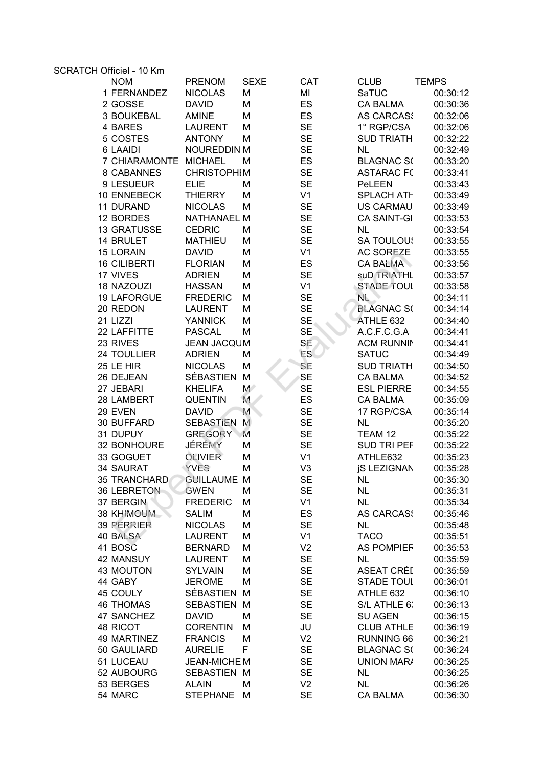| SCRATCH Officiel - 10 Km |                       |                    |              |                |                    |              |  |
|--------------------------|-----------------------|--------------------|--------------|----------------|--------------------|--------------|--|
|                          | <b>NOM</b>            | <b>PRENOM</b>      | <b>SEXE</b>  | <b>CAT</b>     | <b>CLUB</b>        | <b>TEMPS</b> |  |
|                          | 1 FERNANDEZ           | <b>NICOLAS</b>     | M            | MI             | SaTUC              | 00:30:12     |  |
|                          | 2 GOSSE               | <b>DAVID</b>       | M            | ES             | <b>CA BALMA</b>    | 00:30:36     |  |
|                          | 3 BOUKEBAL            | <b>AMINE</b>       | M            | <b>ES</b>      | <b>AS CARCASS</b>  | 00:32:06     |  |
|                          | 4 BARES               | <b>LAURENT</b>     | M            | <b>SE</b>      | 1° RGP/CSA         | 00:32:06     |  |
|                          | 5 COSTES              | <b>ANTONY</b>      | M            | <b>SE</b>      | <b>SUD TRIATH</b>  | 00:32:22     |  |
|                          | 6 LAAIDI              | <b>NOUREDDIN M</b> |              | <b>SE</b>      | <b>NL</b>          | 00:32:49     |  |
|                          | 7 CHIARAMONTE MICHAEL |                    | M            | ES             | <b>BLAGNAC S(</b>  | 00:33:20     |  |
|                          | 8 CABANNES            | <b>CHRISTOPHIM</b> |              | <b>SE</b>      | <b>ASTARAC FC</b>  | 00:33:41     |  |
|                          | 9 LESUEUR             | <b>ELIE</b>        | M            | <b>SE</b>      | PeLEEN             | 00:33:43     |  |
|                          | 10 ENNEBECK           | <b>THIERRY</b>     | M            | V <sub>1</sub> | SPLACH ATH         | 00:33:49     |  |
|                          | 11 DURAND             | <b>NICOLAS</b>     | M            | <b>SE</b>      | US CARMAU.         | 00:33:49     |  |
|                          | 12 BORDES             | <b>NATHANAEL M</b> |              | <b>SE</b>      | <b>CA SAINT-GI</b> | 00:33:53     |  |
|                          | <b>13 GRATUSSE</b>    | <b>CEDRIC</b>      | M            | <b>SE</b>      | <b>NL</b>          | 00:33:54     |  |
|                          | 14 BRULET             | <b>MATHIEU</b>     | M            | <b>SE</b>      | <b>SA TOULOUS</b>  | 00:33:55     |  |
|                          | <b>15 LORAIN</b>      | <b>DAVID</b>       | M            | V <sub>1</sub> | <b>AC SOREZE</b>   | 00:33:55     |  |
|                          | <b>16 CILIBERTI</b>   | <b>FLORIAN</b>     | M            | ES             | <b>CA BALMA</b>    | 00:33:56     |  |
|                          | 17 VIVES              | <b>ADRIEN</b>      | M            | <b>SE</b>      | suD TRIATHL        | 00:33:57     |  |
|                          | 18 NAZOUZI            | <b>HASSAN</b>      | M            | V <sub>1</sub> | STADE TOUL         | 00:33:58     |  |
|                          | <b>19 LAFORGUE</b>    | <b>FREDERIC</b>    | M            | <b>SE</b>      | $N_{\rm L}$        | 00:34:11     |  |
|                          | 20 REDON              | <b>LAURENT</b>     | M            | <b>SE</b>      | <b>BLAGNAC SO</b>  | 00:34:14     |  |
| 21 LIZZI                 |                       | <b>YANNICK</b>     | M            | <b>SE</b>      | ATHLE 632          | 00:34:40     |  |
|                          | 22 LAFFITTE           | <b>PASCAL</b>      | M            | <b>SE</b>      | A.C.F.C.G.A        | 00:34:41     |  |
|                          | 23 RIVES              | <b>JEAN JACQUM</b> |              | SE             | <b>ACM RUNNIN</b>  | 00:34:41     |  |
|                          | 24 TOULLIER           | <b>ADRIEN</b>      | M            | <b>ES</b>      | <b>SATUC</b>       | 00:34:49     |  |
|                          | 25 LE HIR             | <b>NICOLAS</b>     | M            | SE             | <b>SUD TRIATH</b>  | 00:34:50     |  |
|                          | 26 DEJEAN             | <b>SÉBASTIEN</b>   | M            | SE             | <b>CA BALMA</b>    | 00:34:52     |  |
|                          | 27 JEBARI             | <b>KHELIFA</b>     | M            | <b>SE</b>      | <b>ESL PIERRE</b>  | 00:34:55     |  |
|                          | 28 LAMBERT            | QUENTIN            | M.           | ES             | <b>CA BALMA</b>    | 00:35:09     |  |
|                          | 29 EVEN               | <b>DAVID</b>       | M            | <b>SE</b>      | 17 RGP/CSA         | 00:35:14     |  |
|                          | 30 BUFFARD            | <b>SEBASTIEN</b>   | M            | <b>SE</b>      | <b>NL</b>          | 00:35:20     |  |
|                          | 31 DUPUY              | <b>GREGORY</b>     | $\mathbf{M}$ | <b>SE</b>      | TEAM 12            | 00:35:22     |  |
|                          | 32 BONHOURE           | JÉRÉMY             | M            | <b>SE</b>      | <b>SUD TRI PEF</b> | 00:35:22     |  |
|                          | 33 GOGUET             | <b>OLIVIER</b>     | M            | V <sub>1</sub> | ATHLE632           | 00:35:23     |  |
|                          | 34 SAURAT             | YVES               | M            | V <sub>3</sub> | <b>iS LEZIGNAN</b> | 00:35:28     |  |
|                          | 35 TRANCHARD          | <b>GUILLAUME M</b> |              | <b>SE</b>      | <b>NL</b>          | 00:35:30     |  |
|                          | 36 LEBRETON           | GWEN               | M            | <b>SE</b>      | <b>NL</b>          | 00:35:31     |  |
|                          | 37 BERGIN             | <b>FREDERIC</b>    | M            | V <sub>1</sub> | <b>NL</b>          | 00:35:34     |  |
|                          | 38 KHIMOUM            | <b>SALIM</b>       | M            | ES             | <b>AS CARCASS</b>  | 00:35:46     |  |
|                          | 39 PERRIER            | <b>NICOLAS</b>     | M            | <b>SE</b>      | <b>NL</b>          | 00:35:48     |  |
|                          | 40 BALSA              | <b>LAURENT</b>     | M            | V <sub>1</sub> | <b>TACO</b>        | 00:35:51     |  |
|                          | 41 BOSC               | <b>BERNARD</b>     | M            | V <sub>2</sub> | <b>AS POMPIER</b>  | 00:35:53     |  |
|                          | 42 MANSUY             | <b>LAURENT</b>     | M            | <b>SE</b>      | <b>NL</b>          | 00:35:59     |  |
|                          | <b>43 MOUTON</b>      | <b>SYLVAIN</b>     | M            | <b>SE</b>      | ASEAT CRÉI         | 00:35:59     |  |
|                          | 44 GABY               | <b>JEROME</b>      | M            | <b>SE</b>      | <b>STADE TOUL</b>  | 00:36:01     |  |
|                          | 45 COULY              | SÉBASTIEN M        |              | <b>SE</b>      | ATHLE 632          | 00:36:10     |  |
|                          | <b>46 THOMAS</b>      | SEBASTIEN M        |              | <b>SE</b>      | S/L ATHLE 6:       | 00:36:13     |  |
|                          | 47 SANCHEZ            | <b>DAVID</b>       | M            | <b>SE</b>      | <b>SU AGEN</b>     | 00:36:15     |  |
|                          | 48 RICOT              | <b>CORENTIN</b>    | M            | JU             | <b>CLUB ATHLE</b>  | 00:36:19     |  |
|                          | 49 MARTINEZ           | <b>FRANCIS</b>     | M            | V <sub>2</sub> | RUNNING 66         | 00:36:21     |  |
|                          | 50 GAULIARD           | <b>AURELIE</b>     | F            | <b>SE</b>      | <b>BLAGNAC S(</b>  | 00:36:24     |  |
|                          | 51 LUCEAU             | <b>JEAN-MICHEM</b> |              | <b>SE</b>      | <b>UNION MAR/</b>  | 00:36:25     |  |
|                          | 52 AUBOURG            | SEBASTIEN M        |              | <b>SE</b>      | <b>NL</b>          | 00:36:25     |  |
|                          | 53 BERGES             | <b>ALAIN</b>       | M            | V <sub>2</sub> | <b>NL</b>          | 00:36:26     |  |
|                          |                       |                    |              | <b>SE</b>      |                    |              |  |
|                          | 54 MARC               | STEPHANE M         |              |                | <b>CA BALMA</b>    | 00:36:30     |  |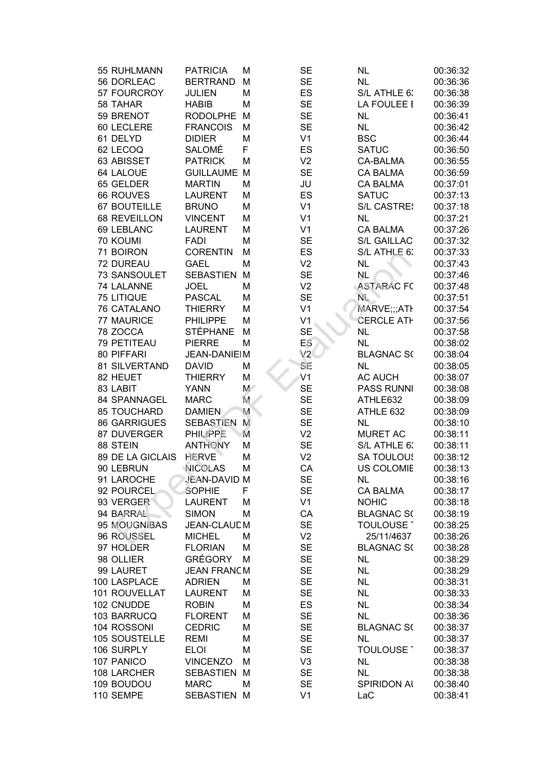| 55 RUHLMANN         | <b>PATRICIA</b>    | М           | <b>SE</b>      | <b>NL</b>          | 00:36:32 |
|---------------------|--------------------|-------------|----------------|--------------------|----------|
| 56 DORLEAC          | <b>BERTRAND</b>    | M           | <b>SE</b>      | <b>NL</b>          | 00:36:36 |
| 57 FOURCROY         | <b>JULIEN</b>      | M           | ES             | S/L ATHLE 6:       | 00:36:38 |
| 58 TAHAR            | <b>HABIB</b>       | M           | <b>SE</b>      | LA FOULEE I        | 00:36:39 |
| 59 BRENOT           | <b>RODOLPHE</b>    | M           | <b>SE</b>      | <b>NL</b>          | 00:36:41 |
| 60 LECLERE          | <b>FRANCOIS</b>    | M           | <b>SE</b>      | <b>NL</b>          | 00:36:42 |
| 61 DELYD            | <b>DIDIER</b>      | M           | V <sub>1</sub> | <b>BSC</b>         | 00:36:44 |
| 62 LECOQ            | SALOMÉ             | F           | ES             | <b>SATUC</b>       | 00:36:50 |
| 63 ABISSET          | <b>PATRICK</b>     | M           | V <sub>2</sub> | <b>CA-BALMA</b>    | 00:36:55 |
| 64 LALOUE           | <b>GUILLAUME M</b> |             | <b>SE</b>      | <b>CA BALMA</b>    | 00:36:59 |
| 65 GELDER           | <b>MARTIN</b>      | M           | JU             | <b>CA BALMA</b>    | 00:37:01 |
| 66 ROUVES           | <b>LAURENT</b>     | M           | ES             | <b>SATUC</b>       | 00:37:13 |
| <b>67 BOUTEILLE</b> | <b>BRUNO</b>       | M           | V <sub>1</sub> | <b>S/L CASTRES</b> | 00:37:18 |
| 68 REVEILLON        | <b>VINCENT</b>     | M           | V <sub>1</sub> | <b>NL</b>          | 00:37:21 |
| 69 LEBLANC          | <b>LAURENT</b>     | M           | V <sub>1</sub> | <b>CA BALMA</b>    | 00:37:26 |
| 70 KOUMI            | <b>FADI</b>        | M           | <b>SE</b>      | <b>S/L GAILLAC</b> | 00:37:32 |
| 71 BOIRON           | <b>CORENTIN</b>    | M           | ES             | S/L ATHLE 6:       | 00:37:33 |
| 72 DUREAU           | <b>GAEL</b>        | М           | V <sub>2</sub> | <b>NL</b>          | 00:37:43 |
| 73 SANSOULET        | <b>SEBASTIEN</b>   | M           | <b>SE</b>      | <b>NL</b>          | 00:37:46 |
| 74 LALANNE          | <b>JOEL</b>        | М           | V <sub>2</sub> | <b>ASTARAC FC</b>  | 00:37:48 |
| <b>75 LITIQUE</b>   | <b>PASCAL</b>      | M           | <b>SE</b>      | $N_{L}$            | 00:37:51 |
| <b>76 CATALANO</b>  | <b>THIERRY</b>     | M           | V <sub>1</sub> | MARVE;;;ATH        | 00:37:54 |
| 77 MAURICE          | <b>PHILIPPE</b>    | M           | V <sub>1</sub> | <b>CERCLE ATH</b>  | 00:37:56 |
| 78 ZOCCA            | <b>STÉPHANE</b>    | M           | <b>SE</b>      | <b>NL</b>          | 00:37:58 |
| 79 PETITEAU         | <b>PIERRE</b>      | M           | ES             | <b>NL</b>          | 00:38:02 |
| 80 PIFFARI          | JEAN-DANIEIM       |             | V2             | <b>BLAGNAC S(</b>  | 00:38:04 |
| 81 SILVERTAND       | <b>DAVID</b>       | M           | SE             | <b>NL</b>          | 00:38:05 |
| 82 HEUET            | <b>THIERRY</b>     | M           | V <sub>1</sub> | <b>AC AUCH</b>     | 00:38:07 |
| 83 LABIT            | <b>YANN</b>        | $M^{\circ}$ | <b>SE</b>      | <b>PASS RUNNI</b>  | 00:38:08 |
| 84 SPANNAGEL        | <b>MARC</b>        | M           | <b>SE</b>      | ATHLE632           | 00:38:09 |
| <b>85 TOUCHARD</b>  | <b>DAMIEN</b>      | M           | <b>SE</b>      | ATHLE 632          | 00:38:09 |
| <b>86 GARRIGUES</b> | SEBASTIEN          | M           | <b>SE</b>      | <b>NL</b>          | 00:38:10 |
| 87 DUVERGER         | PHILIPPE           | M           | V <sub>2</sub> | <b>MURET AC</b>    | 00:38:11 |
| 88 STEIN            | <b>ANTHONY</b>     | M           | <b>SE</b>      | S/L ATHLE 6.       | 00:38:11 |
| 89 DE LA GICLAIS    | <b>HERVE</b>       | M           | V <sub>2</sub> | <b>SA TOULOUS</b>  | 00:38:12 |
| 90 LEBRUN           | <b>NICOLAS</b>     | М           | CA             | <b>US COLOMIE</b>  | 00:38:13 |
| 91 LAROCHE          | JEAN-DAVID M       |             | <b>SE</b>      | <b>NL</b>          | 00:38:16 |
| 92 POURCEL          | SOPHIE             | F           | <b>SE</b>      | CA BALMA           | 00:38:17 |
| 93 VERGER           | <b>LAURENT</b>     | M           | V <sub>1</sub> | <b>NOHIC</b>       | 00:38:18 |
| 94 BARRAL           | <b>SIMON</b>       | M           | CA             | <b>BLAGNAC S(</b>  | 00:38:19 |
| 95 MOUGNIBAS        | JEAN-CLAUD M       |             | <b>SE</b>      | <b>TOULOUSE 1</b>  | 00:38:25 |
| 96 ROUSSEL          | <b>MICHEL</b>      | M           | V <sub>2</sub> | 25/11/4637         | 00:38:26 |
| 97 HOLDER           | <b>FLORIAN</b>     | M           | <b>SE</b>      | <b>BLAGNAC S(</b>  | 00:38:28 |
| 98 OLLIER           | <b>GRÉGORY</b>     | M           | <b>SE</b>      | <b>NL</b>          | 00:38:29 |
| 99 LAURET           | <b>JEAN FRANCM</b> |             | <b>SE</b>      | <b>NL</b>          | 00:38:29 |
| 100 LASPLACE        | <b>ADRIEN</b>      | M           | <b>SE</b>      | <b>NL</b>          | 00:38:31 |
| 101 ROUVELLAT       | <b>LAURENT</b>     | M           | <b>SE</b>      | <b>NL</b>          | 00:38:33 |
| 102 CNUDDE          | <b>ROBIN</b>       | M           | ES             | <b>NL</b>          | 00:38:34 |
| 103 BARRUCQ         | <b>FLORENT</b>     | M           | <b>SE</b>      | <b>NL</b>          | 00:38:36 |
| 104 ROSSONI         | <b>CEDRIC</b>      | M           | <b>SE</b>      | <b>BLAGNAC S(</b>  | 00:38:37 |
| 105 SOUSTELLE       | <b>REMI</b>        | M           | <b>SE</b>      | <b>NL</b>          | 00:38:37 |
| 106 SURPLY          | <b>ELOI</b>        | M           | <b>SE</b>      | <b>TOULOUSE 1</b>  | 00:38:37 |
| 107 PANICO          | <b>VINCENZO</b>    | М           | V <sub>3</sub> | <b>NL</b>          | 00:38:38 |
| 108 LARCHER         | <b>SEBASTIEN</b>   | M           | <b>SE</b>      | <b>NL</b>          | 00:38:38 |
| 109 BOUDOU          | <b>MARC</b>        | М           | <b>SE</b>      | <b>SPIRIDON AI</b> | 00:38:40 |
| 110 SEMPE           | SEBASTIEN M        |             | V <sub>1</sub> | LaC                | 00:38:41 |
|                     |                    |             |                |                    |          |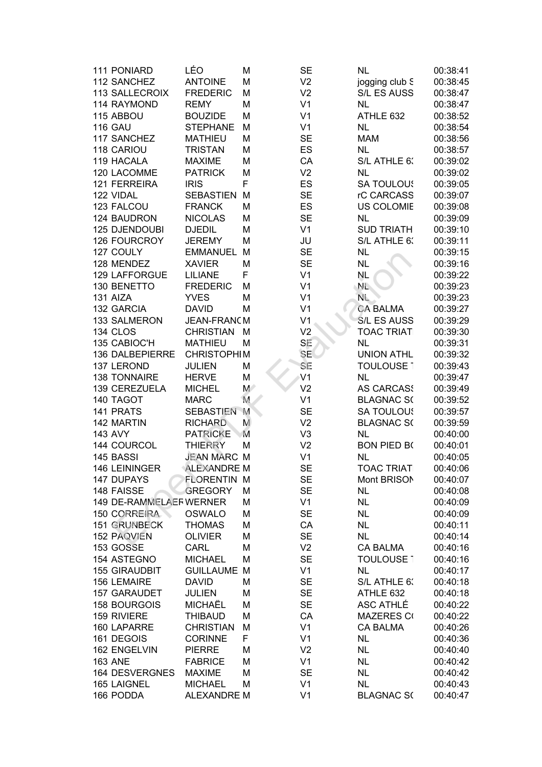| 111 PONIARD             | LÉO                | M  | <b>SE</b>      | <b>NL</b>          | 00:38:41 |
|-------------------------|--------------------|----|----------------|--------------------|----------|
| 112 SANCHEZ             | <b>ANTOINE</b>     | M  | V <sub>2</sub> | jogging club S     | 00:38:45 |
| <b>113 SALLECROIX</b>   | <b>FREDERIC</b>    | M  | V <sub>2</sub> | S/L ES AUSS        | 00:38:47 |
| 114 RAYMOND             | <b>REMY</b>        | M  | V <sub>1</sub> | <b>NL</b>          | 00:38:47 |
| 115 ABBOU               | <b>BOUZIDE</b>     | М  | V <sub>1</sub> | ATHLE 632          | 00:38:52 |
| <b>116 GAU</b>          | <b>STEPHANE</b>    | M  | V <sub>1</sub> | <b>NL</b>          | 00:38:54 |
| 117 SANCHEZ             | <b>MATHIEU</b>     | M  | <b>SE</b>      | <b>MAM</b>         | 00:38:56 |
| 118 CARIOU              | <b>TRISTAN</b>     | M  | ES             | <b>NL</b>          | 00:38:57 |
| 119 HACALA              | <b>MAXIME</b>      | М  | CA             | S/L ATHLE 6:       | 00:39:02 |
| 120 LACOMME             | <b>PATRICK</b>     | М  | V <sub>2</sub> | <b>NL</b>          | 00:39:02 |
| 121 FERREIRA            | <b>IRIS</b>        | F  | ES             | <b>SA TOULOUS</b>  | 00:39:05 |
| 122 VIDAL               | <b>SEBASTIEN</b>   | M  | <b>SE</b>      | rC CARCASS         | 00:39:07 |
| 123 FALCOU              | <b>FRANCK</b>      | M  | ES             | <b>US COLOMIE</b>  | 00:39:08 |
| 124 BAUDRON             | <b>NICOLAS</b>     | M  | <b>SE</b>      | <b>NL</b>          | 00:39:09 |
| 125 DJENDOUBI           | <b>DJEDIL</b>      | M  | V <sub>1</sub> | <b>SUD TRIATH</b>  | 00:39:10 |
| 126 FOURCROY            | <b>JEREMY</b>      | M  | JU             | S/L ATHLE 6:       | 00:39:11 |
| 127 COULY               | <b>EMMANUEL</b>    | M  | <b>SE</b>      | <b>NL</b>          | 00:39:15 |
| 128 MENDEZ              | <b>XAVIER</b>      | М  | <b>SE</b>      | <b>NL</b>          | 00:39:16 |
| 129 LAFFORGUE           | <b>LILIANE</b>     | F  | V <sub>1</sub> | <b>NL</b>          | 00:39:22 |
| 130 BENETTO             | <b>FREDERIC</b>    | M  | V <sub>1</sub> | $N_{\rm L}$        | 00:39:23 |
| 131 AIZA                | <b>YVES</b>        | M  | V <sub>1</sub> | $N_{\rm L}$        | 00:39:23 |
| 132 GARCIA              | <b>DAVID</b>       | M  | V <sub>1</sub> | <b>CA BALMA</b>    | 00:39:27 |
| 133 SALMERON            | JEAN-FRANCM        |    | V <sub>1</sub> | S/L ES AUSS        | 00:39:29 |
| 134 CLOS                | <b>CHRISTIAN</b>   | M  | V <sub>2</sub> | <b>TOAC TRIATI</b> | 00:39:30 |
| 135 CABIOC'H            | <b>MATHIEU</b>     | M  | SE             | <b>NL</b>          | 00:39:31 |
| 136 DALBEPIERRE         | <b>CHRISTOPHIM</b> |    | <b>SE</b>      | <b>UNION ATHL</b>  | 00:39:32 |
| 137 LEROND              | <b>JULIEN</b>      | M  | SE             | TOULOUSE 1         | 00:39:43 |
| <b>138 TONNAIRE</b>     | <b>HERVE</b>       | M  | V <sub>1</sub> | <b>NL</b>          | 00:39:47 |
| 139 CEREZUELA           | <b>MICHEL</b>      | M/ | V <sub>2</sub> | <b>AS CARCASS</b>  | 00:39:49 |
| 140 TAGOT               | <b>MARC</b>        | M  | V <sub>1</sub> | <b>BLAGNAC S(</b>  | 00:39:52 |
| 141 PRATS               | <b>SEBASTIEN</b>   | M  | <b>SE</b>      | <b>SA TOULOUS</b>  | 00:39:57 |
| 142 MARTIN              | <b>RICHARD</b>     | M  | V <sub>2</sub> | <b>BLAGNAC S(</b>  | 00:39:59 |
| 143 AVY                 | <b>PATRICKE</b>    | M  | V <sub>3</sub> | <b>NL</b>          | 00:40:00 |
| 144 COURCOL             | <b>THIERRY</b>     | М  | V <sub>2</sub> | <b>BON PIED BO</b> | 00:40:01 |
| 145 BASSI               | <b>JEAN MARC</b>   | M  | V <sub>1</sub> | <b>NL</b>          | 00:40:05 |
| 146 LEININGER           | ALEXANDRE M        |    | <b>SE</b>      | <b>TOAC TRIAT</b>  | 00:40:06 |
| 147 DUPAYS              | <b>FLORENTIN M</b> |    | <b>SE</b>      | Mont BRISON        | 00:40:07 |
| 148 FAISSE              | <b>GREGORY</b>     | M  | <b>SE</b>      | <b>NL</b>          | 00:40:08 |
| 149 DE-RAMMELAER WERNER |                    | M  | V <sub>1</sub> | <b>NL</b>          | 00:40:09 |
| 150 CORREIRA            | OSWALO             | M  | <b>SE</b>      | <b>NL</b>          | 00:40:09 |
| <b>151 GRUNBECK</b>     | <b>THOMAS</b>      | M  | CA             | <b>NL</b>          | 00:40:11 |
| 152 PAQVIEN             | <b>OLIVIER</b>     | М  | <b>SE</b>      | <b>NL</b>          | 00:40:14 |
| 153 GOSSE               | CARL               | М  | V <sub>2</sub> | <b>CA BALMA</b>    | 00:40:16 |
| 154 ASTEGNO             | <b>MICHAEL</b>     | M  | <b>SE</b>      | TOULOUSE 1         | 00:40:16 |
| <b>155 GIRAUDBIT</b>    | <b>GUILLAUME</b>   | M  | V <sub>1</sub> | <b>NL</b>          | 00:40:17 |
| <b>156 LEMAIRE</b>      | <b>DAVID</b>       | M  | <b>SE</b>      | S/L ATHLE 6:       | 00:40:18 |
| 157 GARAUDET            | <b>JULIEN</b>      | M  | <b>SE</b>      | ATHLE 632          | 00:40:18 |
| <b>158 BOURGOIS</b>     | MICHAËL            | M  | <b>SE</b>      | ASC ATHLÉ          | 00:40:22 |
| 159 RIVIERE             | <b>THIBAUD</b>     | M  | CA             | <b>MAZERES CO</b>  | 00:40:22 |
| 160 LAPARRE             | <b>CHRISTIAN</b>   | M  | V <sub>1</sub> | <b>CA BALMA</b>    | 00:40:26 |
| 161 DEGOIS              | <b>CORINNE</b>     | F  | V <sub>1</sub> | <b>NL</b>          | 00:40:36 |
| 162 ENGELVIN            | <b>PIERRE</b>      | M  | V <sub>2</sub> | <b>NL</b>          | 00:40:40 |
| <b>163 ANE</b>          | <b>FABRICE</b>     | M  | V <sub>1</sub> | <b>NL</b>          | 00:40:42 |
| 164 DESVERGNES          | <b>MAXIME</b>      | М  | <b>SE</b>      | <b>NL</b>          | 00:40:42 |
| 165 LAIGNEL             | <b>MICHAEL</b>     | M  | V <sub>1</sub> | <b>NL</b>          | 00:40:43 |
| 166 PODDA               | <b>ALEXANDRE M</b> |    | V <sub>1</sub> | <b>BLAGNAC S(</b>  | 00:40:47 |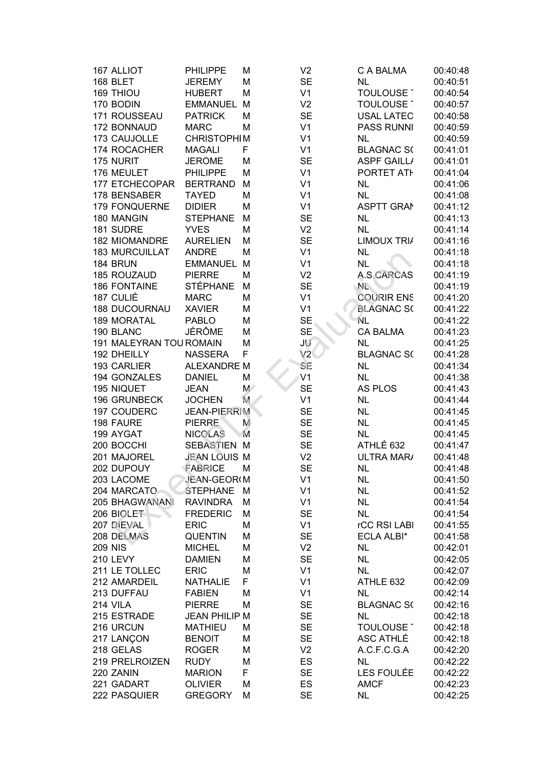| 167 ALLIOT              | PHILIPPE             | М           | V <sub>2</sub> | C A BALMA          | 00:40:48 |
|-------------------------|----------------------|-------------|----------------|--------------------|----------|
| 168 BLET                | <b>JEREMY</b>        | M           | <b>SE</b>      | <b>NL</b>          | 00:40:51 |
| 169 THIOU               | <b>HUBERT</b>        | M           | V <sub>1</sub> | TOULOUSE 1         | 00:40:54 |
| 170 BODIN               | <b>EMMANUEL</b>      | M           | V <sub>2</sub> | <b>TOULOUSE 1</b>  | 00:40:57 |
| 171 ROUSSEAU            | <b>PATRICK</b>       | M           | <b>SE</b>      | <b>USAL LATEC</b>  | 00:40:58 |
| 172 BONNAUD             | <b>MARC</b>          | М           | V <sub>1</sub> | <b>PASS RUNNI</b>  | 00:40:59 |
| 173 CAUJOLLE            | <b>CHRISTOPHIM</b>   |             | V <sub>1</sub> | NL.                | 00:40:59 |
| 174 ROCACHER            | <b>MAGALI</b>        | F           | V <sub>1</sub> | <b>BLAGNAC S(</b>  | 00:41:01 |
| 175 NURIT               | <b>JEROME</b>        | М           | <b>SE</b>      | <b>ASPF GAILL/</b> | 00:41:01 |
| 176 MEULET              | <b>PHILIPPE</b>      | M           | V <sub>1</sub> | PORTET ATH         | 00:41:04 |
| 177 ETCHECOPAR          | <b>BERTRAND</b>      | M           | V <sub>1</sub> | <b>NL</b>          | 00:41:06 |
| 178 BENSABER            | <b>TAYED</b>         | M           | V <sub>1</sub> | <b>NL</b>          | 00:41:08 |
| <b>179 FONQUERNE</b>    | <b>DIDIER</b>        | М           | V <sub>1</sub> | <b>ASPTT GRAM</b>  | 00:41:12 |
| 180 MANGIN              | <b>STEPHANE</b>      | M           | <b>SE</b>      | <b>NL</b>          | 00:41:13 |
| 181 SUDRE               | <b>YVES</b>          | M           | V <sub>2</sub> | <b>NL</b>          | 00:41:14 |
| 182 MIOMANDRE           | <b>AURELIEN</b>      | M           | <b>SE</b>      | <b>LIMOUX TRI/</b> | 00:41:16 |
| <b>183 MURCUILLAT</b>   | <b>ANDRE</b>         | M           | V <sub>1</sub> | <b>NL</b>          | 00:41:18 |
| 184 BRUN                | <b>EMMANUEL</b>      | M           | V <sub>1</sub> | <b>NL</b>          | 00:41:18 |
| 185 ROUZAUD             | <b>PIERRE</b>        | M           | V <sub>2</sub> | A.S.CARCAS         | 00:41:19 |
| <b>186 FONTAINE</b>     | <b>STÉPHANE</b>      | M           | <b>SE</b>      | NL.                | 00:41:19 |
| 187 CULIÉ               | <b>MARC</b>          | M           | V <sub>1</sub> | <b>COURIR ENS</b>  | 00:41:20 |
| <b>188 DUCOURNAU</b>    | <b>XAVIER</b>        | M           | V <sub>1</sub> | <b>BLAGNAC S(</b>  | 00:41:22 |
| <b>189 MORATAL</b>      | <b>PABLO</b>         | М           | <b>SE</b>      | NL                 | 00:41:22 |
| 190 BLANC               | JÉRÔME               | M           | <b>SE</b>      | <b>CA BALMA</b>    | 00:41:23 |
| 191 MALEYRAN TOU ROMAIN |                      | M           | JU             | <b>NL</b>          | 00:41:25 |
| 192 DHEILLY             | <b>NASSERA</b>       | F           | V2             | <b>BLAGNAC S(</b>  | 00:41:28 |
| 193 CARLIER             | <b>ALEXANDRE M</b>   |             | SE             | <b>NL</b>          | 00:41:34 |
| 194 GONZALES            | <b>DANIEL</b>        | M           | V <sub>1</sub> | <b>NL</b>          | 00:41:38 |
| 195 NIQUET              | <b>JEAN</b>          | $M^{\circ}$ | <b>SE</b>      | <b>AS PLOS</b>     | 00:41:43 |
| 196 GRUNBECK            | <b>JOCHEN</b>        | M           | V <sub>1</sub> | <b>NL</b>          | 00:41:44 |
| 197 COUDERC             | <b>JEAN-PIERRIM</b>  |             | <b>SE</b>      | <b>NL</b>          | 00:41:45 |
| 198 FAURE               | <b>PIERRE</b>        | M           | <b>SE</b>      | <b>NL</b>          | 00:41:45 |
| 199 AYGAT               | <b>NICOLAS</b>       | M           | <b>SE</b>      | <b>NL</b>          | 00:41:45 |
| 200 BOCCHI              | <b>SEBASTIEN M</b>   |             | <b>SE</b>      | ATHLÉ 632          | 00:41:47 |
| 201 MAJOREL             | <b>JEAN LOUIS M</b>  |             | V <sub>2</sub> | ULTRA MAR/         | 00:41:48 |
| 202 DUPOUY              | FABRICE              | M           | <b>SE</b>      | <b>NL</b>          | 00:41:48 |
| 203 LACOME              | JEAN-GEOR(M          |             | V <sub>1</sub> | <b>NL</b>          | 00:41:50 |
| 204 MARCATO             | <b>STEPHANE</b>      | M           | V <sub>1</sub> | <b>NL</b>          | 00:41:52 |
| 205 BHAGWANANI          | <b>RAVINDRA</b>      | M           | V <sub>1</sub> | <b>NL</b>          | 00:41:54 |
| 206 BIOLET              | <b>FREDERIC</b>      | M           | <b>SE</b>      | <b>NL</b>          | 00:41:54 |
| 207 DIEVAL              | <b>ERIC</b>          | M           | V <sub>1</sub> | rCC RSI LABI       | 00:41:55 |
| 208 DELMAS              | <b>QUENTIN</b>       | M           | <b>SE</b>      | <b>ECLA ALBI*</b>  | 00:41:58 |
| <b>209 NIS</b>          | <b>MICHEL</b>        | M           | V <sub>2</sub> | <b>NL</b>          | 00:42:01 |
| <b>210 LEVY</b>         | <b>DAMIEN</b>        | M           | <b>SE</b>      | <b>NL</b>          | 00:42:05 |
| 211 LE TOLLEC           | <b>ERIC</b>          | М           | V <sub>1</sub> | <b>NL</b>          | 00:42:07 |
| 212 AMARDEIL            | <b>NATHALIE</b>      | F           | V <sub>1</sub> | ATHLE 632          | 00:42:09 |
| 213 DUFFAU              | <b>FABIEN</b>        | M           | V <sub>1</sub> | <b>NL</b>          | 00:42:14 |
| 214 VILA                | <b>PIERRE</b>        | M           | <b>SE</b>      | <b>BLAGNAC S(</b>  | 00:42:16 |
| 215 ESTRADE             | <b>JEAN PHILIP M</b> |             | <b>SE</b>      | <b>NL</b>          | 00:42:18 |
| 216 URCUN               | <b>MATHIEU</b>       | M           | <b>SE</b>      | <b>TOULOUSE 1</b>  | 00:42:18 |
| 217 LANÇON              | <b>BENOIT</b>        | М           | <b>SE</b>      | ASC ATHLÉ          | 00:42:18 |
| 218 GELAS               | <b>ROGER</b>         | М           | V <sub>2</sub> | A.C.F.C.G.A        | 00:42:20 |
| 219 PRELROIZEN          | <b>RUDY</b>          | M           | ES             | <b>NL</b>          | 00:42:22 |
| 220 ZANIN               | <b>MARION</b>        | F           | <b>SE</b>      | LES FOULÉE         | 00:42:22 |
| 221 GADART              | <b>OLIVIER</b>       | М           | ES             | <b>AMCF</b>        | 00:42:23 |
| 222 PASQUIER            | <b>GREGORY</b>       | M           | <b>SE</b>      | <b>NL</b>          | 00:42:25 |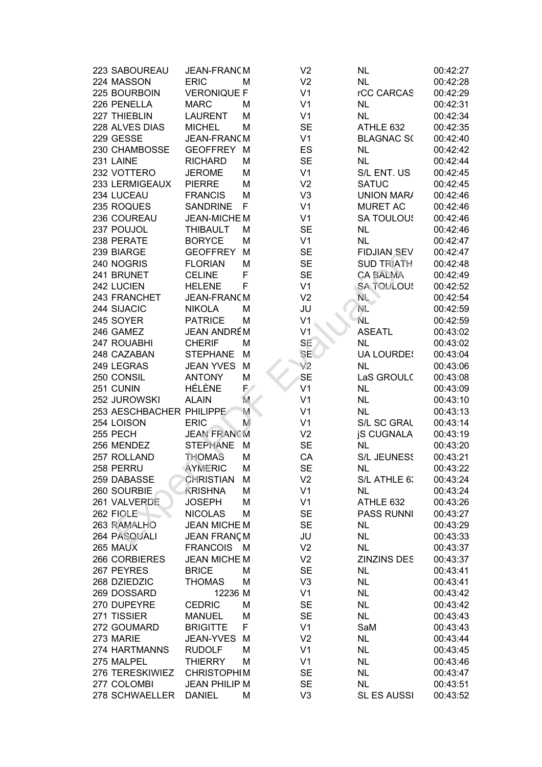| 223 SABOUREAU                 | JEAN-FRANCM                           |    | V <sub>2</sub>              | NL                       | 00:42:27             |
|-------------------------------|---------------------------------------|----|-----------------------------|--------------------------|----------------------|
| 224 MASSON                    | <b>ERIC</b>                           | М  | V <sub>2</sub>              | <b>NL</b>                | 00:42:28             |
| 225 BOURBOIN                  | <b>VERONIQUE F</b>                    |    | V <sub>1</sub>              | rCC CARCAS               | 00:42:29             |
| 226 PENELLA                   | <b>MARC</b>                           | М  | V <sub>1</sub>              | <b>NL</b>                | 00:42:31             |
| 227 THIEBLIN                  | <b>LAURENT</b>                        | М  | V <sub>1</sub>              | <b>NL</b>                | 00:42:34             |
| 228 ALVES DIAS                | <b>MICHEL</b>                         | М  | <b>SE</b>                   | ATHLE 632                | 00:42:35             |
| 229 GESSE                     | JEAN-FRANCM                           |    | V <sub>1</sub>              | <b>BLAGNAC S(</b>        | 00:42:40             |
| 230 CHAMBOSSE                 | <b>GEOFFREY</b>                       | M  | ES                          | <b>NL</b>                | 00:42:42             |
| 231 LAINE                     | <b>RICHARD</b>                        | M  | <b>SE</b>                   | <b>NL</b>                | 00:42:44             |
| 232 VOTTERO                   | <b>JEROME</b>                         | M  | V <sub>1</sub>              | S/L ENT. US              | 00:42:45             |
| 233 LERMIGEAUX                | <b>PIERRE</b>                         | М  | V <sub>2</sub>              | <b>SATUC</b>             | 00:42:45             |
| 234 LUCEAU                    | <b>FRANCIS</b>                        | М  | V <sub>3</sub>              | <b>UNION MAR/</b>        | 00:42:46             |
| 235 ROQUES                    | <b>SANDRINE</b>                       | F  | V <sub>1</sub>              | <b>MURET AC</b>          | 00:42:46             |
| 236 COUREAU                   | JEAN-MICHE M                          |    | V <sub>1</sub>              | <b>SA TOULOUS</b>        | 00:42:46             |
| 237 POUJOL                    | <b>THIBAULT</b>                       | М  | <b>SE</b>                   | <b>NL</b>                | 00:42:46             |
| 238 PERATE                    | <b>BORYCE</b>                         |    | V <sub>1</sub>              | <b>NL</b>                |                      |
|                               |                                       | М  |                             |                          | 00:42:47             |
| 239 BIARGE                    | <b>GEOFFREY</b>                       | М  | <b>SE</b>                   | <b>FIDJIAN SEV</b>       | 00:42:47             |
| 240 NOGRIS                    | <b>FLORIAN</b>                        | М  | <b>SE</b>                   | <b>SUD TRIATH</b>        | 00:42:48             |
| 241 BRUNET                    | <b>CELINE</b>                         | F  | <b>SE</b>                   | <b>CA BALMA</b>          | 00:42:49             |
| 242 LUCIEN                    | <b>HELENE</b>                         | F  | V <sub>1</sub>              | <b>SA TOULOUS</b>        | 00:42:52             |
| 243 FRANCHET                  | JEAN-FRANCM                           |    | V <sub>2</sub>              | $N_{\rm L}$              | 00:42:54             |
| 244 SIJACIC                   | <b>NIKOLA</b>                         | М  | JU                          | NE.                      | 00:42:59             |
| 245 SOYER                     | <b>PATRICE</b>                        | М  | V <sub>1</sub>              | NL                       | 00:42:59             |
| 246 GAMEZ                     | <b>JEAN ANDRÉM</b>                    |    | V <sub>1</sub>              | <b>ASEATL</b>            | 00:43:02             |
| 247 ROUABHI                   | <b>CHERIF</b>                         | М  | SE                          | <b>NL</b>                | 00:43:02             |
| 248 CAZABAN                   | <b>STEPHANE</b>                       | М  | <b>SE</b>                   | <b>UA LOURDES</b>        | 00:43:04             |
| 249 LEGRAS                    | <b>JEAN YVES</b>                      | M  | V <sub>2</sub>              | <b>NL</b>                | 00:43:06             |
| 250 CONSIL                    | <b>ANTONY</b>                         | М  | <b>SE</b>                   | LaS GROULC               | 00:43:08             |
| 251 CUNIN                     | HÉLÈNE                                | E  | V <sub>1</sub>              | <b>NL</b>                | 00:43:09             |
| 252 JUROWSKI                  | <b>ALAIN</b>                          | M. | V <sub>1</sub>              | <b>NL</b>                | 00:43:10             |
| 253 AESCHBACHER PHILIPPE      |                                       | M  | V <sub>1</sub>              | <b>NL</b>                | 00:43:13             |
| 254 LOISON                    | <b>ERIC</b>                           | M  | V <sub>1</sub>              | S/L SC GRAL              | 00:43:14             |
| 255 PECH                      | <b>JEAN FRANCM</b>                    |    | V <sub>2</sub>              | <b>iS CUGNALA</b>        | 00:43:19             |
| 256 MENDEZ                    | <b>STEPHANE</b>                       | М  | <b>SE</b>                   | <b>NL</b>                | 00:43:20             |
| 257 ROLLAND                   | <b>THOMAS</b>                         | М  | CA                          | <b>S/L JEUNESS</b>       | 00:43:21             |
| 258 PERRU                     | AYMERIC                               | М  | <b>SE</b>                   | <b>NL</b>                | 00:43:22             |
| 259 DABASSE                   | CHRISTIAN                             | M  | V <sub>2</sub>              | S/L ATHLE 6:             | 00:43:24             |
| 260 SOURBIE                   | <b>KRISHNA</b>                        | М  | V <sub>1</sub>              | <b>NL</b>                | 00:43:24             |
| 261 VALVERDE                  | <b>JOSEPH</b>                         | М  | V <sub>1</sub>              | ATHLE 632                | 00:43:26             |
| 262 FIOLE                     | <b>NICOLAS</b>                        | М  | <b>SE</b>                   | <b>PASS RUNNI</b>        | 00:43:27             |
| 263 RAMALHO                   | <b>JEAN MICHE M</b>                   |    | <b>SE</b>                   | NL.                      | 00:43:29             |
| 264 PASQUALI                  | <b>JEAN FRANÇM</b>                    |    | JU                          | <b>NL</b>                | 00:43:33             |
| 265 MAUX                      | FRANCOIS M                            |    | V <sub>2</sub>              | <b>NL</b>                | 00:43:37             |
| 266 CORBIERES                 | <b>JEAN MICHE M</b>                   |    | V <sub>2</sub>              | <b>ZINZINS DES</b>       | 00:43:37             |
| 267 PEYRES                    | <b>BRICE</b>                          | М  | <b>SE</b>                   | <b>NL</b>                | 00:43:41             |
| 268 DZIEDZIC                  | <b>THOMAS</b>                         | М  | V <sub>3</sub>              | <b>NL</b>                | 00:43:41             |
| 269 DOSSARD                   | 12236 M                               |    | V <sub>1</sub>              | <b>NL</b>                | 00:43:42             |
| 270 DUPEYRE                   | <b>CEDRIC</b>                         | М  | <b>SE</b>                   | <b>NL</b>                | 00:43:42             |
| 271 TISSIER                   | <b>MANUEL</b>                         | M  | <b>SE</b>                   | <b>NL</b>                | 00:43:43             |
|                               | <b>BRIGITTE</b>                       | F  | V <sub>1</sub>              | SaM                      | 00:43:43             |
|                               |                                       |    |                             |                          |                      |
| 272 GOUMARD                   |                                       |    |                             |                          |                      |
| 273 MARIE                     | JEAN-YVES                             | M  | V <sub>2</sub>              | <b>NL</b>                | 00:43:44             |
| 274 HARTMANNS                 | <b>RUDOLF</b>                         | M  | V <sub>1</sub>              | <b>NL</b>                | 00:43:45             |
| 275 MALPEL                    | <b>THIERRY</b>                        | М  | V <sub>1</sub>              | <b>NL</b>                | 00:43:46             |
| 276 TERESKIWIEZ               | <b>CHRISTOPHIM</b>                    |    | <b>SE</b>                   | <b>NL</b>                | 00:43:47             |
| 277 COLOMBI<br>278 SCHWAELLER | <b>JEAN PHILIP M</b><br><b>DANIEL</b> | М  | <b>SE</b><br>V <sub>3</sub> | <b>NL</b><br>SL ES AUSSI | 00:43:51<br>00:43:52 |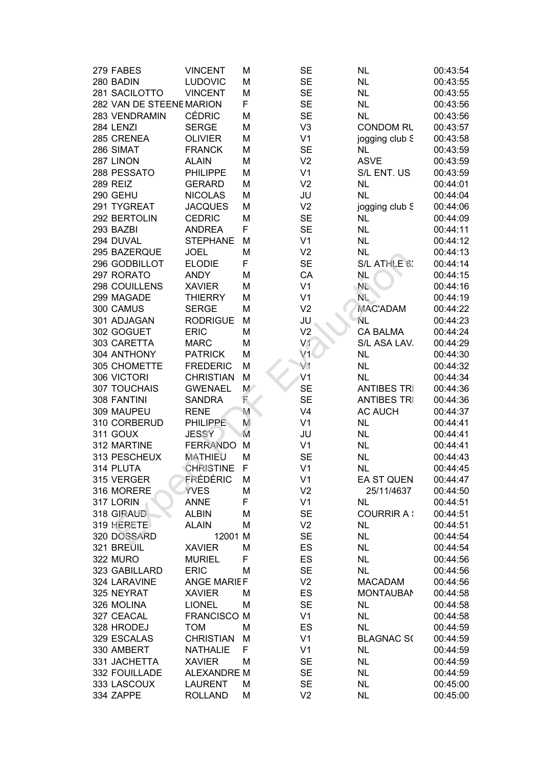| 279 FABES                | <b>VINCENT</b>     | М     | <b>SE</b>      | <b>NL</b>          | 00:43:54 |
|--------------------------|--------------------|-------|----------------|--------------------|----------|
| 280 BADIN                | <b>LUDOVIC</b>     | Μ     | <b>SE</b>      | <b>NL</b>          | 00:43:55 |
| 281 SACILOTTO            | <b>VINCENT</b>     | M     | <b>SE</b>      | <b>NL</b>          | 00:43:55 |
| 282 VAN DE STEENE MARION |                    | F     | <b>SE</b>      | <b>NL</b>          | 00:43:56 |
| 283 VENDRAMIN            | <b>CÉDRIC</b>      | M     | <b>SE</b>      | <b>NL</b>          | 00:43:56 |
| 284 LENZI                | <b>SERGE</b>       | M     | V <sub>3</sub> | <b>CONDOM RL</b>   | 00:43:57 |
| 285 CRENEA               | <b>OLIVIER</b>     | M     | V <sub>1</sub> | jogging club S     | 00:43:58 |
| 286 SIMAT                | <b>FRANCK</b>      | M     | <b>SE</b>      | <b>NL</b>          | 00:43:59 |
| 287 LINON                | <b>ALAIN</b>       | M     | V <sub>2</sub> | <b>ASVE</b>        | 00:43:59 |
| 288 PESSATO              | <b>PHILIPPE</b>    | M     | V <sub>1</sub> | S/L ENT. US        | 00:43:59 |
| <b>289 REIZ</b>          | <b>GERARD</b>      | M     | V <sub>2</sub> | <b>NL</b>          | 00:44:01 |
| 290 GEHU                 | <b>NICOLAS</b>     | M     | JU             | <b>NL</b>          | 00:44:04 |
| 291 TYGREAT              | <b>JACQUES</b>     | M     | V <sub>2</sub> | jogging club S     | 00:44:06 |
| 292 BERTOLIN             | <b>CEDRIC</b>      | M     | <b>SE</b>      | <b>NL</b>          | 00:44:09 |
| 293 BAZBI                | <b>ANDREA</b>      | F     | <b>SE</b>      | <b>NL</b>          | 00:44:11 |
| 294 DUVAL                | <b>STEPHANE</b>    | M     | V <sub>1</sub> | <b>NL</b>          | 00:44:12 |
| 295 BAZERQUE             | <b>JOEL</b>        | M     | V <sub>2</sub> | <b>NL</b>          | 00:44:13 |
| 296 GODBILLOT            | <b>ELODIE</b>      | F     | <b>SE</b>      | S/L ATHLE 6:       | 00:44:14 |
| 297 RORATO               | <b>ANDY</b>        | M     | CA             | <b>NL</b>          | 00:44:15 |
| 298 COUILLENS            | <b>XAVIER</b>      | M     | V <sub>1</sub> | NL.                | 00:44:16 |
| 299 MAGADE               | <b>THIERRY</b>     | M     | V <sub>1</sub> | NL.                | 00:44:19 |
| 300 CAMUS                | <b>SERGE</b>       | M     | V <sub>2</sub> | <b>MAC'ADAM</b>    | 00:44:22 |
| 301 ADJAGAN              | <b>RODRIGUE</b>    | M     | JU             | NL                 | 00:44:23 |
| 302 GOGUET               | <b>ERIC</b>        | M     | V <sub>2</sub> | <b>CA BALMA</b>    | 00:44:24 |
| 303 CARETTA              | <b>MARC</b>        | M     | V <sub>1</sub> | S/L ASA LAV.       | 00:44:29 |
| 304 ANTHONY              | <b>PATRICK</b>     | M     | V <sub>1</sub> | <b>NL</b>          | 00:44:30 |
| 305 CHOMETTE             | <b>FREDERIC</b>    | Μ     | V1             | <b>NL</b>          | 00:44:32 |
| 306 VICTORI              | <b>CHRISTIAN</b>   | M     | V <sub>1</sub> | <b>NL</b>          | 00:44:34 |
| 307 TOUCHAIS             | <b>GWENAEL</b>     | $M^*$ | <b>SE</b>      | <b>ANTIBES TRI</b> | 00:44:36 |
| 308 FANTINI              | <b>SANDRA</b>      | F     | <b>SE</b>      | <b>ANTIBES TRI</b> | 00:44:36 |
| 309 MAUPEU               | <b>RENE</b>        | M     | V <sub>4</sub> | <b>AC AUCH</b>     | 00:44:37 |
| 310 CORBERUD             | <b>PHILIPPE</b>    | M     | V <sub>1</sub> | <b>NL</b>          | 00:44:41 |
| 311 GOUX                 | <b>JESSY</b>       | M     | JU             | <b>NL</b>          | 00:44:41 |
| 312 MARTINE              | <b>FERRANDO</b>    | M     | V <sub>1</sub> | <b>NL</b>          | 00:44:41 |
| 313 PESCHEUX             | <b>MATHIEU</b>     | M     | <b>SE</b>      | <b>NL</b>          | 00:44:43 |
| 314 PLUTA                | <b>CHRISTINE</b>   | F     | V <sub>1</sub> | <b>NL</b>          | 00:44:45 |
| 315 VERGER               | FRÉDÉRIC           | М     | V <sub>1</sub> | EA ST QUEN         | 00:44:47 |
| 316 MORERE               | <b>YVES</b>        | M     | V <sub>2</sub> | 25/11/4637         | 00:44:50 |
| 317 LORIN                | <b>ANNE</b>        | F     | V <sub>1</sub> | <b>NL</b>          | 00:44:51 |
| 318 GIRAUD               | <b>ALBIN</b>       | M     | <b>SE</b>      | <b>COURRIR A:</b>  | 00:44:51 |
| 319 HERETE               | <b>ALAIN</b>       | M     | V <sub>2</sub> | <b>NL</b>          | 00:44:51 |
| 320 DOSSARD              | 12001 M            |       | <b>SE</b>      | <b>NL</b>          | 00:44:54 |
| 321 BREUIL               | <b>XAVIER</b>      | M     | ES             | <b>NL</b>          | 00:44:54 |
| 322 MURO                 | <b>MURIEL</b>      | F     | ES             | <b>NL</b>          | 00:44:56 |
| 323 GABILLARD            | <b>ERIC</b>        | M     | <b>SE</b>      | <b>NL</b>          | 00:44:56 |
| 324 LARAVINE             | <b>ANGE MARIEF</b> |       | V <sub>2</sub> | <b>MACADAM</b>     | 00:44:56 |
| 325 NEYRAT               | <b>XAVIER</b>      | M     | ES             | <b>MONTAUBAN</b>   | 00:44:58 |
| 326 MOLINA               | <b>LIONEL</b>      | M     | <b>SE</b>      | <b>NL</b>          | 00:44:58 |
| 327 CEACAL               | <b>FRANCISCO M</b> |       | V <sub>1</sub> | <b>NL</b>          | 00:44:58 |
| 328 HRODEJ               | <b>TOM</b>         | M     | ES             | <b>NL</b>          | 00:44:59 |
| 329 ESCALAS              | <b>CHRISTIAN</b>   | M     | V <sub>1</sub> | <b>BLAGNAC S(</b>  | 00:44:59 |
| 330 AMBERT               | <b>NATHALIE</b>    | F     | V <sub>1</sub> | <b>NL</b>          | 00:44:59 |
| 331 JACHETTA             | <b>XAVIER</b>      | M     | <b>SE</b>      | <b>NL</b>          | 00:44:59 |
| 332 FOUILLADE            | <b>ALEXANDRE M</b> |       | <b>SE</b>      | <b>NL</b>          | 00:44:59 |
| 333 LASCOUX              | <b>LAURENT</b>     | М     | <b>SE</b>      | <b>NL</b>          | 00:45:00 |
| 334 ZAPPE                | <b>ROLLAND</b>     | M     | V <sub>2</sub> | <b>NL</b>          | 00:45:00 |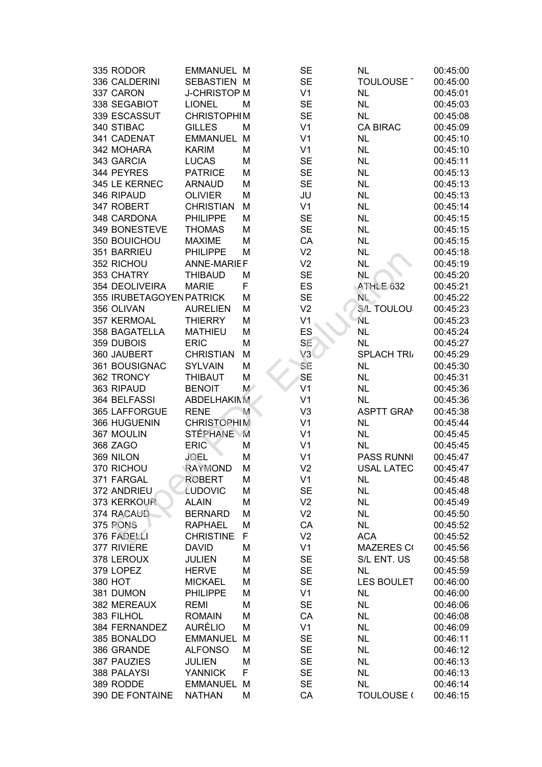| 335 RODOR                | <b>EMMANUEL M</b>   |    | <b>SE</b>      | <b>NL</b>          | 00:45:00 |
|--------------------------|---------------------|----|----------------|--------------------|----------|
| 336 CALDERINI            | SEBASTIEN M         |    | <b>SE</b>      | <b>TOULOUSE 1</b>  | 00:45:00 |
| 337 CARON                | <b>J-CHRISTOP M</b> |    | V <sub>1</sub> | <b>NL</b>          | 00:45:01 |
| 338 SEGABIOT             | <b>LIONEL</b>       | М  | <b>SE</b>      | <b>NL</b>          | 00:45:03 |
| 339 ESCASSUT             | <b>CHRISTOPHIM</b>  |    | <b>SE</b>      | <b>NL</b>          | 00:45:08 |
| 340 STIBAC               | <b>GILLES</b>       | М  | V <sub>1</sub> | <b>CA BIRAC</b>    | 00:45:09 |
| 341 CADENAT              | <b>EMMANUEL</b>     | M  | V <sub>1</sub> | <b>NL</b>          | 00:45:10 |
| 342 MOHARA               | <b>KARIM</b>        | M  | V <sub>1</sub> | <b>NL</b>          | 00:45:10 |
| 343 GARCIA               | <b>LUCAS</b>        | M  | <b>SE</b>      | <b>NL</b>          | 00:45:11 |
| 344 PEYRES               | <b>PATRICE</b>      | M  | <b>SE</b>      | <b>NL</b>          | 00:45:13 |
| 345 LE KERNEC            | <b>ARNAUD</b>       | M  | <b>SE</b>      | <b>NL</b>          | 00:45:13 |
| 346 RIPAUD               | <b>OLIVIER</b>      | M  | JU             | <b>NL</b>          | 00:45:13 |
| 347 ROBERT               | <b>CHRISTIAN</b>    | M  | V <sub>1</sub> | <b>NL</b>          | 00:45:14 |
| 348 CARDONA              | <b>PHILIPPE</b>     | M  | <b>SE</b>      | <b>NL</b>          | 00:45:15 |
| 349 BONESTEVE            | <b>THOMAS</b>       | M  | <b>SE</b>      | <b>NL</b>          | 00:45:15 |
| 350 BOUICHOU             | <b>MAXIME</b>       | M  | CA             | <b>NL</b>          | 00:45:15 |
| 351 BARRIEU              | <b>PHILIPPE</b>     | M  | V <sub>2</sub> | <b>NL</b>          | 00:45:18 |
| 352 RICHOU               | <b>ANNE-MARIEF</b>  |    | V <sub>2</sub> | <b>NL</b>          | 00:45:19 |
| 353 CHATRY               | <b>THIBAUD</b>      | M  | <b>SE</b>      | <b>NL</b>          | 00:45:20 |
| 354 DEOLIVEIRA           | <b>MARIE</b>        | F  | ES             | ATHLE 632          | 00:45:21 |
| 355 IRUBETAGOYEN PATRICK |                     | M  | <b>SE</b>      | $N_{\rm L}$        | 00:45:22 |
| 356 OLIVAN               | <b>AURELIEN</b>     | M  | V <sub>2</sub> | <b>S/L TOULOU:</b> | 00:45:23 |
| 357 KERMOAL              | <b>THIERRY</b>      | M  | V <sub>1</sub> | 'NL                | 00:45:23 |
| 358 BAGATELLA            | <b>MATHIEU</b>      | M  | ES             | <b>NL</b>          | 00:45:24 |
| 359 DUBOIS               | <b>ERIC</b>         | M  | SE             | <b>NL</b>          | 00:45:27 |
| 360 JAUBERT              | <b>CHRISTIAN</b>    | M  | V3             | <b>SPLACH TRIA</b> | 00:45:29 |
| 361 BOUSIGNAC            | <b>SYLVAIN</b>      | M  | SE             | <b>NL</b>          | 00:45:30 |
| 362 TRONCY               | <b>THIBAUT</b>      | M  | <b>SE</b>      | <b>NL</b>          | 00:45:31 |
| 363 RIPAUD               | <b>BENOIT</b>       | M/ | V <sub>1</sub> | <b>NL</b>          | 00:45:36 |
| 364 BELFASSI             | <b>ABDELHAKIMM</b>  |    | V <sub>1</sub> | <b>NL</b>          | 00:45:36 |
| 365 LAFFORGUE            | <b>RENE</b>         | M  | V <sub>3</sub> | <b>ASPTT GRAM</b>  | 00:45:38 |
| 366 HUGUENIN             | <b>CHRISTOPHIM</b>  |    | V <sub>1</sub> | <b>NL</b>          | 00:45:44 |
| 367 MOULIN               | <b>STÉPHANE</b>     | M  | V <sub>1</sub> | <b>NL</b>          | 00:45:45 |
| 368 ZAGO                 | <b>ERIC</b>         | M  | V <sub>1</sub> | <b>NL</b>          | 00:45:45 |
| 369 NILON                | JOEL                | M  | V <sub>1</sub> | <b>PASS RUNNI</b>  | 00:45:47 |
| 370 RICHOU               | RAYMOND             | M  | V <sub>2</sub> | <b>USAL LATEC</b>  | 00:45:47 |
| 371 FARGAL               | <b>ROBERT</b>       | М  | V <sub>1</sub> | <b>NL</b>          | 00:45:48 |
| 372 ANDRIEU              | LUDOVIC             | M  | <b>SE</b>      | <b>NL</b>          | 00:45:48 |
| 373 KERKOUR              | <b>ALAIN</b>        | M  | V <sub>2</sub> | <b>NL</b>          | 00:45:49 |
| 374 RACAUD               | <b>BERNARD</b>      | M  | V <sub>2</sub> | <b>NL</b>          | 00:45:50 |
| 375 PONS                 | <b>RAPHAEL</b>      | M  | CA             | <b>NL</b>          | 00:45:52 |
| 376 FADELLI              | <b>CHRISTINE</b>    | F  | V <sub>2</sub> | <b>ACA</b>         | 00:45:52 |
| 377 RIVIERE              | <b>DAVID</b>        | M  | V <sub>1</sub> | <b>MAZERES CO</b>  | 00:45:56 |
| 378 LEROUX               | <b>JULIEN</b>       | M  | <b>SE</b>      | S/L ENT. US        | 00:45:58 |
| 379 LOPEZ                | <b>HERVE</b>        | M  | <b>SE</b>      | <b>NL</b>          | 00:45:59 |
| 380 HOT                  | <b>MICKAEL</b>      | M  | <b>SE</b>      | <b>LES BOULET</b>  | 00:46:00 |
| 381 DUMON                | <b>PHILIPPE</b>     | M  | V <sub>1</sub> | <b>NL</b>          | 00:46:00 |
| 382 MEREAUX              | <b>REMI</b>         | M  | <b>SE</b>      | <b>NL</b>          | 00:46:06 |
| 383 FILHOL               | <b>ROMAIN</b>       | M  | CA             | <b>NL</b>          | 00:46:08 |
| 384 FERNANDEZ            | <b>AURÉLIO</b>      | M  | V <sub>1</sub> | <b>NL</b>          | 00:46:09 |
| 385 BONALDO              | <b>EMMANUEL</b>     | M  | <b>SE</b>      | <b>NL</b>          | 00:46:11 |
| 386 GRANDE               | <b>ALFONSO</b>      | M  | <b>SE</b>      | <b>NL</b>          | 00:46:12 |
| 387 PAUZIES              | <b>JULIEN</b>       | M  | <b>SE</b>      | <b>NL</b>          | 00:46:13 |
| 388 PALAYSI              | <b>YANNICK</b>      | F  | <b>SE</b>      | <b>NL</b>          | 00:46:13 |
| 389 RODDE                | EMMANUEL M          |    | <b>SE</b>      | <b>NL</b>          | 00:46:14 |
| 390 DE FONTAINE          | <b>NATHAN</b>       | M  | CA             | TOULOUSE (         | 00:46:15 |
|                          |                     |    |                |                    |          |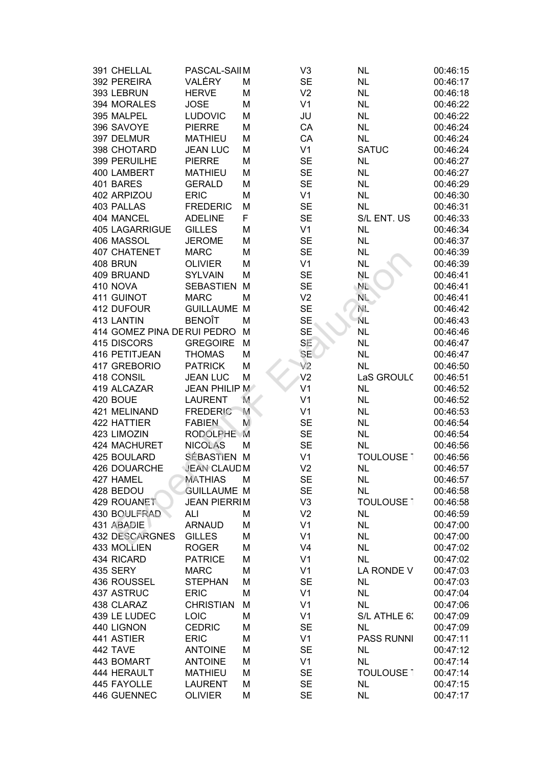| 391 CHELLAL                 | PASCAL-SAIIM        |   | V <sub>3</sub> | <b>NL</b>         | 00:46:15 |
|-----------------------------|---------------------|---|----------------|-------------------|----------|
| 392 PEREIRA                 | VALÉRY              | M | <b>SE</b>      | <b>NL</b>         | 00:46:17 |
| 393 LEBRUN                  | <b>HERVE</b>        | M | V <sub>2</sub> | <b>NL</b>         | 00:46:18 |
| 394 MORALES                 | <b>JOSE</b>         | M | V <sub>1</sub> | <b>NL</b>         | 00:46:22 |
| 395 MALPEL                  | <b>LUDOVIC</b>      | M | JU             | <b>NL</b>         | 00:46:22 |
| 396 SAVOYE                  | <b>PIERRE</b>       | M | CA             | <b>NL</b>         | 00:46:24 |
| 397 DELMUR                  | <b>MATHIEU</b>      | M | CA             | <b>NL</b>         | 00:46:24 |
| 398 CHOTARD                 | <b>JEAN LUC</b>     | M | V <sub>1</sub> | <b>SATUC</b>      | 00:46:24 |
| 399 PERUILHE                | <b>PIERRE</b>       | M | <b>SE</b>      | <b>NL</b>         | 00:46:27 |
| 400 LAMBERT                 | <b>MATHIEU</b>      | M | <b>SE</b>      | <b>NL</b>         | 00:46:27 |
| 401 BARES                   | <b>GERALD</b>       | M | <b>SE</b>      | <b>NL</b>         | 00:46:29 |
| 402 ARPIZOU                 | <b>ERIC</b>         | M | V <sub>1</sub> | <b>NL</b>         | 00:46:30 |
| 403 PALLAS                  | <b>FREDERIC</b>     | M | <b>SE</b>      | <b>NL</b>         | 00:46:31 |
| 404 MANCEL                  | <b>ADELINE</b>      | F | <b>SE</b>      | S/L ENT. US       | 00:46:33 |
| <b>405 LAGARRIGUE</b>       | <b>GILLES</b>       | M | V <sub>1</sub> | <b>NL</b>         | 00:46:34 |
| 406 MASSOL                  | <b>JEROME</b>       | M | <b>SE</b>      | <b>NL</b>         | 00:46:37 |
| 407 CHATENET                | <b>MARC</b>         | M | <b>SE</b>      | <b>NL</b>         | 00:46:39 |
| 408 BRUN                    | <b>OLIVIER</b>      | M | V <sub>1</sub> | <b>NL</b>         | 00:46:39 |
| 409 BRUAND                  | <b>SYLVAIN</b>      | M | <b>SE</b>      | NL                | 00:46:41 |
| 410 NOVA                    | <b>SEBASTIEN</b>    | M | <b>SE</b>      | NĽ.               | 00:46:41 |
| 411 GUINOT                  | <b>MARC</b>         | M | V <sub>2</sub> | NL.               | 00:46:41 |
| 412 DUFOUR                  | <b>GUILLAUME M</b>  |   | <b>SE</b>      | NE.               | 00:46:42 |
| 413 LANTIN                  | <b>BENOÎT</b>       | M | <b>SE</b>      | NL                | 00:46:43 |
| 414 GOMEZ PINA DE RUI PEDRO |                     | M | <b>SE</b>      | <b>NL</b>         | 00:46:46 |
| 415 DISCORS                 | <b>GREGOIRE</b>     | M | SE             | <b>NL</b>         | 00:46:47 |
| 416 PETITJEAN               | <b>THOMAS</b>       | М | <b>SE</b>      | <b>NL</b>         | 00:46:47 |
| 417 GREBORIO                | <b>PATRICK</b>      | М | V <sub>2</sub> | <b>NL</b>         | 00:46:50 |
| 418 CONSIL                  | <b>JEAN LUC</b>     | M | V <sub>2</sub> | LaS GROULC        | 00:46:51 |
| 419 ALCAZAR                 | JEAN PHILIP M       |   | V <sub>1</sub> | <b>NL</b>         | 00:46:52 |
| 420 BOUE                    | <b>LAURENT</b>      | M | V <sub>1</sub> | <b>NL</b>         | 00:46:52 |
| 421 MELINAND                | <b>FREDERIC</b>     | M | V <sub>1</sub> | <b>NL</b>         | 00:46:53 |
| <b>422 HATTIER</b>          | <b>FABIEN</b>       | M | <b>SE</b>      | <b>NL</b>         | 00:46:54 |
| 423 LIMOZIN                 | <b>RODOLPHE</b>     | M | <b>SE</b>      | <b>NL</b>         | 00:46:54 |
| 424 MACHURET                | <b>NICOLAS</b>      | M | <b>SE</b>      | <b>NL</b>         | 00:46:56 |
| 425 BOULARD                 | SÉBASTIEN M         |   | V <sub>1</sub> | <b>TOULOUSE 1</b> | 00:46:56 |
| 426 DOUARCHE                | <b>JEAN CLAUD M</b> |   | V <sub>2</sub> | <b>NL</b>         | 00:46:57 |
| 427 HAMEL                   | <b>MATHIAS</b>      | M | <b>SE</b>      | <b>NL</b>         | 00:46:57 |
| 428 BEDOU                   | <b>GUILLAUME M</b>  |   | <b>SE</b>      | <b>NL</b>         | 00:46:58 |
| 429 ROUANET                 | <b>JEAN PIERRIM</b> |   | V <sub>3</sub> | TOULOUSE 1        | 00:46:58 |
| 430 BOULFRAD                | ALI                 | М | V <sub>2</sub> | <b>NL</b>         | 00:46:59 |
| 431 ABADIE                  | <b>ARNAUD</b>       | M | V <sub>1</sub> | <b>NL</b>         | 00:47:00 |
| <b>432 DESCARGNES</b>       | <b>GILLES</b>       | M | V <sub>1</sub> | <b>NL</b>         | 00:47:00 |
| 433 MOLLIEN                 | <b>ROGER</b>        | M | V <sub>4</sub> | <b>NL</b>         | 00:47:02 |
| 434 RICARD                  | <b>PATRICE</b>      | М | V <sub>1</sub> | <b>NL</b>         | 00:47:02 |
| 435 SERY                    | <b>MARC</b>         | M | V <sub>1</sub> | LA RONDE V        | 00:47:03 |
| 436 ROUSSEL                 | <b>STEPHAN</b>      | M | <b>SE</b>      | <b>NL</b>         | 00:47:03 |
| 437 ASTRUC                  | <b>ERIC</b>         | M | V <sub>1</sub> | <b>NL</b>         | 00:47:04 |
| 438 CLARAZ                  | <b>CHRISTIAN</b>    | M | V <sub>1</sub> | <b>NL</b>         | 00:47:06 |
| 439 LE LUDEC                | LOIC                | M | V <sub>1</sub> | S/L ATHLE 6:      | 00:47:09 |
| 440 LIGNON                  | <b>CEDRIC</b>       | M | <b>SE</b>      | <b>NL</b>         | 00:47:09 |
| 441 ASTIER                  | <b>ERIC</b>         | M | V <sub>1</sub> | <b>PASS RUNNI</b> | 00:47:11 |
| 442 TAVE                    | <b>ANTOINE</b>      | M | <b>SE</b>      | <b>NL</b>         | 00:47:12 |
| 443 BOMART                  | <b>ANTOINE</b>      | M | V <sub>1</sub> | <b>NL</b>         | 00:47:14 |
| 444 HERAULT                 | <b>MATHIEU</b>      | M | <b>SE</b>      | <b>TOULOUSE 1</b> | 00:47:14 |
| 445 FAYOLLE                 | <b>LAURENT</b>      | M | <b>SE</b>      | <b>NL</b>         | 00:47:15 |
| 446 GUENNEC                 | <b>OLIVIER</b>      | М | <b>SE</b>      | <b>NL</b>         | 00:47:17 |
|                             |                     |   |                |                   |          |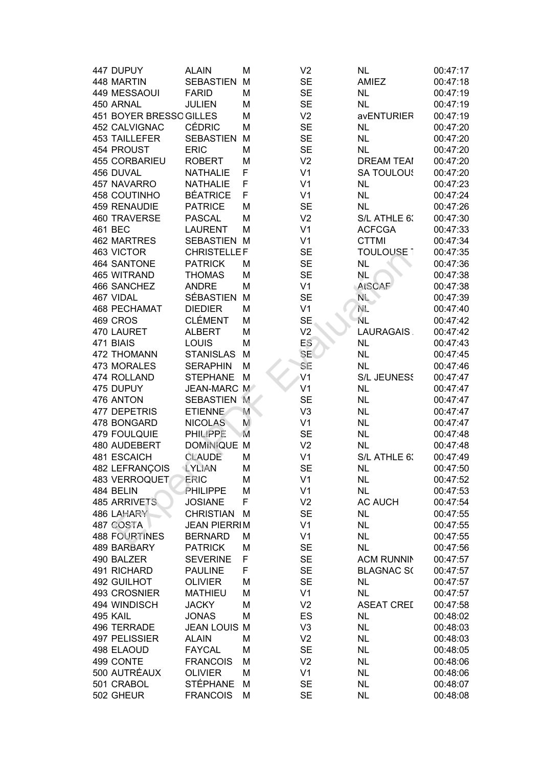| 447 DUPUY               | <b>ALAIN</b>        | M | V <sub>2</sub> | <b>NL</b>          | 00:47:17 |
|-------------------------|---------------------|---|----------------|--------------------|----------|
| 448 MARTIN              | SEBASTIEN M         |   | <b>SE</b>      | AMIEZ              | 00:47:18 |
| 449 MESSAOUI            | <b>FARID</b>        | M | <b>SE</b>      | NL                 | 00:47:19 |
| 450 ARNAL               | <b>JULIEN</b>       | M | <b>SE</b>      | <b>NL</b>          | 00:47:19 |
| 451 BOYER BRESSO GILLES |                     | M | V <sub>2</sub> | avENTURIER         | 00:47:19 |
| 452 CALVIGNAC           | <b>CÉDRIC</b>       | M | <b>SE</b>      | <b>NL</b>          | 00:47:20 |
| 453 TAILLEFER           | <b>SEBASTIEN</b>    | M | <b>SE</b>      | <b>NL</b>          | 00:47:20 |
| 454 PROUST              | <b>ERIC</b>         | M | <b>SE</b>      | <b>NL</b>          | 00:47:20 |
| 455 CORBARIEU           | <b>ROBERT</b>       | M | V <sub>2</sub> | <b>DREAM TEAI</b>  | 00:47:20 |
| 456 DUVAL               | <b>NATHALIE</b>     | F | V <sub>1</sub> | <b>SA TOULOUS</b>  | 00:47:20 |
| 457 NAVARRO             | <b>NATHALIE</b>     | F | V <sub>1</sub> | <b>NL</b>          | 00:47:23 |
| <b>458 COUTINHO</b>     | <b>BÉATRICE</b>     | F | V <sub>1</sub> | NL                 | 00:47:24 |
| 459 RENAUDIE            | <b>PATRICE</b>      | M | <b>SE</b>      | <b>NL</b>          | 00:47:26 |
| <b>460 TRAVERSE</b>     | <b>PASCAL</b>       | M | V <sub>2</sub> | S/L ATHLE 6:       | 00:47:30 |
| 461 BEC                 | <b>LAURENT</b>      | M | V <sub>1</sub> | <b>ACFCGA</b>      | 00:47:33 |
| 462 MARTRES             | SEBASTIEN M         |   | V <sub>1</sub> | <b>CTTMI</b>       | 00:47:34 |
| 463 VICTOR              | <b>CHRISTELLEF</b>  |   | <b>SE</b>      | <b>TOULOUSE 1</b>  | 00:47:35 |
| 464 SANTONE             | <b>PATRICK</b>      | M | <b>SE</b>      | <b>NL</b>          | 00:47:36 |
| 465 WITRAND             | <b>THOMAS</b>       | M | <b>SE</b>      | <b>NL</b>          | 00:47:38 |
| 466 SANCHEZ             | <b>ANDRE</b>        | M | V <sub>1</sub> | <b>AtSCAF</b>      | 00:47:38 |
| 467 VIDAL               | SÉBASTIEN           | M | <b>SE</b>      | $N_{\rm L}$        | 00:47:39 |
| <b>468 PECHAMAT</b>     | <b>DIEDIER</b>      | M | V <sub>1</sub> | NE.                | 00:47:40 |
| 469 CROS                | <b>CLÉMENT</b>      | M | <b>SE</b>      | <b>NL</b>          | 00:47:42 |
| 470 LAURET              | <b>ALBERT</b>       | M | V <sub>2</sub> | LAURAGAIS.         | 00:47:42 |
| 471 BIAIS               | LOUIS               | M | ES <sup></sup> | <b>NL</b>          | 00:47:43 |
| 472 THOMANN             | <b>STANISLAS</b>    | M | <b>SE</b>      | <b>NL</b>          | 00:47:45 |
| 473 MORALES             | <b>SERAPHIN</b>     | M | SE             | <b>NL</b>          | 00:47:46 |
| 474 ROLLAND             | <b>STEPHANE</b>     | M | V <sub>1</sub> | <b>S/L JEUNESS</b> | 00:47:47 |
| 475 DUPUY               | JEAN-MARC M         |   | V <sub>1</sub> | <b>NL</b>          | 00:47:47 |
| 476 ANTON               | SEBASTIEN M         |   | <b>SE</b>      | <b>NL</b>          | 00:47:47 |
| 477 DEPETRIS            | <b>ETIENNE</b>      | M | V <sub>3</sub> | <b>NL</b>          | 00:47:47 |
| 478 BONGARD             | <b>NICOLAS</b>      | M | V <sub>1</sub> | <b>NL</b>          | 00:47:47 |
| 479 FOULQUIE            | <b>PHILIPPE</b>     | M | <b>SE</b>      | <b>NL</b>          | 00:47:48 |
| 480 AUDEBERT            | DOMINIQUE M         |   | V <sub>2</sub> | <b>NL</b>          | 00:47:48 |
| 481 ESCAICH             | <b>CLAUDE</b>       | M | V <sub>1</sub> | S/L ATHLE 6:       | 00:47:49 |
| <b>482 LEFRANCOIS</b>   | <b>LYLIAN</b>       | M | <b>SE</b>      | <b>NL</b>          | 00:47:50 |
| 483 VERROQUET           | ERIC                | M | V <sub>1</sub> | <b>NL</b>          | 00:47:52 |
| 484 BELIN               | PHILIPPE            | M | V <sub>1</sub> | <b>NL</b>          | 00:47:53 |
| <b>485 ARRIVETS</b>     | <b>JOSIANE</b>      | F | V <sub>2</sub> | <b>AC AUCH</b>     | 00:47:54 |
| 486 LAHARY              | <b>CHRISTIAN</b>    | M | <b>SE</b>      | <b>NL</b>          | 00:47:55 |
| 487 COSTA               | <b>JEAN PIERRIM</b> |   | V <sub>1</sub> | <b>NL</b>          | 00:47:55 |
| <b>488 FOURTINES</b>    | <b>BERNARD</b>      | M | V <sub>1</sub> | <b>NL</b>          | 00:47:55 |
| 489 BARBARY             | <b>PATRICK</b>      | M | <b>SE</b>      | <b>NL</b>          | 00:47:56 |
| 490 BALZER              | <b>SEVERINE</b>     | F | <b>SE</b>      | <b>ACM RUNNIN</b>  | 00:47:57 |
| 491 RICHARD             | <b>PAULINE</b>      | F | <b>SE</b>      | <b>BLAGNAC S(</b>  | 00:47:57 |
| 492 GUILHOT             | <b>OLIVIER</b>      | M | <b>SE</b>      | <b>NL</b>          | 00:47:57 |
| 493 CROSNIER            | <b>MATHIEU</b>      | M | V <sub>1</sub> | <b>NL</b>          | 00:47:57 |
| 494 WINDISCH            | <b>JACKY</b>        | M | V <sub>2</sub> | <b>ASEAT CREE</b>  | 00:47:58 |
| 495 KAIL                | <b>JONAS</b>        | M | ES             | <b>NL</b>          | 00:48:02 |
| 496 TERRADE             | <b>JEAN LOUIS M</b> |   | V <sub>3</sub> | <b>NL</b>          | 00:48:03 |
| 497 PELISSIER           | <b>ALAIN</b>        | M | V <sub>2</sub> | <b>NL</b>          | 00:48:03 |
| 498 ELAOUD              | <b>FAYCAL</b>       | M | <b>SE</b>      | <b>NL</b>          | 00:48:05 |
| 499 CONTE               | <b>FRANCOIS</b>     | M | V <sub>2</sub> | <b>NL</b>          | 00:48:06 |
| 500 AUTRÉAUX            | <b>OLIVIER</b>      | M | V <sub>1</sub> | <b>NL</b>          | 00:48:06 |
| 501 CRABOL              | <b>STÉPHANE</b>     | M | <b>SE</b>      | <b>NL</b>          | 00:48:07 |
| 502 GHEUR               | <b>FRANCOIS</b>     | M | <b>SE</b>      | <b>NL</b>          | 00:48:08 |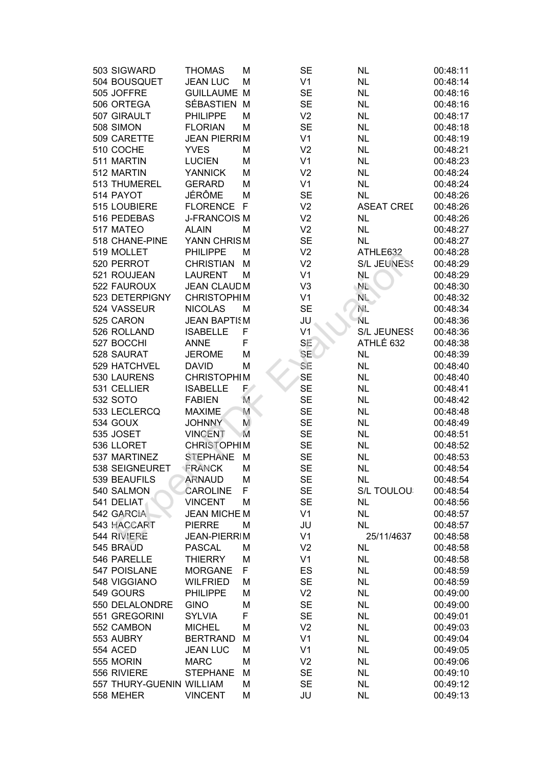| 503 SIGWARD              | <b>THOMAS</b>       | М  | <b>SE</b>      | <b>NL</b>          | 00:48:11 |
|--------------------------|---------------------|----|----------------|--------------------|----------|
| 504 BOUSQUET             | <b>JEAN LUC</b>     | М  | V <sub>1</sub> | <b>NL</b>          | 00:48:14 |
| 505 JOFFRE               | <b>GUILLAUME</b>    | M  | <b>SE</b>      | <b>NL</b>          | 00:48:16 |
| 506 ORTEGA               | SÉBASTIEN           | М  | <b>SE</b>      | <b>NL</b>          | 00:48:16 |
| 507 GIRAULT              | <b>PHILIPPE</b>     | М  | V <sub>2</sub> | <b>NL</b>          | 00:48:17 |
| 508 SIMON                | <b>FLORIAN</b>      | М  | <b>SE</b>      | <b>NL</b>          | 00:48:18 |
| 509 CARETTE              | <b>JEAN PIERRIM</b> |    | V <sub>1</sub> | <b>NL</b>          | 00:48:19 |
| 510 COCHE                | <b>YVES</b>         | М  | V <sub>2</sub> | <b>NL</b>          | 00:48:21 |
| 511 MARTIN               | <b>LUCIEN</b>       | М  | V <sub>1</sub> | <b>NL</b>          | 00:48:23 |
| 512 MARTIN               | <b>YANNICK</b>      | М  | V <sub>2</sub> | <b>NL</b>          | 00:48:24 |
| 513 THUMEREL             | <b>GERARD</b>       | М  | V <sub>1</sub> | <b>NL</b>          | 00:48:24 |
| 514 PAYOT                | JÉRÔME              | M  | <b>SE</b>      | <b>NL</b>          | 00:48:26 |
| 515 LOUBIERE             | FLORENCE F          |    | V <sub>2</sub> | <b>ASEAT CREL</b>  | 00:48:26 |
| 516 PEDEBAS              | <b>J-FRANCOIS M</b> |    | V <sub>2</sub> | <b>NL</b>          | 00:48:26 |
| 517 MATEO                | <b>ALAIN</b>        | М  | V <sub>2</sub> | <b>NL</b>          | 00:48:27 |
| 518 CHANE-PINE           | YANN CHRISM         |    | <b>SE</b>      | <b>NL</b>          | 00:48:27 |
| 519 MOLLET               | <b>PHILIPPE</b>     | М  | V <sub>2</sub> | ATHLE632           | 00:48:28 |
| 520 PERROT               | <b>CHRISTIAN</b>    | М  | V <sub>2</sub> | <b>S/L JEUNESS</b> | 00:48:29 |
| 521 ROUJEAN              | <b>LAURENT</b>      | М  | V <sub>1</sub> | <b>NL</b>          | 00:48:29 |
| 522 FAUROUX              | <b>JEAN CLAUDM</b>  |    | V <sub>3</sub> | NL.                | 00:48:30 |
| 523 DETERPIGNY           | <b>CHRISTOPHIM</b>  |    | V <sub>1</sub> | NL.                | 00:48:32 |
| 524 VASSEUR              | <b>NICOLAS</b>      | M  | <b>SE</b>      | NE.                | 00:48:34 |
| 525 CARON                | <b>JEAN BAPTISM</b> |    | JU             | ΝL                 | 00:48:36 |
| 526 ROLLAND              | <b>ISABELLE</b>     | F  | V <sub>1</sub> | <b>S/L JEUNESS</b> | 00:48:36 |
| 527 BOCCHI               | <b>ANNE</b>         | F  | SE             | ATHLÉ 632          | 00:48:38 |
| 528 SAURAT               | <b>JEROME</b>       | M  | <b>SE</b>      | <b>NL</b>          | 00:48:39 |
| 529 HATCHVEL             | <b>DAVID</b>        | M  | SE             | <b>NL</b>          | 00:48:40 |
| 530 LAURENS              | <b>CHRISTOPHIM</b>  |    | <b>SE</b>      | <b>NL</b>          | 00:48:40 |
| 531 CELLIER              | <b>ISABELLE</b>     | F/ | <b>SE</b>      | <b>NL</b>          | 00:48:41 |
| 532 SOTO                 | <b>FABIEN</b>       | M  | <b>SE</b>      | <b>NL</b>          | 00:48:42 |
| 533 LECLERCQ             | <b>MAXIME</b>       | M  | <b>SE</b>      | <b>NL</b>          | 00:48:48 |
| 534 GOUX                 | <b>JOHNNY</b>       | M  | <b>SE</b>      | <b>NL</b>          | 00:48:49 |
| 535 JOSET                | <b>VINCENT</b>      | M  | <b>SE</b>      | <b>NL</b>          | 00:48:51 |
| 536 LLORET               | <b>CHRISTOPHIM</b>  |    | <b>SE</b>      | <b>NL</b>          | 00:48:52 |
| 537 MARTINEZ             | <b>STEPHANE</b>     | M  | <b>SE</b>      | <b>NL</b>          | 00:48:53 |
| 538 SEIGNEURET           | FRANCK              | M  | <b>SE</b>      | <b>NL</b>          | 00:48:54 |
| 539 BEAUFILS             | <b>ARNAUD</b>       | M  | <b>SE</b>      | <b>NL</b>          | 00:48:54 |
| 540 SALMON               | <b>CAROLINE</b>     | F  | <b>SE</b>      | S/L TOULOU         | 00:48:54 |
| 541 DELIAT               | <b>VINCENT</b>      | М  | <b>SE</b>      | <b>NL</b>          | 00:48:56 |
| 542 GARCIA               | <b>JEAN MICHE M</b> |    | V <sub>1</sub> | <b>NL</b>          | 00:48:57 |
| 543 HACCART              | <b>PIERRE</b>       | M  | JU             | <b>NL</b>          | 00:48:57 |
| 544 RIVIERE              | <b>JEAN-PIERRIM</b> |    | V <sub>1</sub> | 25/11/4637         | 00:48:58 |
| 545 BRAUD                | <b>PASCAL</b>       | М  | V <sub>2</sub> | <b>NL</b>          | 00:48:58 |
| 546 PARELLE              | <b>THIERRY</b>      | M  | V <sub>1</sub> | <b>NL</b>          | 00:48:58 |
| 547 POISLANE             | <b>MORGANE</b>      | F. | ES             | <b>NL</b>          | 00:48:59 |
| 548 VIGGIANO             | <b>WILFRIED</b>     | М  | <b>SE</b>      | <b>NL</b>          | 00:48:59 |
| 549 GOURS                | <b>PHILIPPE</b>     | М  | V <sub>2</sub> | <b>NL</b>          | 00:49:00 |
| 550 DELALONDRE           | <b>GINO</b>         | M  | <b>SE</b>      | <b>NL</b>          | 00:49:00 |
| 551 GREGORINI            | <b>SYLVIA</b>       | F  | <b>SE</b>      | <b>NL</b>          |          |
| 552 CAMBON               |                     |    | V <sub>2</sub> | <b>NL</b>          | 00:49:01 |
|                          | <b>MICHEL</b>       | M  |                |                    | 00:49:03 |
| 553 AUBRY                | <b>BERTRAND</b>     | М  | V <sub>1</sub> | <b>NL</b>          | 00:49:04 |
| <b>554 ACED</b>          | <b>JEAN LUC</b>     | М  | V <sub>1</sub> | <b>NL</b>          | 00:49:05 |
| 555 MORIN                | <b>MARC</b>         | M  | V <sub>2</sub> | <b>NL</b>          | 00:49:06 |
| 556 RIVIERE              | <b>STEPHANE</b>     | М  | <b>SE</b>      | <b>NL</b>          | 00:49:10 |
| 557 THURY-GUENIN WILLIAM |                     | М  | <b>SE</b>      | <b>NL</b>          | 00:49:12 |
| 558 MEHER                | <b>VINCENT</b>      | M  | JU             | <b>NL</b>          | 00:49:13 |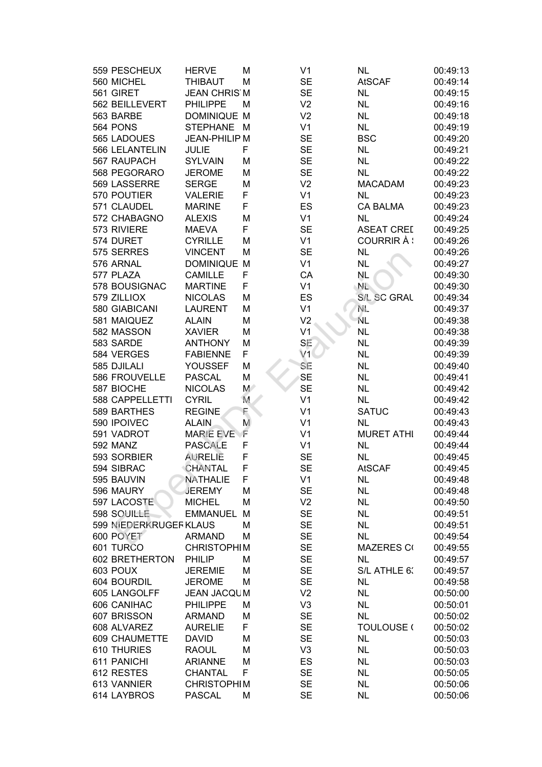| 559 PESCHEUX           | <b>HERVE</b>         | M           | V <sub>1</sub> | <b>NL</b>          | 00:49:13 |
|------------------------|----------------------|-------------|----------------|--------------------|----------|
| 560 MICHEL             | <b>THIBAUT</b>       | M           | <b>SE</b>      | <b>AtSCAF</b>      | 00:49:14 |
| 561 GIRET              | <b>JEAN CHRIS M</b>  |             | <b>SE</b>      | <b>NL</b>          | 00:49:15 |
| 562 BEILLEVERT         | <b>PHILIPPE</b>      | M           | V <sub>2</sub> | <b>NL</b>          | 00:49:16 |
| 563 BARBE              | <b>DOMINIQUE M</b>   |             | V <sub>2</sub> | <b>NL</b>          | 00:49:18 |
| 564 PONS               | STEPHANE M           |             | V <sub>1</sub> | <b>NL</b>          | 00:49:19 |
| 565 LADOUES            | <b>JEAN-PHILIP M</b> |             | <b>SE</b>      | <b>BSC</b>         | 00:49:20 |
| 566 LELANTELIN         | <b>JULIE</b>         | F           | <b>SE</b>      | <b>NL</b>          | 00:49:21 |
| 567 RAUPACH            | <b>SYLVAIN</b>       | M           | <b>SE</b>      | <b>NL</b>          | 00:49:22 |
| 568 PEGORARO           | <b>JEROME</b>        | M           | <b>SE</b>      | <b>NL</b>          | 00:49:22 |
| 569 LASSERRE           | <b>SERGE</b>         | M           | V <sub>2</sub> | <b>MACADAM</b>     | 00:49:23 |
| 570 POUTIER            | <b>VALERIE</b>       | F           | V <sub>1</sub> | <b>NL</b>          | 00:49:23 |
| 571 CLAUDEL            | <b>MARINE</b>        | F           | ES             | <b>CA BALMA</b>    | 00:49:23 |
| 572 CHABAGNO           | <b>ALEXIS</b>        | M           | V <sub>1</sub> | <b>NL</b>          | 00:49:24 |
| 573 RIVIERE            | <b>MAEVA</b>         | F           | <b>SE</b>      | <b>ASEAT CREE</b>  | 00:49:25 |
| 574 DURET              | <b>CYRILLE</b>       | M           | V <sub>1</sub> | COURRIR À :        | 00:49:26 |
| 575 SERRES             | <b>VINCENT</b>       | M           | <b>SE</b>      | <b>NL</b>          | 00:49:26 |
| 576 ARNAL              | <b>DOMINIQUE M</b>   |             | V <sub>1</sub> | <b>NL</b>          | 00:49:27 |
| 577 PLAZA              | <b>CAMILLE</b>       | F           | CA             | <b>NL</b>          | 00:49:30 |
| 578 BOUSIGNAC          | <b>MARTINE</b>       | F           | V <sub>1</sub> | NL.                | 00:49:30 |
| 579 ZILLIOX            | <b>NICOLAS</b>       | M           | ES             | <b>S/L SC GRAL</b> | 00:49:34 |
| 580 GIABICANI          | <b>LAURENT</b>       | M           | V <sub>1</sub> | NE.                | 00:49:37 |
| 581 MAIQUEZ            | <b>ALAIN</b>         | M           | V <sub>2</sub> | ΝL.                | 00:49:38 |
| 582 MASSON             | <b>XAVIER</b>        | M           | V <sub>1</sub> | <b>NL</b>          | 00:49:38 |
| 583 SARDE              | <b>ANTHONY</b>       | M           | SE             | <b>NL</b>          | 00:49:39 |
| 584 VERGES             | <b>FABIENNE</b>      | F           | V1             | <b>NL</b>          | 00:49:39 |
| 585 DJILALI            | YOUSSEF              | M           | SE             | <b>NL</b>          | 00:49:40 |
| 586 FROUVELLE          | <b>PASCAL</b>        | M           | <b>SE</b>      | <b>NL</b>          | 00:49:41 |
| 587 BIOCHE             | <b>NICOLAS</b>       | $M^{\circ}$ | <b>SE</b>      | <b>NL</b>          | 00:49:42 |
| 588 CAPPELLETTI        | <b>CYRIL</b>         | M           | V <sub>1</sub> | <b>NL</b>          | 00:49:42 |
| 589 BARTHES            | <b>REGINE</b>        | F           | V <sub>1</sub> | <b>SATUC</b>       | 00:49:43 |
| 590 IPOIVEC            | <b>ALAIN</b>         | M           | V <sub>1</sub> | <b>NL</b>          | 00:49:43 |
| 591 VADROT             | <b>MARIE EVE</b>     | νF          | V <sub>1</sub> | <b>MURET ATHI</b>  | 00:49:44 |
| 592 MANZ               | <b>PASCALE</b>       | F           | V <sub>1</sub> | <b>NL</b>          | 00:49:44 |
| 593 SORBIER            | <b>AURELIE</b>       | F           | <b>SE</b>      | <b>NL</b>          | 00:49:45 |
| 594 SIBRAC             | <b>CHANTAL</b>       | F           | <b>SE</b>      | <b>AtSCAF</b>      | 00:49:45 |
| 595 BAUVIN             | <b>NATHALIE</b>      | F           | V <sub>1</sub> | <b>NL</b>          | 00:49:48 |
| 596 MAURY              | <b>JEREMY</b>        | M           | <b>SE</b>      | <b>NL</b>          | 00:49:48 |
| 597 LACOSTE            | <b>MICHEL</b>        | M           | V <sub>2</sub> | <b>NL</b>          | 00:49:50 |
| 598 SOUILLE            | <b>EMMANUEL</b>      | M           | <b>SE</b>      | <b>NL</b>          | 00:49:51 |
| 599 NIEDERKRUGEF KLAUS |                      | M           | <b>SE</b>      | <b>NL</b>          | 00:49:51 |
| 600 POYET              | <b>ARMAND</b>        | M           | <b>SE</b>      | <b>NL</b>          | 00:49:54 |
| 601 TURCO              | <b>CHRISTOPHIM</b>   |             | <b>SE</b>      | <b>MAZERES CO</b>  | 00:49:55 |
| 602 BRETHERTON         | <b>PHILIP</b>        | М           | <b>SE</b>      | <b>NL</b>          | 00:49:57 |
| 603 POUX               | <b>JEREMIE</b>       | M           | <b>SE</b>      | S/L ATHLE 6:       | 00:49:57 |
| 604 BOURDIL            | <b>JEROME</b>        | M           | <b>SE</b>      | <b>NL</b>          | 00:49:58 |
| 605 LANGOLFF           | <b>JEAN JACQUM</b>   |             | V <sub>2</sub> | <b>NL</b>          | 00:50:00 |
| 606 CANIHAC            | <b>PHILIPPE</b>      | M           | V <sub>3</sub> | <b>NL</b>          | 00:50:01 |
| 607 BRISSON            | <b>ARMAND</b>        | M           | <b>SE</b>      | <b>NL</b>          | 00:50:02 |
| 608 ALVAREZ            | <b>AURELIE</b>       | F           | <b>SE</b>      | <b>TOULOUSE (</b>  | 00:50:02 |
| 609 CHAUMETTE          | <b>DAVID</b>         | M           | <b>SE</b>      | <b>NL</b>          | 00:50:03 |
| 610 THURIES            | <b>RAOUL</b>         | M           | V <sub>3</sub> | <b>NL</b>          | 00:50:03 |
| 611 PANICHI            | <b>ARIANNE</b>       | M           | ES             | <b>NL</b>          | 00:50:03 |
| 612 RESTES             | <b>CHANTAL</b>       | F           | <b>SE</b>      | <b>NL</b>          | 00:50:05 |
| 613 VANNIER            | <b>CHRISTOPHIM</b>   |             | <b>SE</b>      | <b>NL</b>          | 00:50:06 |
| 614 LAYBROS            | <b>PASCAL</b>        | M           | <b>SE</b>      | <b>NL</b>          | 00:50:06 |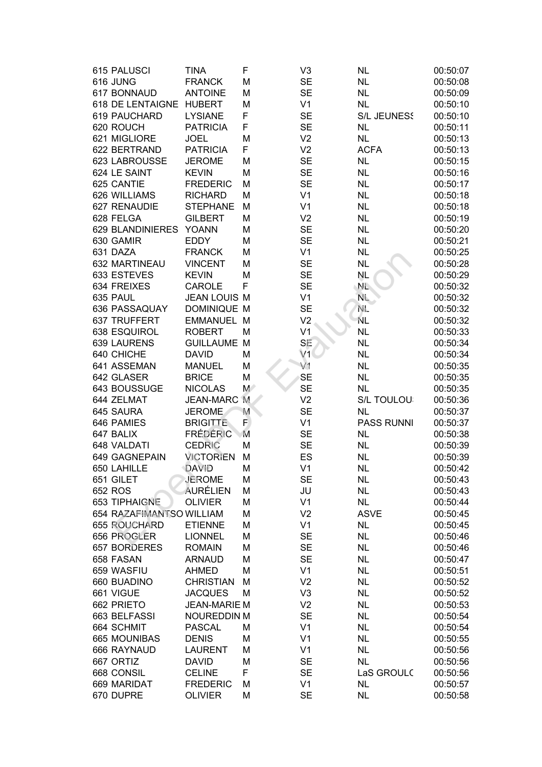| 615 PALUSCI              | TINA                | F  | V <sub>3</sub> | <b>NL</b>          | 00:50:07 |
|--------------------------|---------------------|----|----------------|--------------------|----------|
| 616 JUNG                 | <b>FRANCK</b>       | M  | <b>SE</b>      | <b>NL</b>          | 00:50:08 |
| 617 BONNAUD              | <b>ANTOINE</b>      | M  | <b>SE</b>      | <b>NL</b>          | 00:50:09 |
| 618 DE LENTAIGNE         | <b>HUBERT</b>       | М  | V <sub>1</sub> | <b>NL</b>          | 00:50:10 |
| 619 PAUCHARD             | <b>LYSIANE</b>      | F  | <b>SE</b>      | <b>S/L JEUNESS</b> | 00:50:10 |
| 620 ROUCH                | <b>PATRICIA</b>     | F  | <b>SE</b>      | <b>NL</b>          | 00:50:11 |
| 621 MIGLIORE             | <b>JOEL</b>         | M  | V <sub>2</sub> | <b>NL</b>          | 00:50:13 |
| 622 BERTRAND             | <b>PATRICIA</b>     | F. | V <sub>2</sub> | <b>ACFA</b>        | 00:50:13 |
| 623 LABROUSSE            | <b>JEROME</b>       | М  | <b>SE</b>      | <b>NL</b>          | 00:50:15 |
| 624 LE SAINT             | <b>KEVIN</b>        | M  | <b>SE</b>      | <b>NL</b>          | 00:50:16 |
| 625 CANTIE               | <b>FREDERIC</b>     | M  | <b>SE</b>      | <b>NL</b>          | 00:50:17 |
| 626 WILLIAMS             | <b>RICHARD</b>      | M  | V <sub>1</sub> | <b>NL</b>          | 00:50:18 |
| 627 RENAUDIE             | <b>STEPHANE</b>     | M  | V <sub>1</sub> | <b>NL</b>          | 00:50:18 |
| 628 FELGA                | <b>GILBERT</b>      | M  | V <sub>2</sub> | <b>NL</b>          | 00:50:19 |
| 629 BLANDINIERES         | <b>YOANN</b>        | M  | <b>SE</b>      | <b>NL</b>          | 00:50:20 |
| 630 GAMIR                | <b>EDDY</b>         | M  | <b>SE</b>      | <b>NL</b>          | 00:50:21 |
| 631 DAZA                 | <b>FRANCK</b>       | M  | V <sub>1</sub> | <b>NL</b>          | 00:50:25 |
| 632 MARTINEAU            | <b>VINCENT</b>      | M  | <b>SE</b>      | <b>NL</b>          | 00:50:28 |
| 633 ESTEVES              | <b>KEVIN</b>        | M  | <b>SE</b>      | NL                 | 00:50:29 |
| 634 FREIXES              | CAROLE              | F  | <b>SE</b>      | NL.                | 00:50:32 |
| 635 PAUL                 | <b>JEAN LOUIS M</b> |    | V <sub>1</sub> | NL.                | 00:50:32 |
| 636 PASSAQUAY            | <b>DOMINIQUE M</b>  |    | <b>SE</b>      | NE.                | 00:50:32 |
| 637 TRUFFERT             | <b>EMMANUEL M</b>   |    | V <sub>2</sub> | ÑL                 | 00:50:32 |
| 638 ESQUIROL             | <b>ROBERT</b>       | M  | V <sub>1</sub> | <b>NL</b>          | 00:50:33 |
| 639 LAURENS              | <b>GUILLAUME M</b>  |    | SE             | <b>NL</b>          | 00:50:34 |
| 640 CHICHE               | <b>DAVID</b>        | M  | V1             | <b>NL</b>          | 00:50:34 |
| 641 ASSEMAN              | <b>MANUEL</b>       | M  | V1             | <b>NL</b>          | 00:50:35 |
| 642 GLASER               | <b>BRICE</b>        | M  | <b>SE</b>      | <b>NL</b>          | 00:50:35 |
| 643 BOUSSUGE             | <b>NICOLAS</b>      | M  | <b>SE</b>      | <b>NL</b>          | 00:50:35 |
| 644 ZELMAT               | <b>JEAN-MARC</b>    | M  | V <sub>2</sub> | S/L TOULOU:        | 00:50:36 |
| 645 SAURA                | <b>JEROME</b>       | M  | <b>SE</b>      | <b>NL</b>          | 00:50:37 |
| 646 PAMIES               | <b>BRIGITTE</b>     | F. | V <sub>1</sub> | <b>PASS RUNNI</b>  | 00:50:37 |
| 647 BALIX                | <b>FRÉDÉRIC</b>     | M  | <b>SE</b>      | <b>NL</b>          | 00:50:38 |
| 648 VALDATI              | <b>CEDRIC</b>       | M  | <b>SE</b>      | <b>NL</b>          | 00:50:39 |
| 649 GAGNEPAIN            | <b>VICTORIEN</b>    | M  | ES             | <b>NL</b>          | 00:50:39 |
| 650 LAHILLE              | DAVID               | M  | V <sub>1</sub> | <b>NL</b>          | 00:50:42 |
| 651 GILET                | JEROME              | M  | <b>SE</b>      | <b>NL</b>          | 00:50:43 |
| 652 ROS                  | <b>AURÉLIEN</b>     | M  | JU             | <b>NL</b>          | 00:50:43 |
| 653 TIPHAIGNE            | <b>OLIVIER</b>      | M  | V <sub>1</sub> | <b>NL</b>          | 00:50:44 |
| 654 RAZAFIMANTSO WILLIAM |                     | M  | V <sub>2</sub> | <b>ASVE</b>        | 00:50:45 |
| 655 ROUCHARD             | <b>ETIENNE</b>      | M  | V <sub>1</sub> | <b>NL</b>          | 00:50:45 |
| 656 PROGLER              | <b>LIONNEL</b>      | M  | <b>SE</b>      | <b>NL</b>          | 00:50:46 |
| 657 BORDERES             | <b>ROMAIN</b>       | M  | <b>SE</b>      | <b>NL</b>          | 00:50:46 |
| 658 FASAN                | <b>ARNAUD</b>       | M  | <b>SE</b>      | <b>NL</b>          | 00:50:47 |
| 659 WASFIU               | <b>AHMED</b>        | M  | V <sub>1</sub> | <b>NL</b>          | 00:50:51 |
| 660 BUADINO              | <b>CHRISTIAN</b>    | M  | V <sub>2</sub> | <b>NL</b>          | 00:50:52 |
| 661 VIGUE                | <b>JACQUES</b>      | M  | V <sub>3</sub> | <b>NL</b>          | 00:50:52 |
| 662 PRIETO               | <b>JEAN-MARIE M</b> |    | V <sub>2</sub> | <b>NL</b>          | 00:50:53 |
| 663 BELFASSI             | <b>NOUREDDIN M</b>  |    | <b>SE</b>      | <b>NL</b>          | 00:50:54 |
| 664 SCHMIT               | <b>PASCAL</b>       | M  | V <sub>1</sub> | <b>NL</b>          | 00:50:54 |
| 665 MOUNIBAS             | <b>DENIS</b>        | M  | V <sub>1</sub> | <b>NL</b>          | 00:50:55 |
| 666 RAYNAUD              | <b>LAURENT</b>      | M  | V <sub>1</sub> | <b>NL</b>          | 00:50:56 |
| 667 ORTIZ                | <b>DAVID</b>        | M  | <b>SE</b>      | <b>NL</b>          | 00:50:56 |
| 668 CONSIL               | <b>CELINE</b>       | F  | <b>SE</b>      | LaS GROULC         | 00:50:56 |
| 669 MARIDAT              | <b>FREDERIC</b>     | M  | V <sub>1</sub> | <b>NL</b>          | 00:50:57 |
| 670 DUPRE                | <b>OLIVIER</b>      | M  | <b>SE</b>      | <b>NL</b>          | 00:50:58 |
|                          |                     |    |                |                    |          |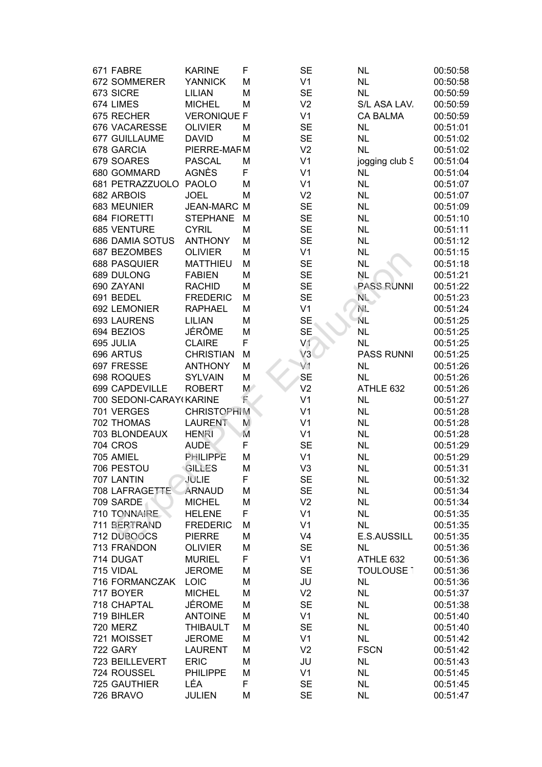| 671 FABRE               | <b>KARINE</b>      | F     | <b>SE</b>      | <b>NL</b>         | 00:50:58 |
|-------------------------|--------------------|-------|----------------|-------------------|----------|
| 672 SOMMERER            | <b>YANNICK</b>     | М     | V <sub>1</sub> | <b>NL</b>         | 00:50:58 |
| 673 SICRE               | <b>LILIAN</b>      | М     | <b>SE</b>      | <b>NL</b>         | 00:50:59 |
| 674 LIMES               | <b>MICHEL</b>      | М     | V <sub>2</sub> | S/L ASA LAV.      | 00:50:59 |
| 675 RECHER              | <b>VERONIQUE F</b> |       | V <sub>1</sub> | <b>CA BALMA</b>   | 00:50:59 |
| 676 VACARESSE           | <b>OLIVIER</b>     | М     | <b>SE</b>      | <b>NL</b>         | 00:51:01 |
| 677 GUILLAUME           | <b>DAVID</b>       | М     | <b>SE</b>      | <b>NL</b>         | 00:51:02 |
| 678 GARCIA              | PIERRE-MAFM        |       | V <sub>2</sub> | <b>NL</b>         | 00:51:02 |
| 679 SOARES              | <b>PASCAL</b>      |       | V <sub>1</sub> |                   | 00:51:04 |
|                         |                    | М     |                | jogging club S    |          |
| 680 GOMMARD             | AGNÈS              | F     | V <sub>1</sub> | <b>NL</b>         | 00:51:04 |
| 681 PETRAZZUOLO         | <b>PAOLO</b>       | М     | V <sub>1</sub> | <b>NL</b>         | 00:51:07 |
| 682 ARBOIS              | <b>JOEL</b>        | М     | V <sub>2</sub> | <b>NL</b>         | 00:51:07 |
| 683 MEUNIER             | <b>JEAN-MARC M</b> |       | <b>SE</b>      | <b>NL</b>         | 00:51:09 |
| 684 FIORETTI            | <b>STEPHANE</b>    | M     | <b>SE</b>      | <b>NL</b>         | 00:51:10 |
| 685 VENTURE             | <b>CYRIL</b>       | М     | <b>SE</b>      | <b>NL</b>         | 00:51:11 |
| 686 DAMIA SOTUS         | <b>ANTHONY</b>     | М     | <b>SE</b>      | <b>NL</b>         | 00:51:12 |
| 687 BEZOMBES            | <b>OLIVIER</b>     | М     | V <sub>1</sub> | <b>NL</b>         | 00:51:15 |
| <b>688 PASQUIER</b>     | <b>MATTHIEU</b>    | М     | <b>SE</b>      | <b>NL</b>         | 00:51:18 |
| 689 DULONG              | <b>FABIEN</b>      | М     | <b>SE</b>      | <b>NL</b>         | 00:51:21 |
| 690 ZAYANI              | <b>RACHID</b>      | M     | <b>SE</b>      | <b>PASS RUNNI</b> | 00:51:22 |
| 691 BEDEL               | <b>FREDERIC</b>    | M     | <b>SE</b>      | NL.               | 00:51:23 |
| 692 LEMONIER            | <b>RAPHAEL</b>     | М     | V <sub>1</sub> | NE.               | 00:51:24 |
| 693 LAURENS             | <b>LILIAN</b>      | М     | <b>SE</b>      | ŃL                | 00:51:25 |
| 694 BEZIOS              | <b>JÉRÔME</b>      | М     | <b>SE</b>      | <b>NL</b>         | 00:51:25 |
| 695 JULIA               | <b>CLAIRE</b>      | F     | V <sub>1</sub> | <b>NL</b>         | 00:51:25 |
| 696 ARTUS               | <b>CHRISTIAN</b>   | M     | V3             | <b>PASS RUNNI</b> | 00:51:25 |
| 697 FRESSE              | <b>ANTHONY</b>     | M     | V <sub>1</sub> | <b>NL</b>         | 00:51:26 |
| 698 ROQUES              | <b>SYLVAIN</b>     | M     | <b>SE</b>      | <b>NL</b>         | 00:51:26 |
| 699 CAPDEVILLE          | <b>ROBERT</b>      | $M^*$ | V <sub>2</sub> | ATHLE 632         | 00:51:26 |
| 700 SEDONI-CARAY(KARINE |                    | Ē     | V <sub>1</sub> | <b>NL</b>         | 00:51:27 |
| 701 VERGES              | <b>CHRISTOPHIM</b> |       | V <sub>1</sub> | <b>NL</b>         | 00:51:28 |
| 702 THOMAS              | <b>LAURENT</b>     | M     | V <sub>1</sub> | <b>NL</b>         | 00:51:28 |
| 703 BLONDEAUX           | <b>HENRI</b>       | M     | V <sub>1</sub> | <b>NL</b>         | 00:51:28 |
| <b>704 CROS</b>         | <b>AUDE</b>        | F     | <b>SE</b>      | <b>NL</b>         | 00:51:29 |
| 705 AMIEL               | PHILIPPE           | М     | V <sub>1</sub> | <b>NL</b>         | 00:51:29 |
| 706 PESTOU              | <b>GILLES</b>      | M     | V <sub>3</sub> | <b>NL</b>         | 00:51:31 |
| 707 LANTIN              | JULIE              | F     | <b>SE</b>      | <b>NL</b>         | 00:51:32 |
|                         |                    |       |                |                   |          |
| 708 LAFRAGETTE          | <b>ARNAUD</b>      | М     | <b>SE</b>      | <b>NL</b>         | 00:51:34 |
| 709 SARDE               | <b>MICHEL</b>      | М     | V <sub>2</sub> | <b>NL</b>         | 00:51:34 |
| 710 TONNAIRE            | <b>HELENE</b>      | F     | V <sub>1</sub> | <b>NL</b>         | 00:51:35 |
| 711 BERTRAND            | <b>FREDERIC</b>    | М     | V <sub>1</sub> | <b>NL</b>         | 00:51:35 |
| 712 DUBOOCS             | <b>PIERRE</b>      | М     | V <sub>4</sub> | E.S.AUSSILL       | 00:51:35 |
| 713 FRANDON             | <b>OLIVIER</b>     | М     | <b>SE</b>      | <b>NL</b>         | 00:51:36 |
| 714 DUGAT               | <b>MURIEL</b>      | F     | V <sub>1</sub> | ATHLE 632         | 00:51:36 |
| 715 VIDAL               | <b>JEROME</b>      | М     | <b>SE</b>      | <b>TOULOUSE 1</b> | 00:51:36 |
| 716 FORMANCZAK          | <b>LOIC</b>        | M     | JU             | <b>NL</b>         | 00:51:36 |
| 717 BOYER               | <b>MICHEL</b>      | М     | V <sub>2</sub> | <b>NL</b>         | 00:51:37 |
| 718 CHAPTAL             | <b>JÉROME</b>      | М     | <b>SE</b>      | <b>NL</b>         | 00:51:38 |
| 719 BIHLER              | <b>ANTOINE</b>     | M     | V <sub>1</sub> | <b>NL</b>         | 00:51:40 |
| <b>720 MERZ</b>         | <b>THIBAULT</b>    | М     | <b>SE</b>      | <b>NL</b>         | 00:51:40 |
| 721 MOISSET             | <b>JEROME</b>      | M     | V <sub>1</sub> | <b>NL</b>         | 00:51:42 |
| <b>722 GARY</b>         | <b>LAURENT</b>     | M     | V <sub>2</sub> | <b>FSCN</b>       | 00:51:42 |
| 723 BEILLEVERT          | <b>ERIC</b>        | М     | JU             | <b>NL</b>         | 00:51:43 |
| 724 ROUSSEL             | <b>PHILIPPE</b>    | М     | V <sub>1</sub> | <b>NL</b>         | 00:51:45 |
| 725 GAUTHIER            | LÉA                | F     | <b>SE</b>      | <b>NL</b>         | 00:51:45 |
| 726 BRAVO               | <b>JULIEN</b>      | M     | <b>SE</b>      | <b>NL</b>         | 00:51:47 |
|                         |                    |       |                |                   |          |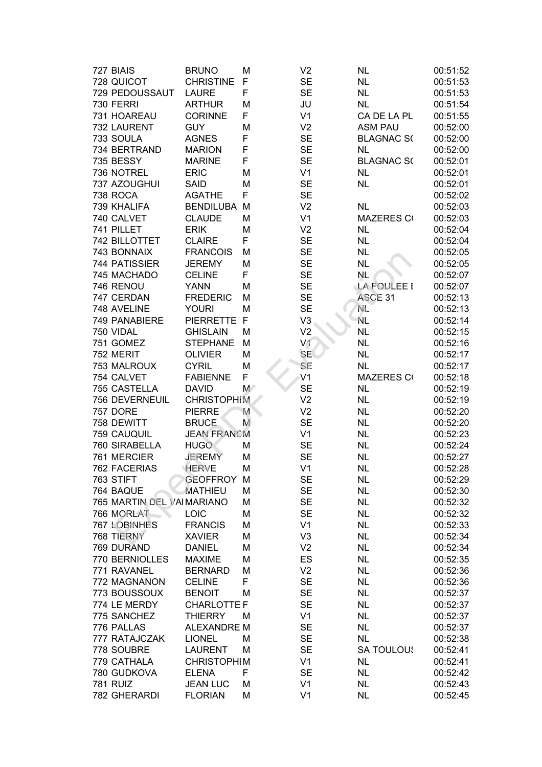| 727 BIAIS                 | <b>BRUNO</b>       | M     | V <sub>2</sub> | <b>NL</b>         | 00:51:52 |
|---------------------------|--------------------|-------|----------------|-------------------|----------|
| 728 QUICOT                | <b>CHRISTINE</b>   | F     | <b>SE</b>      | <b>NL</b>         | 00:51:53 |
| 729 PEDOUSSAUT            | <b>LAURE</b>       | F     | <b>SE</b>      | <b>NL</b>         | 00:51:53 |
| 730 FERRI                 | <b>ARTHUR</b>      | M     | JU             | <b>NL</b>         | 00:51:54 |
| 731 HOAREAU               | <b>CORINNE</b>     | F     | V <sub>1</sub> | CA DE LA PL       | 00:51:55 |
| 732 LAURENT               | <b>GUY</b>         | M     | V <sub>2</sub> | <b>ASM PAU</b>    | 00:52:00 |
| 733 SOULA                 | <b>AGNES</b>       | F     | <b>SE</b>      | <b>BLAGNAC S(</b> | 00:52:00 |
| 734 BERTRAND              | <b>MARION</b>      | F     | <b>SE</b>      | <b>NL</b>         | 00:52:00 |
| 735 BESSY                 | <b>MARINE</b>      | F     | <b>SE</b>      | <b>BLAGNAC S(</b> | 00:52:01 |
| 736 NOTREL                | <b>ERIC</b>        | M     | V <sub>1</sub> | <b>NL</b>         | 00:52:01 |
| 737 AZOUGHUI              | <b>SAID</b>        | M     | <b>SE</b>      | <b>NL</b>         | 00:52:01 |
| <b>738 ROCA</b>           | <b>AGATHE</b>      | F     | <b>SE</b>      |                   | 00:52:02 |
| 739 KHALIFA               | <b>BENDILUBA</b>   | M     | V <sub>2</sub> | <b>NL</b>         | 00:52:03 |
| 740 CALVET                | <b>CLAUDE</b>      | M     | V <sub>1</sub> | <b>MAZERES CO</b> | 00:52:03 |
| 741 PILLET                | <b>ERIK</b>        | M     | V <sub>2</sub> | <b>NL</b>         | 00:52:04 |
| 742 BILLOTTET             | <b>CLAIRE</b>      | F     | <b>SE</b>      | <b>NL</b>         | 00:52:04 |
| 743 BONNAIX               | <b>FRANCOIS</b>    | M     | <b>SE</b>      | <b>NL</b>         | 00:52:05 |
| 744 PATISSIER             | <b>JEREMY</b>      | M     | <b>SE</b>      | <b>NL</b>         | 00:52:05 |
| 745 MACHADO               | <b>CELINE</b>      | F     | <b>SE</b>      | NL.               | 00:52:07 |
| 746 RENOU                 | <b>YANN</b>        | M     | <b>SE</b>      | LA FOULEE I       | 00:52:07 |
| 747 CERDAN                | <b>FREDERIC</b>    | M     | <b>SE</b>      | ASCE 31           | 00:52:13 |
| 748 AVELINE               | <b>YOURI</b>       | M     | <b>SE</b>      | NE.               | 00:52:13 |
| 749 PANABIERE             | PIERRETTE F        |       | V <sub>3</sub> | NL                | 00:52:14 |
| 750 VIDAL                 | <b>GHISLAIN</b>    | M     | V <sub>2</sub> | <b>NL</b>         | 00:52:15 |
| 751 GOMEZ                 | <b>STEPHANE</b>    | M     | V <sub>1</sub> | <b>NL</b>         | 00:52:16 |
| 752 MERIT                 | <b>OLIVIER</b>     | M     | <b>SE</b>      | <b>NL</b>         | 00:52:17 |
| 753 MALROUX               | <b>CYRIL</b>       | M     | SE             | <b>NL</b>         | 00:52:17 |
| 754 CALVET                | <b>FABIENNE</b>    | F     | V <sub>1</sub> | <b>MAZERES CO</b> | 00:52:18 |
| 755 CASTELLA              | <b>DAVID</b>       | $M^2$ | <b>SE</b>      | <b>NL</b>         | 00:52:19 |
| 756 DEVERNEUIL            | <b>CHRISTOPHIM</b> |       | V <sub>2</sub> | <b>NL</b>         | 00:52:19 |
| <b>757 DORE</b>           | <b>PIERRE</b>      | M     | V <sub>2</sub> | <b>NL</b>         | 00:52:20 |
| 758 DEWITT                | <b>BRUCE</b>       | M     | <b>SE</b>      | <b>NL</b>         | 00:52:20 |
| 759 CAUQUIL               | <b>JEAN FRANCM</b> |       | V <sub>1</sub> | <b>NL</b>         | 00:52:23 |
| 760 SIRABELLA             | <b>HUGO</b>        | M     | <b>SE</b>      | <b>NL</b>         | 00:52:24 |
| 761 MERCIER               | <b>JEREMY</b>      | M     | <b>SE</b>      | <b>NL</b>         | 00:52:27 |
| <b>762 FACERIAS</b>       | <b>HERVE</b>       | M     | V <sub>1</sub> | <b>NL</b>         | 00:52:28 |
| 763 STIFT                 | <b>GEOFFROY M</b>  |       | <b>SE</b>      | <b>NL</b>         | 00:52:29 |
| 764 BAQUE                 | <b>MATHIEU</b>     | M     | <b>SE</b>      | <b>NL</b>         | 00:52:30 |
| 765 MARTIN DEL VAIMARIANO |                    | M     | <b>SE</b>      | <b>NL</b>         | 00:52:32 |
| 766 MORLAT                | <b>LOIC</b>        | M     | <b>SE</b>      | <b>NL</b>         | 00:52:32 |
| 767 LOBINHES              | <b>FRANCIS</b>     | M     | V <sub>1</sub> | <b>NL</b>         | 00:52:33 |
| 768 TIERNY                | <b>XAVIER</b>      | M     | V <sub>3</sub> | <b>NL</b>         | 00:52:34 |
| 769 DURAND                | <b>DANIEL</b>      | M     | V <sub>2</sub> | <b>NL</b>         | 00:52:34 |
| 770 BERNIOLLES            | <b>MAXIME</b>      | M     | ES             | <b>NL</b>         | 00:52:35 |
| 771 RAVANEL               | <b>BERNARD</b>     | M     | V <sub>2</sub> | <b>NL</b>         | 00:52:36 |
| 772 MAGNANON              | <b>CELINE</b>      | F     | <b>SE</b>      | <b>NL</b>         | 00:52:36 |
| 773 BOUSSOUX              | <b>BENOIT</b>      | M     | <b>SE</b>      | <b>NL</b>         | 00:52:37 |
| 774 LE MERDY              | <b>CHARLOTTE F</b> |       | <b>SE</b>      | <b>NL</b>         | 00:52:37 |
| 775 SANCHEZ               | <b>THIERRY</b>     | M     | V <sub>1</sub> | <b>NL</b>         | 00:52:37 |
| 776 PALLAS                | <b>ALEXANDRE M</b> |       | <b>SE</b>      | <b>NL</b>         | 00:52:37 |
| 777 RATAJCZAK             | <b>LIONEL</b>      | M     | <b>SE</b>      | <b>NL</b>         | 00:52:38 |
| 778 SOUBRE                | <b>LAURENT</b>     | M     | <b>SE</b>      | <b>SA TOULOUS</b> | 00:52:41 |
| 779 CATHALA               | <b>CHRISTOPHIM</b> |       | V <sub>1</sub> | <b>NL</b>         | 00:52:41 |
| 780 GUDKOVA               | <b>ELENA</b>       | F     | <b>SE</b>      | <b>NL</b>         | 00:52:42 |
| <b>781 RUIZ</b>           | <b>JEAN LUC</b>    | M     | V <sub>1</sub> | <b>NL</b>         | 00:52:43 |
| 782 GHERARDI              | <b>FLORIAN</b>     | M     | V <sub>1</sub> | <b>NL</b>         | 00:52:45 |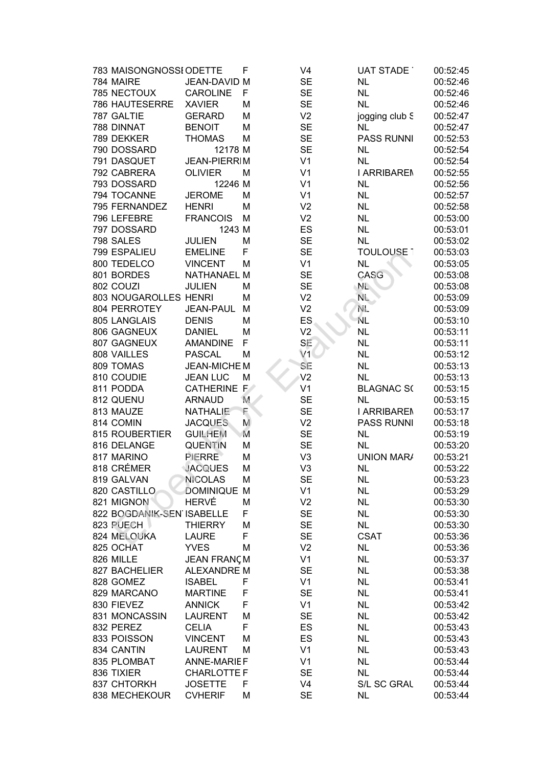| 783 MAISONGNOSSI ODETTE   |                     | F  | V <sub>4</sub> | UAT STADE          | 00:52:45 |
|---------------------------|---------------------|----|----------------|--------------------|----------|
| 784 MAIRE                 | JEAN-DAVID M        |    | <b>SE</b>      | <b>NL</b>          | 00:52:46 |
| 785 NECTOUX               | <b>CAROLINE</b>     | F  | <b>SE</b>      | <b>NL</b>          | 00:52:46 |
| <b>786 HAUTESERRE</b>     | <b>XAVIER</b>       | M  | <b>SE</b>      | <b>NL</b>          | 00:52:46 |
| 787 GALTIE                | <b>GERARD</b>       | м  | V <sub>2</sub> | jogging club S     | 00:52:47 |
| 788 DINNAT                | <b>BENOIT</b>       | M  | <b>SE</b>      | NL                 | 00:52:47 |
| 789 DEKKER                | <b>THOMAS</b>       | M  | <b>SE</b>      | <b>PASS RUNNI</b>  | 00:52:53 |
| 790 DOSSARD               | 12178 M             |    | <b>SE</b>      | <b>NL</b>          | 00:52:54 |
| 791 DASQUET               | <b>JEAN-PIERRIM</b> |    | V <sub>1</sub> | <b>NL</b>          | 00:52:54 |
| 792 CABRERA               | <b>OLIVIER</b>      | M  | V <sub>1</sub> | <b>I ARRIBAREN</b> | 00:52:55 |
| 793 DOSSARD               | 12246 M             |    | V <sub>1</sub> | <b>NL</b>          | 00:52:56 |
| 794 TOCANNE               | <b>JEROME</b>       | M  | V <sub>1</sub> | <b>NL</b>          | 00:52:57 |
| 795 FERNANDEZ             | <b>HENRI</b>        | M  | V <sub>2</sub> | <b>NL</b>          | 00:52:58 |
| 796 LEFEBRE               | <b>FRANCOIS</b>     | M  | V <sub>2</sub> | <b>NL</b>          | 00:53:00 |
| 797 DOSSARD               | 1243 M              |    | ES             | <b>NL</b>          | 00:53:01 |
| 798 SALES                 | <b>JULIEN</b>       | M  | <b>SE</b>      | <b>NL</b>          | 00:53:02 |
| 799 ESPALIEU              | <b>EMELINE</b>      | F  | <b>SE</b>      | <b>TOULOUSE 1</b>  | 00:53:03 |
| 800 TEDELCO               | <b>VINCENT</b>      | M  | V <sub>1</sub> | <b>NL</b>          | 00:53:05 |
| 801 BORDES                | <b>NATHANAEL M</b>  |    | <b>SE</b>      | CASG               | 00:53:08 |
| 802 COUZI                 | <b>JULIEN</b>       | M  | <b>SE</b>      | NL.                | 00:53:08 |
| 803 NOUGAROLLES HENRI     |                     | M  | V <sub>2</sub> | NL.                | 00:53:09 |
| 804 PERROTEY              | <b>JEAN-PAUL</b>    | M  | V <sub>2</sub> | NE.                | 00:53:09 |
| 805 LANGLAIS              | <b>DENIS</b>        | M  | ES             | ΝL                 | 00:53:10 |
| 806 GAGNEUX               | <b>DANIEL</b>       | M  | V <sub>2</sub> | <b>NL</b>          | 00:53:11 |
| 807 GAGNEUX               | <b>AMANDINE</b>     | F  | SE             | <b>NL</b>          | 00:53:11 |
| 808 VAILLES               | <b>PASCAL</b>       | M  | V1             | <b>NL</b>          | 00:53:12 |
| 809 TOMAS                 | JEAN-MICHE M        |    | SE             | <b>NL</b>          | 00:53:13 |
| 810 COUDIE                | <b>JEAN LUC</b>     | M  | V <sub>2</sub> | <b>NL</b>          | 00:53:13 |
| 811 PODDA                 | CATHERINE F         |    | V <sub>1</sub> | <b>BLAGNAC S(</b>  | 00:53:15 |
| 812 QUENU                 | <b>ARNAUD</b>       | M. | <b>SE</b>      | <b>NL</b>          | 00:53:15 |
| 813 MAUZE                 | <b>NATHALIE</b>     | F  | <b>SE</b>      | <b>I ARRIBAREN</b> | 00:53:17 |
| 814 COMIN                 | <b>JACQUES</b>      | M  | V <sub>2</sub> | <b>PASS RUNNI</b>  | 00:53:18 |
| 815 ROUBERTIER            | <b>GUILHEM</b>      | M  | <b>SE</b>      | <b>NL</b>          | 00:53:19 |
| 816 DELANGE               | <b>QUENTIN</b>      | M  | <b>SE</b>      | <b>NL</b>          | 00:53:20 |
| 817 MARINO                | <b>PIERRE</b>       | M  | V <sub>3</sub> | <b>UNION MARA</b>  | 00:53:21 |
| 818 CRÉMER                | <b>JACQUES</b>      | M  | V <sub>3</sub> | <b>NL</b>          | 00:53:22 |
| 819 GALVAN                | <b>NICOLAS</b>      | M  | <b>SE</b>      | <b>NL</b>          | 00:53:23 |
| 820 CASTILLO              | DOMINIQUE M         |    | V <sub>1</sub> | <b>NL</b>          | 00:53:29 |
| 821 MIGNON                | <b>HERVÉ</b>        | M  | V <sub>2</sub> | <b>NL</b>          | 00:53:30 |
| 822 BOGDANIK-SEN ISABELLE |                     | F  | <b>SE</b>      | <b>NL</b>          | 00:53:30 |
| 823 PUECH                 | <b>THIERRY</b>      | M  | <b>SE</b>      | <b>NL</b>          | 00:53:30 |
| 824 MELOUKA               | <b>LAURE</b>        | F  | <b>SE</b>      | <b>CSAT</b>        | 00:53:36 |
| 825 OCHAT                 | <b>YVES</b>         | M  | V <sub>2</sub> | <b>NL</b>          | 00:53:36 |
| 826 MILLE                 | <b>JEAN FRANÇM</b>  |    | V <sub>1</sub> | <b>NL</b>          | 00:53:37 |
| 827 BACHELIER             | <b>ALEXANDRE M</b>  |    | <b>SE</b>      | <b>NL</b>          | 00:53:38 |
| 828 GOMEZ                 | <b>ISABEL</b>       | F  | V <sub>1</sub> | <b>NL</b>          | 00:53:41 |
| 829 MARCANO               |                     | F  |                | <b>NL</b>          |          |
|                           | <b>MARTINE</b>      | F  | <b>SE</b>      |                    | 00:53:41 |
| 830 FIEVEZ                | <b>ANNICK</b>       |    | V <sub>1</sub> | <b>NL</b>          | 00:53:42 |
| 831 MONCASSIN             | <b>LAURENT</b>      | M  | <b>SE</b>      | <b>NL</b>          | 00:53:42 |
| 832 PEREZ                 | <b>CELIA</b>        | F  | ES             | <b>NL</b>          | 00:53:43 |
| 833 POISSON               | <b>VINCENT</b>      | M  | ES             | <b>NL</b>          | 00:53:43 |
| 834 CANTIN                | <b>LAURENT</b>      | M  | V <sub>1</sub> | <b>NL</b>          | 00:53:43 |
| 835 PLOMBAT               | <b>ANNE-MARIEF</b>  |    | V <sub>1</sub> | <b>NL</b>          | 00:53:44 |
| 836 TIXIER                | <b>CHARLOTTE F</b>  |    | <b>SE</b>      | <b>NL</b>          | 00:53:44 |
| 837 CHTORKH               | <b>JOSETTE</b>      | F  | V <sub>4</sub> | S/L SC GRAL        | 00:53:44 |
| 838 MECHEKOUR             | <b>CVHERIF</b>      | M  | <b>SE</b>      | <b>NL</b>          | 00:53:44 |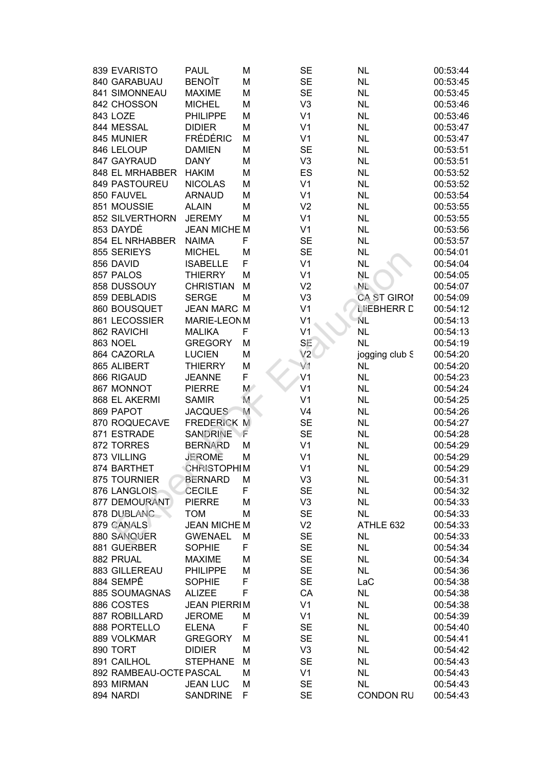| 839 EVARISTO            | <b>PAUL</b>         | M     | <b>SE</b>      | <b>NL</b>          | 00:53:44 |
|-------------------------|---------------------|-------|----------------|--------------------|----------|
| 840 GARABUAU            | <b>BENOÎT</b>       | M     | <b>SE</b>      | <b>NL</b>          | 00:53:45 |
| 841 SIMONNEAU           | <b>MAXIME</b>       | M     | <b>SE</b>      | <b>NL</b>          | 00:53:45 |
|                         |                     |       |                |                    |          |
| 842 CHOSSON             | <b>MICHEL</b>       | M     | V <sub>3</sub> | <b>NL</b>          | 00:53:46 |
| 843 LOZE                | <b>PHILIPPE</b>     | M     | V <sub>1</sub> | <b>NL</b>          | 00:53:46 |
| 844 MESSAL              | <b>DIDIER</b>       | M     | V <sub>1</sub> | <b>NL</b>          | 00:53:47 |
| 845 MUNIER              | <b>FRÉDÉRIC</b>     | M     | V <sub>1</sub> | <b>NL</b>          | 00:53:47 |
| 846 LELOUP              | <b>DAMIEN</b>       | M     | <b>SE</b>      | <b>NL</b>          | 00:53:51 |
| 847 GAYRAUD             | <b>DANY</b>         | M     | V <sub>3</sub> | <b>NL</b>          | 00:53:51 |
| 848 EL MRHABBER         | <b>HAKIM</b>        | M     | ES             | <b>NL</b>          | 00:53:52 |
| 849 PASTOUREU           | <b>NICOLAS</b>      | M     | V <sub>1</sub> | <b>NL</b>          | 00:53:52 |
| 850 FAUVEL              | <b>ARNAUD</b>       | M     | V <sub>1</sub> | <b>NL</b>          | 00:53:54 |
| 851 MOUSSIE             | <b>ALAIN</b>        | M     | V <sub>2</sub> | <b>NL</b>          | 00:53:55 |
| 852 SILVERTHORN         | <b>JEREMY</b>       | M     | V <sub>1</sub> | <b>NL</b>          | 00:53:55 |
| 853 DAYDÉ               | <b>JEAN MICHE M</b> |       | V <sub>1</sub> | <b>NL</b>          | 00:53:56 |
| 854 EL NRHABBER         | <b>NAIMA</b>        | F     | <b>SE</b>      | <b>NL</b>          | 00:53:57 |
| 855 SERIEYS             | <b>MICHEL</b>       | M     | <b>SE</b>      | <b>NL</b>          | 00:54:01 |
| 856 DAVID               | <b>ISABELLE</b>     | F     | V <sub>1</sub> | <b>NL</b>          | 00:54:04 |
| 857 PALOS               | <b>THIERRY</b>      | М     | V <sub>1</sub> | <b>NL</b>          | 00:54:05 |
| 858 DUSSOUY             | <b>CHRISTIAN</b>    | M     | V <sub>2</sub> | NĿ.                | 00:54:07 |
| 859 DEBLADIS            | <b>SERGE</b>        | M     | V <sub>3</sub> | <b>CA ST GIRON</b> | 00:54:09 |
| 860 BOUSQUET            | <b>JEAN MARC M</b>  |       | V <sub>1</sub> | <b>LIEBHERR D</b>  | 00:54:12 |
|                         | MARIE-LEONM         |       |                |                    |          |
| 861 LECOSSIER           |                     |       | V <sub>1</sub> | NL                 | 00:54:13 |
| 862 RAVICHI             | <b>MALIKA</b>       | F     | V <sub>1</sub> | <b>NL</b>          | 00:54:13 |
| <b>863 NOEL</b>         | <b>GREGORY</b>      | M     | SE             | <b>NL</b>          | 00:54:19 |
| 864 CAZORLA             | <b>LUCIEN</b>       | M     | V2             | jogging club S     | 00:54:20 |
| 865 ALIBERT             | <b>THIERRY</b>      | M     | V1             | <b>NL</b>          | 00:54:20 |
| 866 RIGAUD              | <b>JEANNE</b>       | F     | V <sub>1</sub> | <b>NL</b>          | 00:54:23 |
| 867 MONNOT              | <b>PIERRE</b>       | $M^*$ | V <sub>1</sub> | <b>NL</b>          | 00:54:24 |
| 868 EL AKERMI           | <b>SAMIR</b>        | M     | V <sub>1</sub> | <b>NL</b>          | 00:54:25 |
| 869 PAPOT               | <b>JACQUES</b>      | M     | V <sub>4</sub> | <b>NL</b>          | 00:54:26 |
| 870 ROQUECAVE           | <b>FREDERICK M</b>  |       | <b>SE</b>      | <b>NL</b>          | 00:54:27 |
| 871 ESTRADE             | <b>SANDRINE</b>     | F     | <b>SE</b>      | <b>NL</b>          | 00:54:28 |
| 872 TORRES              | <b>BERNARD</b>      | M     | V <sub>1</sub> | <b>NL</b>          | 00:54:29 |
| 873 VILLING             | <b>JEROME</b>       | M     | V <sub>1</sub> | <b>NL</b>          | 00:54:29 |
| 874 BARTHET             | <b>CHRISTOPHIM</b>  |       | V <sub>1</sub> | <b>NL</b>          | 00:54:29 |
| 875 TOURNIER            | <b>BERNARD</b>      | M     | V <sub>3</sub> | <b>NL</b>          | 00:54:31 |
| 876 LANGLOIS            | <b>CECILE</b>       | F     | <b>SE</b>      | <b>NL</b>          | 00:54:32 |
| 877 DEMOURANT           | <b>PIERRE</b>       | M     | V <sub>3</sub> | <b>NL</b>          | 00:54:33 |
| 878 DUBLANC             | <b>TOM</b>          | М     | <b>SE</b>      | <b>NL</b>          | 00:54:33 |
| 879 CANALS              | <b>JEAN MICHE M</b> |       | V <sub>2</sub> | ATHLE 632          | 00:54:33 |
| <b>880 SANQUER</b>      | <b>GWENAEL</b>      | М     | <b>SE</b>      | <b>NL</b>          | 00:54:33 |
| 881 GUERBER             | <b>SOPHIE</b>       | F     |                |                    |          |
|                         |                     |       | <b>SE</b>      | <b>NL</b>          | 00:54:34 |
| 882 PRUAL               | <b>MAXIME</b>       | M     | <b>SE</b>      | <b>NL</b>          | 00:54:34 |
| 883 GILLEREAU           | <b>PHILIPPE</b>     | M     | <b>SE</b>      | <b>NL</b>          | 00:54:36 |
| 884 SEMPÊ               | <b>SOPHIE</b>       | F     | <b>SE</b>      | LaC                | 00:54:38 |
| 885 SOUMAGNAS           | <b>ALIZEE</b>       | F     | CA             | <b>NL</b>          | 00:54:38 |
| 886 COSTES              | <b>JEAN PIERRIM</b> |       | V <sub>1</sub> | <b>NL</b>          | 00:54:38 |
| 887 ROBILLARD           | <b>JEROME</b>       | M     | V <sub>1</sub> | <b>NL</b>          | 00:54:39 |
| 888 PORTELLO            | <b>ELENA</b>        | F     | <b>SE</b>      | <b>NL</b>          | 00:54:40 |
| 889 VOLKMAR             | <b>GREGORY</b>      | M     | <b>SE</b>      | <b>NL</b>          | 00:54:41 |
| 890 TORT                | <b>DIDIER</b>       | М     | V <sub>3</sub> | <b>NL</b>          | 00:54:42 |
| 891 CAILHOL             | <b>STEPHANE</b>     | M     | <b>SE</b>      | <b>NL</b>          | 00:54:43 |
| 892 RAMBEAU-OCTE PASCAL |                     | М     | V <sub>1</sub> | <b>NL</b>          | 00:54:43 |
| 893 MIRMAN              | <b>JEAN LUC</b>     | M     | <b>SE</b>      | <b>NL</b>          | 00:54:43 |
| 894 NARDI               | <b>SANDRINE</b>     | F     | <b>SE</b>      | <b>CONDON RU</b>   | 00:54:43 |
|                         |                     |       |                |                    |          |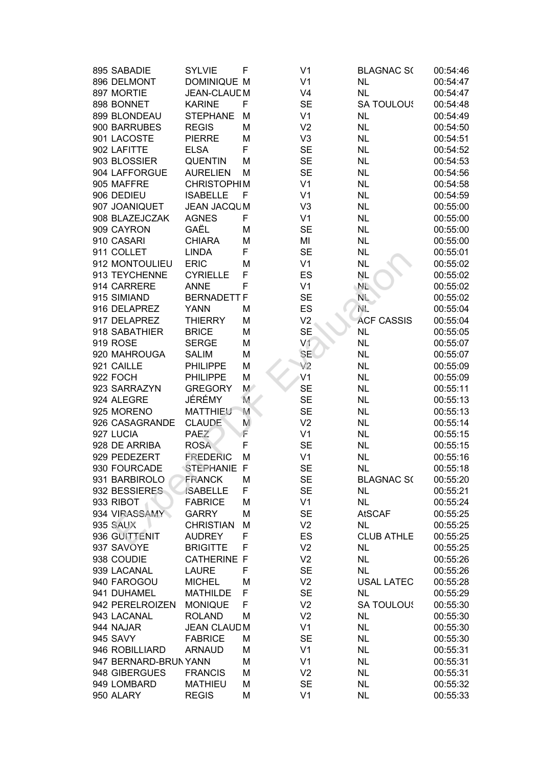| 895 SABADIE           | <b>SYLVIE</b>      | F            | V <sub>1</sub> | <b>BLAGNAC S(</b> | 00:54:46 |
|-----------------------|--------------------|--------------|----------------|-------------------|----------|
| 896 DELMONT           | <b>DOMINIQUE M</b> |              | V <sub>1</sub> | <b>NL</b>         | 00:54:47 |
| 897 MORTIE            | <b>JEAN-CLAUDM</b> |              | V <sub>4</sub> | <b>NL</b>         | 00:54:47 |
| 898 BONNET            | <b>KARINE</b>      | F            | <b>SE</b>      | <b>SA TOULOUS</b> | 00:54:48 |
| 899 BLONDEAU          | <b>STEPHANE</b>    | M            | V <sub>1</sub> | <b>NL</b>         | 00:54:49 |
| 900 BARRUBES          | <b>REGIS</b>       | M            | V <sub>2</sub> | <b>NL</b>         | 00:54:50 |
| 901 LACOSTE           | <b>PIERRE</b>      | М            | V <sub>3</sub> | <b>NL</b>         | 00:54:51 |
| 902 LAFITTE           | <b>ELSA</b>        | F            | <b>SE</b>      | <b>NL</b>         | 00:54:52 |
| 903 BLOSSIER          | <b>QUENTIN</b>     | M            | <b>SE</b>      | <b>NL</b>         | 00:54:53 |
| 904 LAFFORGUE         | <b>AURELIEN</b>    | M            | <b>SE</b>      | <b>NL</b>         | 00:54:56 |
| 905 MAFFRE            | <b>CHRISTOPHIM</b> |              | V <sub>1</sub> | <b>NL</b>         | 00:54:58 |
| 906 DEDIEU            | <b>ISABELLE</b>    | $\mathsf{F}$ | V <sub>1</sub> | <b>NL</b>         | 00:54:59 |
| 907 JOANIQUET         | <b>JEAN JACQUM</b> |              | V <sub>3</sub> | <b>NL</b>         | 00:55:00 |
| 908 BLAZEJCZAK        | <b>AGNES</b>       | F            | V <sub>1</sub> | NL                | 00:55:00 |
| 909 CAYRON            | GAËL               | М            | <b>SE</b>      | NL                | 00:55:00 |
| 910 CASARI            | <b>CHIARA</b>      | М            | MI             | <b>NL</b>         | 00:55:00 |
| 911 COLLET            | <b>LINDA</b>       | F            | <b>SE</b>      | <b>NL</b>         | 00:55:01 |
| 912 MONTOULIEU        | <b>ERIC</b>        | М            | V <sub>1</sub> | <b>NL</b>         | 00:55:02 |
| 913 TEYCHENNE         | <b>CYRIELLE</b>    | F            | ES             | <b>NL</b>         | 00:55:02 |
| 914 CARRERE           | <b>ANNE</b>        | F            | V <sub>1</sub> | $N_{\rm L}$       | 00:55:02 |
| 915 SIMIAND           | <b>BERNADETT F</b> |              | <b>SE</b>      | $N_{\rm L}$       | 00:55:02 |
| 916 DELAPREZ          | <b>YANN</b>        | M            | ES             | NE.               | 00:55:04 |
| 917 DELAPREZ          | <b>THIERRY</b>     | M            | V <sub>2</sub> | <b>ACF CASSIS</b> | 00:55:04 |
| 918 SABATHIER         | <b>BRICE</b>       | М            | <b>SE</b>      | <b>NL</b>         | 00:55:05 |
| 919 ROSE              | <b>SERGE</b>       | М            | V <sub>1</sub> | NL                | 00:55:07 |
| 920 MAHROUGA          | <b>SALIM</b>       | M            | <b>SE</b>      | <b>NL</b>         | 00:55:07 |
| 921 CAILLE            | <b>PHILIPPE</b>    | M            | V <sub>2</sub> | NL                | 00:55:09 |
| 922 FOCH              | <b>PHILIPPE</b>    | M            | V <sub>1</sub> | <b>NL</b>         | 00:55:09 |
| 923 SARRAZYN          | <b>GREGORY</b>     | $M^{\geq}$   | <b>SE</b>      | <b>NL</b>         | 00:55:11 |
| 924 ALEGRE            | JÉRÉMY             | M.           | <b>SE</b>      | <b>NL</b>         | 00:55:13 |
| 925 MORENO            | <b>MATTHIEU</b>    | M            | <b>SE</b>      | <b>NL</b>         | 00:55:13 |
| 926 CASAGRANDE        | <b>CLAUDE</b>      | M            | V <sub>2</sub> | <b>NL</b>         | 00:55:14 |
| 927 LUCIA             | <b>PAEZ</b>        | F            | V <sub>1</sub> | <b>NL</b>         | 00:55:15 |
| 928 DE ARRIBA         | <b>ROSA</b>        | F            | <b>SE</b>      | <b>NL</b>         | 00:55:15 |
| 929 PEDEZERT          | <b>FREDERIC</b>    | M            | V <sub>1</sub> | <b>NL</b>         | 00:55:16 |
| 930 FOURCADE          | STEPHANIE F        |              | <b>SE</b>      | <b>NL</b>         | 00:55:18 |
| 931 BARBIROLO         | <b>FRANCK</b>      | M            | <b>SE</b>      | <b>BLAGNAC S(</b> | 00:55:20 |
| 932 BESSIERES         | <b>ISABELLE</b>    | F            | <b>SE</b>      | <b>NL</b>         | 00:55:21 |
| 933 RIBOT             | <b>FABRICE</b>     | M            | V <sub>1</sub> | <b>NL</b>         | 00:55:24 |
| 934 VIRASSAMY         | <b>GARRY</b>       | M            | <b>SE</b>      | <b>AtSCAF</b>     | 00:55:25 |
| 935 SAUX              | <b>CHRISTIAN</b>   | M            | V <sub>2</sub> | <b>NL</b>         | 00:55:25 |
| 936 GUITTENIT         | <b>AUDREY</b>      | F            | ES             | <b>CLUB ATHLE</b> | 00:55:25 |
| 937 SAVOYE            | <b>BRIGITTE</b>    | F            | V <sub>2</sub> | <b>NL</b>         | 00:55:25 |
| 938 COUDIE            | <b>CATHERINE F</b> |              | V <sub>2</sub> | <b>NL</b>         | 00:55:26 |
| 939 LACANAL           | <b>LAURE</b>       | F            | <b>SE</b>      | <b>NL</b>         | 00:55:26 |
| 940 FAROGOU           | <b>MICHEL</b>      | M            | V <sub>2</sub> | <b>USAL LATEC</b> | 00:55:28 |
| 941 DUHAMEL           | <b>MATHILDE</b>    | F            | <b>SE</b>      | <b>NL</b>         | 00:55:29 |
| 942 PERELROIZEN       | <b>MONIQUE</b>     | F            | V <sub>2</sub> | <b>SA TOULOUS</b> | 00:55:30 |
| 943 LACANAL           | <b>ROLAND</b>      | M            | V <sub>2</sub> | <b>NL</b>         | 00:55:30 |
| 944 NAJAR             | <b>JEAN CLAUDM</b> |              | V <sub>1</sub> | <b>NL</b>         | 00:55:30 |
| 945 SAVY              | <b>FABRICE</b>     | M            | <b>SE</b>      | <b>NL</b>         | 00:55:30 |
| 946 ROBILLIARD        | <b>ARNAUD</b>      | M            | V <sub>1</sub> | <b>NL</b>         | 00:55:31 |
| 947 BERNARD-BRUN YANN |                    | M            | V <sub>1</sub> | <b>NL</b>         | 00:55:31 |
| 948 GIBERGUES         | <b>FRANCIS</b>     | M            | V <sub>2</sub> | <b>NL</b>         | 00:55:31 |
| 949 LOMBARD           | <b>MATHIEU</b>     | M            | <b>SE</b>      | <b>NL</b>         | 00:55:32 |
| 950 ALARY             | <b>REGIS</b>       | M            | V <sub>1</sub> | <b>NL</b>         | 00:55:33 |
|                       |                    |              |                |                   |          |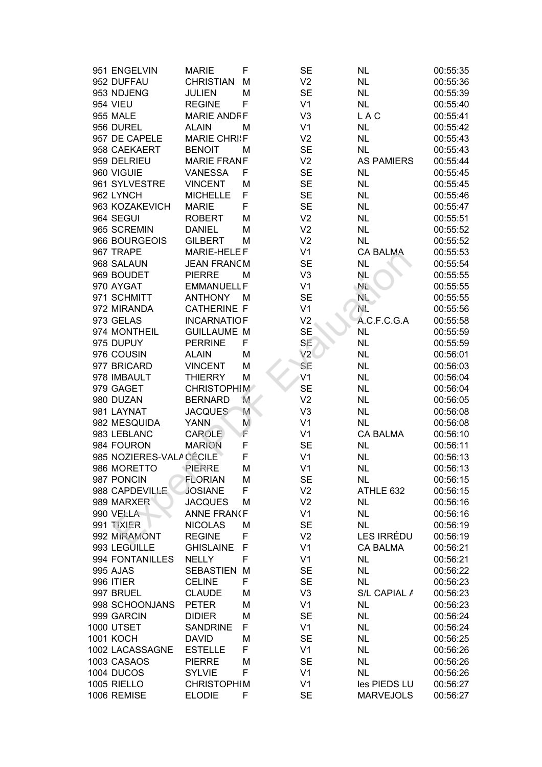| 951 ENGELVIN             | <b>MARIE</b>        | F | <b>SE</b>      | <b>NL</b>         | 00:55:35 |
|--------------------------|---------------------|---|----------------|-------------------|----------|
| 952 DUFFAU               | <b>CHRISTIAN</b>    | M | V <sub>2</sub> | <b>NL</b>         | 00:55:36 |
| 953 NDJENG               | <b>JULIEN</b>       | М | <b>SE</b>      | <b>NL</b>         | 00:55:39 |
| <b>954 VIEU</b>          | <b>REGINE</b>       | F | V <sub>1</sub> | <b>NL</b>         | 00:55:40 |
| <b>955 MALE</b>          | <b>MARIE ANDFF</b>  |   | V <sub>3</sub> | <b>LAC</b>        | 00:55:41 |
| 956 DUREL                | <b>ALAIN</b>        | М | V <sub>1</sub> | <b>NL</b>         | 00:55:42 |
| 957 DE CAPELE            | <b>MARIE CHRI:F</b> |   | V <sub>2</sub> | <b>NL</b>         | 00:55:43 |
| 958 CAEKAERT             | <b>BENOIT</b>       | M | <b>SE</b>      | <b>NL</b>         | 00:55:43 |
| 959 DELRIEU              | <b>MARIE FRANF</b>  |   | V <sub>2</sub> | <b>AS PAMIERS</b> | 00:55:44 |
| 960 VIGUIE               | VANESSA             | F | <b>SE</b>      | <b>NL</b>         | 00:55:45 |
| 961 SYLVESTRE            | <b>VINCENT</b>      | M | <b>SE</b>      | <b>NL</b>         | 00:55:45 |
| 962 LYNCH                | <b>MICHELLE</b>     | F | <b>SE</b>      | <b>NL</b>         | 00:55:46 |
| 963 KOZAKEVICH           | <b>MARIE</b>        | F | <b>SE</b>      | <b>NL</b>         | 00:55:47 |
| 964 SEGUI                | <b>ROBERT</b>       | M | V <sub>2</sub> | <b>NL</b>         | 00:55:51 |
| 965 SCREMIN              | <b>DANIEL</b>       | М | V <sub>2</sub> | <b>NL</b>         | 00:55:52 |
| 966 BOURGEOIS            | <b>GILBERT</b>      | M | V <sub>2</sub> | <b>NL</b>         | 00:55:52 |
| 967 TRAPE                | MARIE-HELE F        |   | V <sub>1</sub> | <b>CA BALMA</b>   | 00:55:53 |
| 968 SALAUN               | <b>JEAN FRANCM</b>  |   | <b>SE</b>      | <b>NL</b>         | 00:55:54 |
| 969 BOUDET               | <b>PIERRE</b>       | М | V <sub>3</sub> | NL                | 00:55:55 |
| 970 AYGAT                | <b>EMMANUELL F</b>  |   | V <sub>1</sub> | $N_{\rm L}$       | 00:55:55 |
| 971 SCHMITT              | <b>ANTHONY</b>      | M | <b>SE</b>      | $N_{\text{L}}$    | 00:55:55 |
| 972 MIRANDA              | <b>CATHERINE F</b>  |   | V <sub>1</sub> | NE.               | 00:55:56 |
| 973 GELAS                | <b>INCARNATIOF</b>  |   | V <sub>2</sub> | A.C.F.C.G.A       | 00:55:58 |
| 974 MONTHEIL             | <b>GUILLAUME M</b>  |   | <b>SE</b>      | <b>NL</b>         | 00:55:59 |
| 975 DUPUY                | <b>PERRINE</b>      | F | SE             | <b>NL</b>         | 00:55:59 |
| 976 COUSIN               | <b>ALAIN</b>        | М | V2             | <b>NL</b>         | 00:56:01 |
| 977 BRICARD              | <b>VINCENT</b>      | M | SE             | <b>NL</b>         | 00:56:03 |
| 978 IMBAULT              | <b>THIERRY</b>      | M | V <sub>1</sub> | <b>NL</b>         | 00:56:04 |
| 979 GAGET                | <b>CHRISTOPHIM</b>  |   | <b>SE</b>      | <b>NL</b>         | 00:56:04 |
| 980 DUZAN                | <b>BERNARD</b>      | M | V <sub>2</sub> | <b>NL</b>         | 00:56:05 |
| 981 LAYNAT               | <b>JACQUES</b>      | M | V <sub>3</sub> | <b>NL</b>         | 00:56:08 |
| 982 MESQUIDA             | <b>YANN</b>         | M | V <sub>1</sub> | <b>NL</b>         | 00:56:08 |
| 983 LEBLANC              | <b>CAROLE</b>       | F | V <sub>1</sub> | <b>CA BALMA</b>   | 00:56:10 |
| 984 FOURON               | <b>MARION</b>       | F | <b>SE</b>      | <b>NL</b>         | 00:56:11 |
| 985 NOZIERES-VALA CÉCILE |                     | F | V <sub>1</sub> | <b>NL</b>         | 00:56:13 |
| 986 MORETTO              | PIERRE              | М | V <sub>1</sub> | <b>NL</b>         | 00:56:13 |
| 987 PONCIN               | <b>FLORIAN</b>      | M | SE             | <b>NL</b>         | 00:56:15 |
| 988 CAPDEVILLE           | <b>JOSIANE</b>      | F | V <sub>2</sub> | ATHLE 632         | 00:56:15 |
| 989 MARXER               | <b>JACQUES</b>      | M | V <sub>2</sub> | <b>NL</b>         | 00:56:16 |
| 990 VELLA                | <b>ANNE FRANCF</b>  |   | V <sub>1</sub> | <b>NL</b>         | 00:56:16 |
| 991 TIXIER               | <b>NICOLAS</b>      | M | <b>SE</b>      | <b>NL</b>         | 00:56:19 |
| 992 MIRAMONT             | <b>REGINE</b>       | F | V <sub>2</sub> | LES IRRÉDU        | 00:56:19 |
| 993 LEGUILLE             | <b>GHISLAINE</b>    | F | V <sub>1</sub> | <b>CA BALMA</b>   | 00:56:21 |
| 994 FONTANILLES          | <b>NELLY</b>        | F | V <sub>1</sub> | <b>NL</b>         | 00:56:21 |
| 995 AJAS                 | <b>SEBASTIEN</b>    | M | <b>SE</b>      | <b>NL</b>         | 00:56:22 |
| 996 ITIER                | <b>CELINE</b>       | F | <b>SE</b>      | <b>NL</b>         | 00:56:23 |
| 997 BRUEL                | <b>CLAUDE</b>       | M | V <sub>3</sub> | S/L CAPIAL A      | 00:56:23 |
| 998 SCHOONJANS           | <b>PETER</b>        | М | V <sub>1</sub> | <b>NL</b>         | 00:56:23 |
| 999 GARCIN               | <b>DIDIER</b>       | М | <b>SE</b>      | <b>NL</b>         | 00:56:24 |
| <b>1000 UTSET</b>        | <b>SANDRINE</b>     | F | V <sub>1</sub> | <b>NL</b>         | 00:56:24 |
| 1001 KOCH                | <b>DAVID</b>        | M | <b>SE</b>      | <b>NL</b>         | 00:56:25 |
| 1002 LACASSAGNE          | <b>ESTELLE</b>      | F | V <sub>1</sub> | <b>NL</b>         | 00:56:26 |
| 1003 CASAOS              | <b>PIERRE</b>       | M | <b>SE</b>      | <b>NL</b>         | 00:56:26 |
| 1004 DUCOS               | <b>SYLVIE</b>       | F | V <sub>1</sub> | <b>NL</b>         | 00:56:26 |
| 1005 RIELLO              | <b>CHRISTOPHIM</b>  |   | V <sub>1</sub> | les PIEDS LU      | 00:56:27 |
| 1006 REMISE              | <b>ELODIE</b>       | F | <b>SE</b>      | <b>MARVEJOLS</b>  | 00:56:27 |
|                          |                     |   |                |                   |          |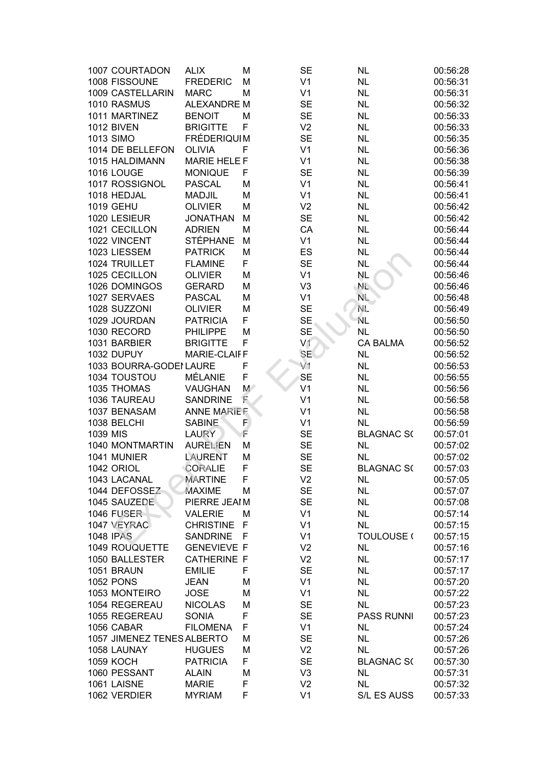| 1007 COURTADON             | <b>ALIX</b>         | M           | <b>SE</b>      | <b>NL</b>         | 00:56:28 |
|----------------------------|---------------------|-------------|----------------|-------------------|----------|
| 1008 FISSOUNE              | <b>FREDERIC</b>     | М           | V <sub>1</sub> | <b>NL</b>         | 00:56:31 |
| 1009 CASTELLARIN           | <b>MARC</b>         | М           | V <sub>1</sub> | <b>NL</b>         | 00:56:31 |
| 1010 RASMUS                | <b>ALEXANDRE M</b>  |             | <b>SE</b>      | <b>NL</b>         | 00:56:32 |
| 1011 MARTINEZ              | <b>BENOIT</b>       | М           | <b>SE</b>      | <b>NL</b>         | 00:56:33 |
| <b>1012 BIVEN</b>          | <b>BRIGITTE</b>     | F           | V <sub>2</sub> | <b>NL</b>         | 00:56:33 |
| 1013 SIMO                  | <b>FRÉDERIQUIM</b>  |             | <b>SE</b>      | <b>NL</b>         | 00:56:35 |
| 1014 DE BELLEFON           | <b>OLIVIA</b>       | F           | V <sub>1</sub> | <b>NL</b>         | 00:56:36 |
| 1015 HALDIMANN             | <b>MARIE HELE F</b> |             | V <sub>1</sub> | <b>NL</b>         | 00:56:38 |
| 1016 LOUGE                 | <b>MONIQUE</b>      | F           | <b>SE</b>      | <b>NL</b>         | 00:56:39 |
| 1017 ROSSIGNOL             | <b>PASCAL</b>       | M           | V <sub>1</sub> | <b>NL</b>         | 00:56:41 |
| 1018 HEDJAL                | <b>MADJIL</b>       | M           | V <sub>1</sub> | <b>NL</b>         | 00:56:41 |
| 1019 GEHU                  | <b>OLIVIER</b>      | М           | V <sub>2</sub> | <b>NL</b>         | 00:56:42 |
| 1020 LESIEUR               | <b>JONATHAN</b>     | M           | <b>SE</b>      | <b>NL</b>         | 00:56:42 |
| 1021 CECILLON              | <b>ADRIEN</b>       | M           | CA             | <b>NL</b>         | 00:56:44 |
| 1022 VINCENT               | <b>STÉPHANE</b>     | M           | V <sub>1</sub> | <b>NL</b>         | 00:56:44 |
| 1023 LIESSEM               | <b>PATRICK</b>      | M           | ES             | <b>NL</b>         | 00:56:44 |
| 1024 TRUILLET              | <b>FLAMINE</b>      | F           | <b>SE</b>      | <b>NL</b>         | 00:56:44 |
| 1025 CECILLON              | <b>OLIVIER</b>      | M           | V <sub>1</sub> | NL                | 00:56:46 |
| 1026 DOMINGOS              | <b>GERARD</b>       | M           | V <sub>3</sub> | NĿ.               | 00:56:46 |
| 1027 SERVAES               | <b>PASCAL</b>       | M           | V <sub>1</sub> | $N_{\rm L}$       | 00:56:48 |
| 1028 SUZZONI               | <b>OLIVIER</b>      | M           | <b>SE</b>      | NE.               | 00:56:49 |
| 1029 JOURDAN               | <b>PATRICIA</b>     | F           | <b>SE</b>      | ŃL                | 00:56:50 |
| 1030 RECORD                | <b>PHILIPPE</b>     | M           | <b>SE</b>      | <b>NL</b>         | 00:56:50 |
| 1031 BARBIER               | <b>BRIGITTE</b>     | F           | V1             | <b>CA BALMA</b>   | 00:56:52 |
| 1032 DUPUY                 | <b>MARIE-CLAIFF</b> |             | <b>SE</b>      | <b>NL</b>         | 00:56:52 |
| 1033 BOURRA-GODEI LAURE    |                     | F           | V <sub>1</sub> | <b>NL</b>         | 00:56:53 |
| 1034 TOUSTOU               | MÉLANIE             | F           | <b>SE</b>      | <b>NL</b>         | 00:56:55 |
| 1035 THOMAS                | <b>VAUGHAN</b>      | $M^{\circ}$ | V <sub>1</sub> | <b>NL</b>         | 00:56:56 |
| 1036 TAUREAU               | <b>SANDRINE</b>     | E           | V <sub>1</sub> | <b>NL</b>         | 00:56:58 |
| 1037 BENASAM               | <b>ANNE MARIEF</b>  |             | V <sub>1</sub> | <b>NL</b>         | 00:56:58 |
| 1038 BELCHI                | <b>SABINE</b>       | F           | V <sub>1</sub> | <b>NL</b>         | 00:56:59 |
| 1039 MIS                   | <b>LAURY</b>        | Ē           | <b>SE</b>      | <b>BLAGNAC S(</b> | 00:57:01 |
| 1040 MONTMARTIN            | <b>AURELIEN</b>     | M           | <b>SE</b>      | <b>NL</b>         | 00:57:02 |
| 1041 MUNIER                | <b>LAURENT</b>      | M           | <b>SE</b>      | <b>NL</b>         | 00:57:02 |
| 1042 ORIOL                 | CORALIE             | F           | <b>SE</b>      | <b>BLAGNAC S(</b> | 00:57:03 |
| 1043 LACANAL               | <b>MARTINE</b>      | F           | V <sub>2</sub> | <b>NL</b>         | 00:57:05 |
| 1044 DEFOSSEZ              | <b>MAXIME</b>       | M           | <b>SE</b>      | <b>NL</b>         | 00:57:07 |
| 1045 SAUZEDE               | PIERRE JEAIM        |             | <b>SE</b>      | <b>NL</b>         | 00:57:08 |
| <b>1046 FUSER</b>          | <b>VALERIE</b>      | M           | V <sub>1</sub> | <b>NL</b>         | 00:57:14 |
| 1047 VEYRAC                | <b>CHRISTINE</b>    | F           | V <sub>1</sub> | <b>NL</b>         | 00:57:15 |
| <b>1048 IPAS</b>           | <b>SANDRINE</b>     | F           | V <sub>1</sub> | TOULOUSE (        | 00:57:15 |
| 1049 ROUQUETTE             | <b>GENEVIEVE F</b>  |             | V <sub>2</sub> | <b>NL</b>         | 00:57:16 |
| 1050 BALLESTER             | <b>CATHERINE F</b>  |             | V <sub>2</sub> | <b>NL</b>         | 00:57:17 |
| 1051 BRAUN                 | <b>EMILIE</b>       | F           | <b>SE</b>      | NL                | 00:57:17 |
| <b>1052 PONS</b>           | <b>JEAN</b>         | M           | V <sub>1</sub> | <b>NL</b>         | 00:57:20 |
| 1053 MONTEIRO              | <b>JOSE</b>         | M           | V <sub>1</sub> | <b>NL</b>         | 00:57:22 |
| 1054 REGEREAU              | <b>NICOLAS</b>      | M           | <b>SE</b>      | <b>NL</b>         | 00:57:23 |
| 1055 REGEREAU              | <b>SONIA</b>        | F           | <b>SE</b>      | <b>PASS RUNNI</b> | 00:57:23 |
| 1056 CABAR                 | <b>FILOMENA</b>     | F           | V <sub>1</sub> | <b>NL</b>         | 00:57:24 |
| 1057 JIMENEZ TENES ALBERTO |                     | M           | <b>SE</b>      | <b>NL</b>         | 00:57:26 |
| 1058 LAUNAY                | <b>HUGUES</b>       | M           | V <sub>2</sub> | <b>NL</b>         | 00:57:26 |
| <b>1059 KOCH</b>           | <b>PATRICIA</b>     | F           | <b>SE</b>      | <b>BLAGNAC S(</b> | 00:57:30 |
| 1060 PESSANT               | <b>ALAIN</b>        | M           | V3             | <b>NL</b>         | 00:57:31 |
| 1061 LAISNE                | <b>MARIE</b>        | F           | V <sub>2</sub> | <b>NL</b>         | 00:57:32 |
| 1062 VERDIER               | <b>MYRIAM</b>       | F           | V <sub>1</sub> | S/L ES AUSS       | 00:57:33 |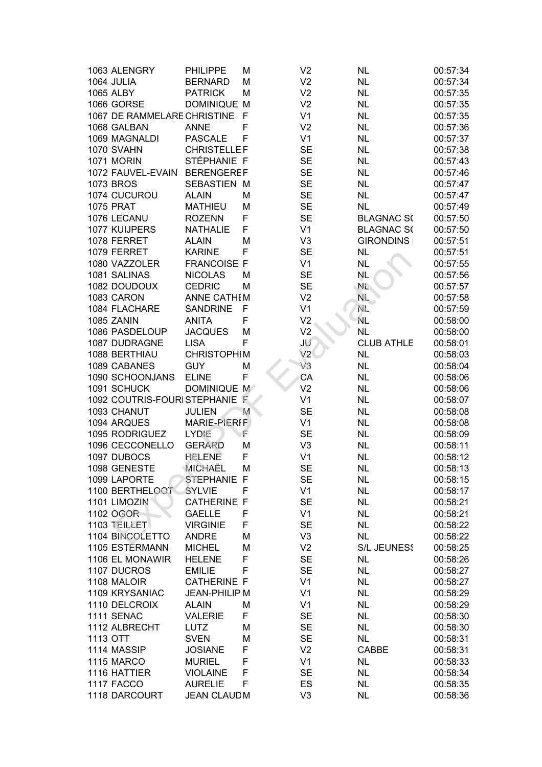| 1063 ALENGRY                  | <b>PHILIPPE</b>      | M | V <sub>2</sub> | <b>NL</b>         | 00:57:34 |
|-------------------------------|----------------------|---|----------------|-------------------|----------|
| 1064 JULIA                    | <b>BERNARD</b>       | M | V <sub>2</sub> | <b>NL</b>         | 00:57:34 |
| <b>1065 ALBY</b>              | <b>PATRICK</b>       | M | V <sub>2</sub> | <b>NL</b>         | 00:57:35 |
| 1066 GORSE                    | <b>DOMINIQUE M</b>   |   | V <sub>2</sub> | <b>NL</b>         | 00:57:35 |
| 1067 DE RAMMELARE CHRISTINE F |                      |   | V <sub>1</sub> | <b>NL</b>         | 00:57:35 |
| 1068 GALBAN                   | <b>ANNE</b>          | F | V <sub>2</sub> | <b>NL</b>         | 00:57:36 |
| 1069 MAGNALDI                 | <b>PASCALE</b>       | F | V <sub>1</sub> | <b>NL</b>         | 00:57:37 |
| 1070 SVAHN                    | <b>CHRISTELLEF</b>   |   | <b>SE</b>      | <b>NL</b>         | 00:57:38 |
| <b>1071 MORIN</b>             | STÉPHANIE F          |   | <b>SE</b>      | <b>NL</b>         | 00:57:43 |
| 1072 FAUVEL-EVAIN             | <b>BERENGEREF</b>    |   | <b>SE</b>      | <b>NL</b>         | 00:57:46 |
| <b>1073 BROS</b>              | <b>SEBASTIEN M</b>   |   | <b>SE</b>      | <b>NL</b>         | 00:57:47 |
| 1074 CUCUROU                  | <b>ALAIN</b>         | M | <b>SE</b>      | <b>NL</b>         | 00:57:47 |
| <b>1075 PRAT</b>              | <b>MATHIEU</b>       | M | <b>SE</b>      | <b>NL</b>         | 00:57:49 |
| 1076 LECANU                   | <b>ROZENN</b>        | F | <b>SE</b>      | <b>BLAGNAC S(</b> | 00:57:50 |
| 1077 KUIJPERS                 | <b>NATHALIE</b>      | F | V <sub>1</sub> | <b>BLAGNAC S(</b> | 00:57:50 |
| 1078 FERRET                   | <b>ALAIN</b>         | M | V <sub>3</sub> | <b>GIRONDINS</b>  | 00:57:51 |
| 1079 FERRET                   | <b>KARINE</b>        | F | <b>SE</b>      | <b>NL</b>         | 00:57:51 |
| 1080 VAZZOLER                 | <b>FRANCOISE F</b>   |   | V <sub>1</sub> | <b>NL</b>         | 00:57:55 |
| 1081 SALINAS                  | <b>NICOLAS</b>       | M | <b>SE</b>      | <b>NL</b>         | 00:57:56 |
| 1082 DOUDOUX                  | <b>CEDRIC</b>        | M | <b>SE</b>      | NL.               | 00:57:57 |
| 1083 CARON                    | <b>ANNE CATHEM</b>   |   | V <sub>2</sub> | $N_{\rm L}$       | 00:57:58 |
| 1084 FLACHARE                 | <b>SANDRINE</b>      | F | V <sub>1</sub> | NE.               | 00:57:59 |
| 1085 ZANIN                    | <b>ANITA</b>         | F | V <sub>2</sub> | ÑL.               | 00:58:00 |
| 1086 PASDELOUP                | <b>JACQUES</b>       | M | V <sub>2</sub> | <b>NL</b>         | 00:58:00 |
| 1087 DUDRAGNE                 | <b>LISA</b>          | F | JU             | <b>CLUB ATHLE</b> | 00:58:01 |
| 1088 BERTHIAU                 | <b>CHRISTOPHIM</b>   |   | V2             | <b>NL</b>         | 00:58:03 |
| 1089 CABANES                  | <b>GUY</b>           | М | V3             | <b>NL</b>         | 00:58:04 |
| 1090 SCHOONJANS               | <b>ELINE</b>         | F | CA             | <b>NL</b>         | 00:58:06 |
| 1091 SCHUCK                   | DOMINIQUE M          |   | V <sub>2</sub> | <b>NL</b>         | 00:58:06 |
| 1092 COUTRIS-FOURISTEPHANIE F |                      |   | V <sub>1</sub> | <b>NL</b>         | 00:58:07 |
| 1093 CHANUT                   | <b>JULIEN</b>        | M | <b>SE</b>      | <b>NL</b>         | 00:58:08 |
| 1094 ARQUES                   | <b>MARIE-PIERIF</b>  |   | V <sub>1</sub> | <b>NL</b>         | 00:58:08 |
| 1095 RODRIGUEZ                | LYDIE                | F | <b>SE</b>      | <b>NL</b>         | 00:58:09 |
| 1096 CECCONELLO               | <b>GERARD</b>        | М | V <sub>3</sub> | <b>NL</b>         | 00:58:11 |
| 1097 DUBOCS                   | <b>HELENE</b>        | F | V <sub>1</sub> | <b>NL</b>         | 00:58:12 |
| 1098 GENESTE                  | MICHAËL              | M | <b>SE</b>      | <b>NL</b>         | 00:58:13 |
| 1099 LAPORTE                  | STEPHANIE F          |   | <b>SE</b>      | <b>NL</b>         | 00:58:15 |
| 1100 BERTHELOOT               | <b>SYLVIE</b>        | F | V <sub>1</sub> | <b>NL</b>         | 00:58:17 |
| 1101 LIMOZIN                  | <b>CATHERINE F</b>   |   | <b>SE</b>      | <b>NL</b>         | 00:58:21 |
| 1102 OGOR                     | <b>GAELLE</b>        | F | V <sub>1</sub> | <b>NL</b>         | 00:58:21 |
| 1103 TEILLET                  | <b>VIRGINIE</b>      | F | <b>SE</b>      | <b>NL</b>         | 00:58:22 |
| 1104 BINCOLETTO               | <b>ANDRE</b>         | M | V <sub>3</sub> | <b>NL</b>         | 00:58:22 |
| 1105 ESTERMANN                | <b>MICHEL</b>        | M | V <sub>2</sub> | S/L JEUNESS       | 00:58:25 |
| 1106 EL MONAWIR               | <b>HELENE</b>        | F | <b>SE</b>      | <b>NL</b>         | 00:58:26 |
| 1107 DUCROS                   | <b>EMILIE</b>        | F | <b>SE</b>      | <b>NL</b>         | 00:58:27 |
| 1108 MALOIR                   | <b>CATHERINE F</b>   |   | V <sub>1</sub> | <b>NL</b>         | 00:58:27 |
| 1109 KRYSANIAC                | <b>JEAN-PHILIP M</b> |   | V <sub>1</sub> | <b>NL</b>         | 00:58:29 |
| 1110 DELCROIX                 | <b>ALAIN</b>         | M | V <sub>1</sub> | <b>NL</b>         | 00:58:29 |
| 1111 SENAC                    | <b>VALERIE</b>       | F | <b>SE</b>      | <b>NL</b>         | 00:58:30 |
| 1112 ALBRECHT                 | <b>LUTZ</b>          | M | <b>SE</b>      | <b>NL</b>         | 00:58:30 |
| 1113 OTT                      | <b>SVEN</b>          | M | <b>SE</b>      | <b>NL</b>         | 00:58:31 |
| 1114 MASSIP                   | <b>JOSIANE</b>       | F | V <sub>2</sub> | <b>CABBE</b>      | 00:58:31 |
| <b>1115 MARCO</b>             | <b>MURIEL</b>        | F | V <sub>1</sub> | <b>NL</b>         | 00:58:33 |
| 1116 HATTIER                  | <b>VIOLAINE</b>      | F | <b>SE</b>      | <b>NL</b>         | 00:58:34 |
| 1117 FACCO                    | <b>AURELIE</b>       | F | <b>ES</b>      | <b>NL</b>         | 00:58:35 |
| 1118 DARCOURT                 | JEAN CLAUD M         |   | V <sub>3</sub> | <b>NL</b>         | 00:58:36 |
|                               |                      |   |                |                   |          |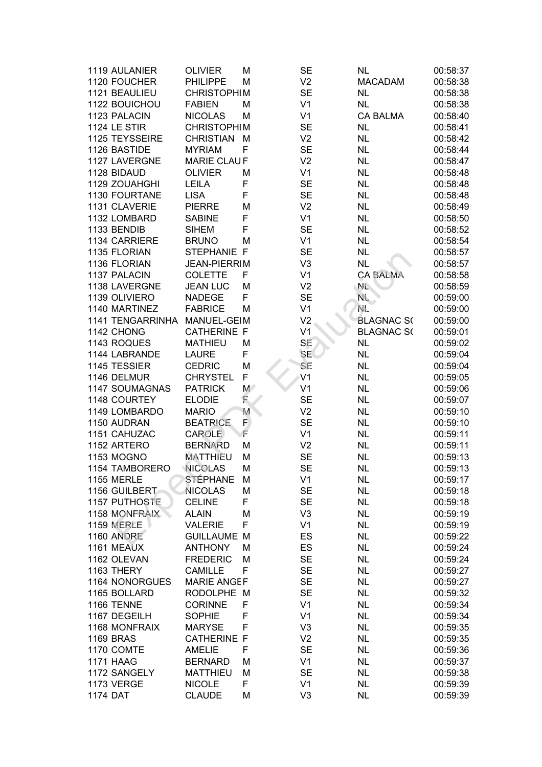| 1119 AULANIER         | <b>OLIVIER</b>      | М           | <b>SE</b>      | <b>NL</b>         | 00:58:37 |
|-----------------------|---------------------|-------------|----------------|-------------------|----------|
| 1120 FOUCHER          | <b>PHILIPPE</b>     | M           | V <sub>2</sub> | <b>MACADAM</b>    | 00:58:38 |
| 1121 BEAULIEU         | <b>CHRISTOPHIM</b>  |             | <b>SE</b>      | <b>NL</b>         | 00:58:38 |
| 1122 BOUICHOU         | <b>FABIEN</b>       | М           | V <sub>1</sub> | <b>NL</b>         | 00:58:38 |
| 1123 PALACIN          | <b>NICOLAS</b>      | М           | V <sub>1</sub> | <b>CA BALMA</b>   | 00:58:40 |
| 1124 LE STIR          | <b>CHRISTOPHIM</b>  |             | <b>SE</b>      | <b>NL</b>         | 00:58:41 |
| 1125 TEYSSEIRE        | <b>CHRISTIAN</b>    | М           | V <sub>2</sub> | <b>NL</b>         | 00:58:42 |
| 1126 BASTIDE          | <b>MYRIAM</b>       | F           | <b>SE</b>      | <b>NL</b>         | 00:58:44 |
| 1127 LAVERGNE         | <b>MARIE CLAUF</b>  |             | V <sub>2</sub> | <b>NL</b>         | 00:58:47 |
| 1128 BIDAUD           | <b>OLIVIER</b>      | M           | V <sub>1</sub> | <b>NL</b>         | 00:58:48 |
| 1129 ZOUAHGHI         | <b>LEILA</b>        | F           | <b>SE</b>      | <b>NL</b>         | 00:58:48 |
| 1130 FOURTANE         | <b>LISA</b>         | F           | <b>SE</b>      | <b>NL</b>         | 00:58:48 |
| 1131 CLAVERIE         | <b>PIERRE</b>       | M           | V <sub>2</sub> | <b>NL</b>         | 00:58:49 |
| 1132 LOMBARD          | <b>SABINE</b>       | F           | V <sub>1</sub> | <b>NL</b>         | 00:58:50 |
| 1133 BENDIB           | <b>SIHEM</b>        | F           | <b>SE</b>      | <b>NL</b>         | 00:58:52 |
| 1134 CARRIERE         | <b>BRUNO</b>        | М           | V <sub>1</sub> | <b>NL</b>         | 00:58:54 |
| 1135 FLORIAN          | STEPHANIE F         |             | <b>SE</b>      | <b>NL</b>         | 00:58:57 |
| 1136 FLORIAN          | <b>JEAN-PIERRIM</b> |             | V <sub>3</sub> | <b>NL</b>         | 00:58:57 |
| 1137 PALACIN          | <b>COLETTE</b>      | F           | V <sub>1</sub> | <b>CA BALMA</b>   | 00:58:58 |
| 1138 LAVERGNE         | <b>JEAN LUC</b>     | M           | V <sub>2</sub> | NL.               | 00:58:59 |
| 1139 OLIVIERO         | <b>NADEGE</b>       | F           | <b>SE</b>      | $N_{\rm L}$       | 00:59:00 |
| 1140 MARTINEZ         | <b>FABRICE</b>      | М           | V <sub>1</sub> | NL.               | 00:59:00 |
| 1141 TENGARRINHA      | MANUEL-GEIM         |             | V <sub>2</sub> | <b>BLAGNAC S(</b> | 00:59:00 |
| 1142 CHONG            | <b>CATHERINE F</b>  |             | V <sub>1</sub> | <b>BLAGNAC S(</b> | 00:59:01 |
| 1143 ROQUES           | <b>MATHIEU</b>      | M           | SE             | <b>NL</b>         | 00:59:02 |
| 1144 LABRANDE         | <b>LAURE</b>        | F           | <b>SE</b>      | <b>NL</b>         | 00:59:04 |
| 1145 TESSIER          | <b>CEDRIC</b>       | M           | SE             | <b>NL</b>         | 00:59:04 |
| 1146 DELMUR           | <b>CHRYSTEL</b>     | F           | V <sub>1</sub> | <b>NL</b>         | 00:59:05 |
| 1147 SOUMAGNAS        | <b>PATRICK</b>      | $M^{\circ}$ | V <sub>1</sub> | <b>NL</b>         | 00:59:06 |
| 1148 COURTEY          | <b>ELODIE</b>       | E           | <b>SE</b>      | <b>NL</b>         | 00:59:07 |
| 1149 LOMBARDO         | <b>MARIO</b>        | M           | V <sub>2</sub> | <b>NL</b>         | 00:59:10 |
| 1150 AUDRAN           | <b>BEATRICE</b>     | F.          | <b>SE</b>      | <b>NL</b>         | 00:59:10 |
| 1151 CAHUZAC          | <b>CAROLE</b>       | Ē           | V <sub>1</sub> | <b>NL</b>         | 00:59:11 |
| 1152 ARTERO           | <b>BERNARD</b>      | M           | V <sub>2</sub> | <b>NL</b>         | 00:59:11 |
| <b>1153 MOGNO</b>     | <b>MATTHIEU</b>     | M           | <b>SE</b>      | <b>NL</b>         | 00:59:13 |
| <b>1154 TAMBORERO</b> | <b>NICOLAS</b>      | M           | <b>SE</b>      | <b>NL</b>         | 00:59:13 |
| <b>1155 MERLE</b>     | STÉPHANE            | M           | V <sub>1</sub> | <b>NL</b>         | 00:59:17 |
| 1156 GUILBERT         | <b>NICOLAS</b>      | M           | <b>SE</b>      | <b>NL</b>         | 00:59:18 |
| 1157 PUTHOSTE         | <b>CELINE</b>       | F           | <b>SE</b>      | <b>NL</b>         | 00:59:18 |
| 1158 MONFRAIX         | <b>ALAIN</b>        | M           | V <sub>3</sub> | <b>NL</b>         | 00:59:19 |
| <b>1159 MERLE</b>     | <b>VALERIE</b>      | F           | V <sub>1</sub> | <b>NL</b>         | 00:59:19 |
| <b>1160 ANDRE</b>     | <b>GUILLAUME M</b>  |             | ES             | <b>NL</b>         | 00:59:22 |
| 1161 MEAUX            | <b>ANTHONY</b>      | М           | ES             | <b>NL</b>         | 00:59:24 |
| 1162 OLEVAN           | <b>FREDERIC</b>     | М           | <b>SE</b>      | <b>NL</b>         | 00:59:24 |
| 1163 THERY            | <b>CAMILLE</b>      | F           | <b>SE</b>      | <b>NL</b>         | 00:59:27 |
| 1164 NONORGUES        | <b>MARIE ANGEF</b>  |             | <b>SE</b>      | <b>NL</b>         | 00:59:27 |
| 1165 BOLLARD          | RODOLPHE M          |             | <b>SE</b>      | <b>NL</b>         | 00:59:32 |
| 1166 TENNE            | <b>CORINNE</b>      | F           | V <sub>1</sub> | <b>NL</b>         | 00:59:34 |
| 1167 DEGEILH          | <b>SOPHIE</b>       | F           | V <sub>1</sub> | <b>NL</b>         | 00:59:34 |
| 1168 MONFRAIX         | <b>MARYSE</b>       | F           | V <sub>3</sub> | <b>NL</b>         | 00:59:35 |
| <b>1169 BRAS</b>      | <b>CATHERINE F</b>  |             | V <sub>2</sub> | <b>NL</b>         | 00:59:35 |
| 1170 COMTE            | <b>AMELIE</b>       | F           | <b>SE</b>      | <b>NL</b>         | 00:59:36 |
| <b>1171 HAAG</b>      | <b>BERNARD</b>      | M           | V <sub>1</sub> | <b>NL</b>         | 00:59:37 |
| 1172 SANGELY          | <b>MATTHIEU</b>     | M           | <b>SE</b>      | <b>NL</b>         | 00:59:38 |
| 1173 VERGE            | <b>NICOLE</b>       | F           | V <sub>1</sub> | <b>NL</b>         | 00:59:39 |
| <b>1174 DAT</b>       | <b>CLAUDE</b>       | M           | V <sub>3</sub> | <b>NL</b>         | 00:59:39 |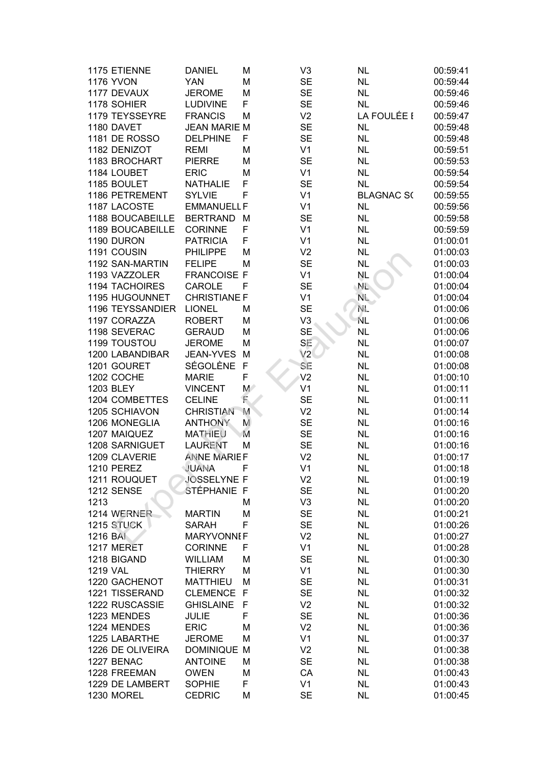| 1175 ETIENNE          | <b>DANIEL</b>       | М            | V <sub>3</sub> | <b>NL</b>         | 00:59:41 |
|-----------------------|---------------------|--------------|----------------|-------------------|----------|
| <b>1176 YVON</b>      | <b>YAN</b>          | M            | <b>SE</b>      | <b>NL</b>         | 00:59:44 |
| 1177 DEVAUX           | <b>JEROME</b>       | M            | <b>SE</b>      | <b>NL</b>         | 00:59:46 |
| 1178 SOHIER           | <b>LUDIVINE</b>     | F            | <b>SE</b>      | <b>NL</b>         | 00:59:46 |
| 1179 TEYSSEYRE        | <b>FRANCIS</b>      | M            | V <sub>2</sub> | LA FOULÉE I       | 00:59:47 |
| 1180 DAVET            | <b>JEAN MARIE M</b> |              | <b>SE</b>      | <b>NL</b>         | 00:59:48 |
| <b>1181 DE ROSSO</b>  | <b>DELPHINE</b>     | F            | <b>SE</b>      | <b>NL</b>         | 00:59:48 |
| 1182 DENIZOT          | <b>REMI</b>         | M            | V <sub>1</sub> | NL                | 00:59:51 |
| 1183 BROCHART         | <b>PIERRE</b>       | M            | <b>SE</b>      | <b>NL</b>         | 00:59:53 |
| 1184 LOUBET           | <b>ERIC</b>         | M            | V <sub>1</sub> | <b>NL</b>         | 00:59:54 |
| 1185 BOULET           | <b>NATHALIE</b>     | F            | <b>SE</b>      |                   | 00:59:54 |
|                       |                     | F            |                | <b>NL</b>         |          |
| 1186 PETREMENT        | <b>SYLVIE</b>       |              | V <sub>1</sub> | <b>BLAGNAC S(</b> | 00:59:55 |
| 1187 LACOSTE          | <b>EMMANUELL F</b>  |              | V <sub>1</sub> | <b>NL</b>         | 00:59:56 |
| 1188 BOUCABEILLE      | <b>BERTRAND</b>     | M            | <b>SE</b>      | <b>NL</b>         | 00:59:58 |
| 1189 BOUCABEILLE      | <b>CORINNE</b>      | F            | V <sub>1</sub> | <b>NL</b>         | 00:59:59 |
| 1190 DURON            | <b>PATRICIA</b>     | F            | V <sub>1</sub> | <b>NL</b>         | 01:00:01 |
| 1191 COUSIN           | <b>PHILIPPE</b>     | M            | V <sub>2</sub> | <b>NL</b>         | 01:00:03 |
| 1192 SAN-MARTIN       | <b>FELIPE</b>       | M            | <b>SE</b>      | <b>NL</b>         | 01:00:03 |
| 1193 VAZZOLER         | <b>FRANCOISE F</b>  |              | V <sub>1</sub> | NL.               | 01:00:04 |
| <b>1194 TACHOIRES</b> | CAROLE              | F            | <b>SE</b>      | $N_{\rm L}$       | 01:00:04 |
| 1195 HUGOUNNET        | <b>CHRISTIANE F</b> |              | V <sub>1</sub> | NL.               | 01:00:04 |
| 1196 TEYSSANDIER      | <b>LIONEL</b>       | M            | <b>SE</b>      | NL.               | 01:00:06 |
| 1197 CORAZZA          | <b>ROBERT</b>       | M            | V <sub>3</sub> | ΝL                | 01:00:06 |
| 1198 SEVERAC          | <b>GERAUD</b>       | M            | <b>SE</b>      | <b>NL</b>         | 01:00:06 |
| 1199 TOUSTOU          | <b>JEROME</b>       | M            | SE             | <b>NL</b>         | 01:00:07 |
| 1200 LABANDIBAR       | JEAN-YVES           | M            | V2             | <b>NL</b>         | 01:00:08 |
| 1201 GOURET           | SÉGOLÈNE            | $\mathsf{F}$ | SE             | <b>NL</b>         | 01:00:08 |
| 1202 COCHE            | <b>MARIE</b>        | F            | V <sub>2</sub> | <b>NL</b>         | 01:00:10 |
| 1203 BLEY             | <b>VINCENT</b>      | $M^{\circ}$  | V <sub>1</sub> | <b>NL</b>         | 01:00:11 |
| 1204 COMBETTES        | <b>CELINE</b>       | F            | <b>SE</b>      | <b>NL</b>         | 01:00:11 |
| 1205 SCHIAVON         | <b>CHRISTIAN</b>    | M            | V <sub>2</sub> | <b>NL</b>         | 01:00:14 |
| 1206 MONEGLIA         | <b>ANTHONY</b>      | M            | <b>SE</b>      | <b>NL</b>         | 01:00:16 |
| 1207 MAIQUEZ          | <b>MATHIEU</b>      | M            | <b>SE</b>      | <b>NL</b>         | 01:00:16 |
| 1208 SARNIGUET        | <b>LAURENT</b>      | M            | <b>SE</b>      | <b>NL</b>         | 01:00:16 |
| 1209 CLAVERIE         | <b>ANNE MARIEF</b>  |              | V <sub>2</sub> | <b>NL</b>         | 01:00:17 |
| <b>1210 PEREZ</b>     | JUANA               | F            | V <sub>1</sub> | <b>NL</b>         | 01:00:18 |
| 1211 ROUQUET          | JOSSELYNE F         |              | V <sub>2</sub> | <b>NL</b>         | 01:00:19 |
| <b>1212 SENSE</b>     | ŠTÉPHANIE F         |              | <b>SE</b>      | <b>NL</b>         | 01:00:20 |
| 1213                  |                     | M            | V <sub>3</sub> | <b>NL</b>         | 01:00:20 |
| 1214 WERNER           | <b>MARTIN</b>       | M            | <b>SE</b>      | <b>NL</b>         | 01:00:21 |
| 1215 STUCK            | <b>SARAH</b>        | F            | <b>SE</b>      | NL.               | 01:00:26 |
| 1216 BAI              | <b>MARYVONNEF</b>   |              | V <sub>2</sub> | <b>NL</b>         | 01:00:27 |
| 1217 MERET            | <b>CORINNE</b>      | F            | V <sub>1</sub> | <b>NL</b>         | 01:00:28 |
| 1218 BIGAND           | <b>WILLIAM</b>      | M            | <b>SE</b>      | <b>NL</b>         | 01:00:30 |
| <b>1219 VAL</b>       | <b>THIERRY</b>      | M            | V <sub>1</sub> | <b>NL</b>         | 01:00:30 |
| 1220 GACHENOT         | <b>MATTHIEU</b>     | M            | <b>SE</b>      | <b>NL</b>         | 01:00:31 |
| 1221 TISSERAND        | CLEMENCE F          |              | <b>SE</b>      | <b>NL</b>         | 01:00:32 |
|                       |                     | $\mathsf{F}$ |                |                   |          |
| 1222 RUSCASSIE        | <b>GHISLAINE</b>    |              | V <sub>2</sub> | <b>NL</b>         | 01:00:32 |
| 1223 MENDES           | <b>JULIE</b>        | F            | <b>SE</b>      | <b>NL</b>         | 01:00:36 |
| 1224 MENDES           | <b>ERIC</b>         | M            | V <sub>2</sub> | <b>NL</b>         | 01:00:36 |
| 1225 LABARTHE         | <b>JEROME</b>       | M            | V <sub>1</sub> | <b>NL</b>         | 01:00:37 |
| 1226 DE OLIVEIRA      | <b>DOMINIQUE</b>    | M            | V <sub>2</sub> | <b>NL</b>         | 01:00:38 |
| 1227 BENAC            | <b>ANTOINE</b>      | M            | <b>SE</b>      | <b>NL</b>         | 01:00:38 |
| 1228 FREEMAN          | <b>OWEN</b>         | M            | CA             | <b>NL</b>         | 01:00:43 |
| 1229 DE LAMBERT       | <b>SOPHIE</b>       | F            | V <sub>1</sub> | <b>NL</b>         | 01:00:43 |
| 1230 MOREL            | <b>CEDRIC</b>       | M            | <b>SE</b>      | <b>NL</b>         | 01:00:45 |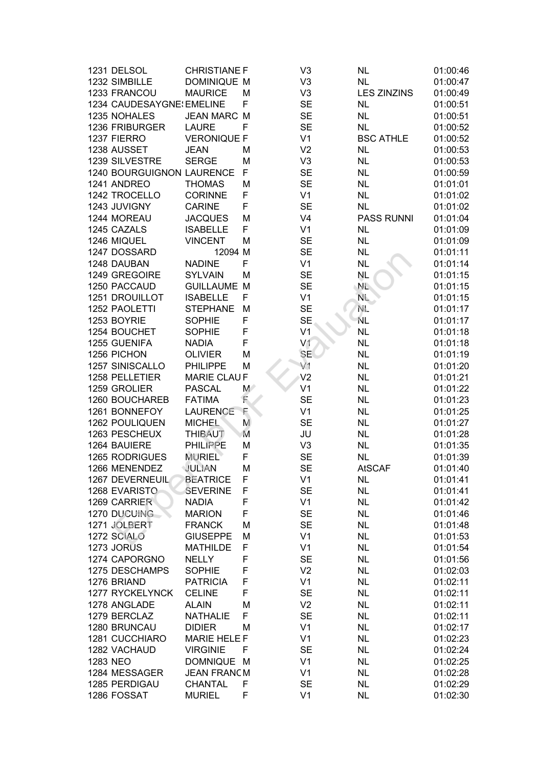| 1231 DELSOL               | <b>CHRISTIANE F</b> |             | V <sub>3</sub> | <b>NL</b>          | 01:00:46 |
|---------------------------|---------------------|-------------|----------------|--------------------|----------|
| 1232 SIMBILLE             | <b>DOMINIQUE M</b>  |             | V <sub>3</sub> | <b>NL</b>          | 01:00:47 |
| 1233 FRANCOU              | <b>MAURICE</b>      | М           | V <sub>3</sub> | <b>LES ZINZINS</b> | 01:00:49 |
| 1234 CAUDESAYGNE! EMELINE |                     | F           | <b>SE</b>      | <b>NL</b>          | 01:00:51 |
| 1235 NOHALES              | <b>JEAN MARC</b>    | M           | <b>SE</b>      | <b>NL</b>          | 01:00:51 |
| 1236 FRIBURGER            | <b>LAURE</b>        | F           | <b>SE</b>      | <b>NL</b>          | 01:00:52 |
| 1237 FIERRO               | <b>VERONIQUE F</b>  |             | V <sub>1</sub> | <b>BSC ATHLE</b>   | 01:00:52 |
| 1238 AUSSET               | <b>JEAN</b>         | M           | V <sub>2</sub> | <b>NL</b>          | 01:00:53 |
| 1239 SILVESTRE            | <b>SERGE</b>        | M           | V <sub>3</sub> | <b>NL</b>          | 01:00:53 |
| 1240 BOURGUIGNON LAURENCE |                     | F           | <b>SE</b>      | NL                 | 01:00:59 |
| 1241 ANDREO               | <b>THOMAS</b>       | M           | <b>SE</b>      | NL                 | 01:01:01 |
| 1242 TROCELLO             | CORINNE             | F           | V <sub>1</sub> | <b>NL</b>          | 01:01:02 |
| 1243 JUVIGNY              | <b>CARINE</b>       | F           | <b>SE</b>      | NL                 | 01:01:02 |
| 1244 MOREAU               | <b>JACQUES</b>      | M           | V <sub>4</sub> | <b>PASS RUNNI</b>  | 01:01:04 |
| 1245 CAZALS               | <b>ISABELLE</b>     | F           | V <sub>1</sub> | <b>NL</b>          | 01:01:09 |
| 1246 MIQUEL               | <b>VINCENT</b>      | M           | <b>SE</b>      | <b>NL</b>          | 01:01:09 |
| 1247 DOSSARD              | 12094 M             |             | <b>SE</b>      | <b>NL</b>          | 01:01:11 |
| 1248 DAUBAN               | <b>NADINE</b>       | F           | V <sub>1</sub> | <b>NL</b>          | 01:01:14 |
| 1249 GREGOIRE             | <b>SYLVAIN</b>      | M           | <b>SE</b>      | NL.                | 01:01:15 |
| 1250 PACCAUD              | <b>GUILLAUME</b>    | M           | <b>SE</b>      | NL.                | 01:01:15 |
| <b>1251 DROUILLOT</b>     | <b>ISABELLE</b>     | F           | V <sub>1</sub> | NL.                | 01:01:15 |
| 1252 PAOLETTI             | <b>STEPHANE</b>     | M           | <b>SE</b>      | NE.                | 01:01:17 |
| 1253 BOYRIE               | <b>SOPHIE</b>       | F           | <b>SE</b>      | ΝL.                | 01:01:17 |
| 1254 BOUCHET              | <b>SOPHIE</b>       | F           | V <sub>1</sub> | <b>NL</b>          | 01:01:18 |
| 1255 GUENIFA              | <b>NADIA</b>        | F           | V <sub>1</sub> | <b>NL</b>          | 01:01:18 |
| 1256 PICHON               | <b>OLIVIER</b>      | M           | <b>SE</b>      | <b>NL</b>          | 01:01:19 |
| 1257 SINISCALLO           | <b>PHILIPPE</b>     | M           | V <sub>1</sub> | <b>NL</b>          | 01:01:20 |
| 1258 PELLETIER            | <b>MARIE CLAUF</b>  |             | V <sub>2</sub> | <b>NL</b>          | 01:01:21 |
| 1259 GROLIER              | <b>PASCAL</b>       | $M^{\circ}$ | V <sub>1</sub> | <b>NL</b>          | 01:01:22 |
| 1260 BOUCHAREB            | <b>FATIMA</b>       | F           | <b>SE</b>      | <b>NL</b>          | 01:01:23 |
| 1261 BONNEFOY             | <b>LAURENCE</b>     | F           | V <sub>1</sub> | <b>NL</b>          | 01:01:25 |
| 1262 POULIQUEN            | <b>MICHEL</b>       | M           | <b>SE</b>      | <b>NL</b>          | 01:01:27 |
| 1263 PESCHEUX             | <b>THIBAUT</b>      | M           | JU             | <b>NL</b>          | 01:01:28 |
| 1264 BAUIERE              | <b>PHILIPPE</b>     | M           | V <sub>3</sub> | <b>NL</b>          | 01:01:35 |
| 1265 RODRIGUES            | MURIEL              | F           | <b>SE</b>      | <b>NL</b>          | 01:01:39 |
| 1266 MENENDEZ             | JULIAN              | M           | <b>SE</b>      | <b>AtSCAF</b>      | 01:01:40 |
| 1267 DEVERNEUIL           | <b>BEATRICE</b>     | F           | V <sub>1</sub> | NL.                | 01:01:41 |
| 1268 EVARISTO             | <b>SEVERINE</b>     | F           | <b>SE</b>      | NL                 | 01:01:41 |
| 1269 CARRIER              | <b>NADIA</b>        | F           | V <sub>1</sub> | <b>NL</b>          | 01:01:42 |
| 1270 DUCUING              | <b>MARION</b>       | F           | <b>SE</b>      | <b>NL</b>          | 01:01:46 |
| 1271 JOLBERT              | <b>FRANCK</b>       | M           | <b>SE</b>      | <b>NL</b>          | 01:01:48 |
| 1272 SCIALO               | <b>GIUSEPPE</b>     | M           | V <sub>1</sub> | <b>NL</b>          | 01:01:53 |
| 1273 JORUS                | <b>MATHILDE</b>     | F           | V <sub>1</sub> | <b>NL</b>          | 01:01:54 |
| 1274 CAPORGNO             | <b>NELLY</b>        | F           | <b>SE</b>      | <b>NL</b>          | 01:01:56 |
| 1275 DESCHAMPS            | <b>SOPHIE</b>       | F           | V <sub>2</sub> | <b>NL</b>          | 01:02:03 |
| 1276 BRIAND               | <b>PATRICIA</b>     | F           | V <sub>1</sub> | <b>NL</b>          | 01:02:11 |
| 1277 RYCKELYNCK           | <b>CELINE</b>       | F           | <b>SE</b>      | NL                 | 01:02:11 |
| 1278 ANGLADE              | <b>ALAIN</b>        | M           | V <sub>2</sub> | <b>NL</b>          | 01:02:11 |
| 1279 BERCLAZ              | <b>NATHALIE</b>     | F           | <b>SE</b>      | <b>NL</b>          | 01:02:11 |
| 1280 BRUNCAU              | <b>DIDIER</b>       | M           | V <sub>1</sub> | <b>NL</b>          | 01:02:17 |
| 1281 CUCCHIARO            | <b>MARIE HELE F</b> |             | V <sub>1</sub> | <b>NL</b>          | 01:02:23 |
| 1282 VACHAUD              | <b>VIRGINIE</b>     | F           | <b>SE</b>      | <b>NL</b>          | 01:02:24 |
| 1283 NEO                  | DOMNIQUE M          |             | V <sub>1</sub> | <b>NL</b>          | 01:02:25 |
| 1284 MESSAGER             | <b>JEAN FRANCM</b>  |             | V <sub>1</sub> | <b>NL</b>          | 01:02:28 |
| 1285 PERDIGAU             | <b>CHANTAL</b>      | F           | <b>SE</b>      | <b>NL</b>          | 01:02:29 |
| 1286 FOSSAT               | <b>MURIEL</b>       | F           | V <sub>1</sub> | <b>NL</b>          | 01:02:30 |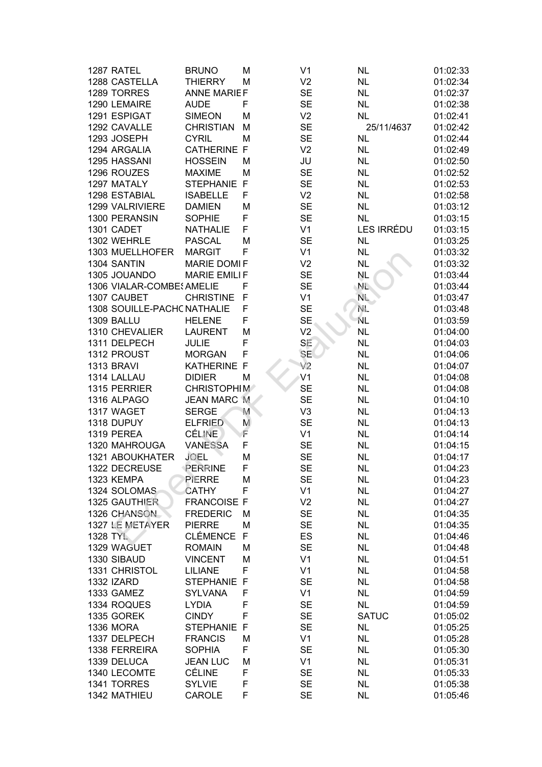| 1287 RATEL                  | <b>BRUNO</b>                       | Μ            | V <sub>1</sub>              | <b>NL</b>              | 01:02:33 |
|-----------------------------|------------------------------------|--------------|-----------------------------|------------------------|----------|
| 1288 CASTELLA               | <b>THIERRY</b>                     | M            | V <sub>2</sub>              | <b>NL</b>              | 01:02:34 |
| 1289 TORRES                 | <b>ANNE MARIEF</b>                 |              | <b>SE</b>                   | <b>NL</b>              | 01:02:37 |
| 1290 LEMAIRE                | <b>AUDE</b>                        | F            | <b>SE</b>                   | <b>NL</b>              | 01:02:38 |
| 1291 ESPIGAT                | <b>SIMEON</b>                      | M            | V <sub>2</sub>              | <b>NL</b>              | 01:02:41 |
| 1292 CAVALLE                | <b>CHRISTIAN</b>                   | M            | <b>SE</b>                   | 25/11/4637             | 01:02:42 |
| 1293 JOSEPH                 | <b>CYRIL</b>                       | M            | <b>SE</b>                   | <b>NL</b>              | 01:02:44 |
| 1294 ARGALIA                | <b>CATHERINE F</b>                 |              | V <sub>2</sub>              | <b>NL</b>              | 01:02:49 |
| 1295 HASSANI                | <b>HOSSEIN</b>                     | M            | JU                          | <b>NL</b>              | 01:02:50 |
| 1296 ROUZES                 | <b>MAXIME</b>                      | M            | <b>SE</b>                   | <b>NL</b>              | 01:02:52 |
| 1297 MATALY                 | STEPHANIE F                        |              | <b>SE</b>                   | <b>NL</b>              | 01:02:53 |
| 1298 ESTABIAL               | <b>ISABELLE</b>                    | F            | V <sub>2</sub>              | <b>NL</b>              | 01:02:58 |
| 1299 VALRIVIERE             | <b>DAMIEN</b>                      | M            | <b>SE</b>                   | <b>NL</b>              | 01:03:12 |
| 1300 PERANSIN               | <b>SOPHIE</b>                      | F            | <b>SE</b>                   | <b>NL</b>              | 01:03:15 |
| 1301 CADET                  | <b>NATHALIE</b>                    | F            | V <sub>1</sub>              | LES IRRÉDU             | 01:03:15 |
| 1302 WEHRLE                 | <b>PASCAL</b>                      | M            | <b>SE</b>                   | <b>NL</b>              | 01:03:25 |
| 1303 MUELLHOFER             | <b>MARGIT</b>                      | F            | V <sub>1</sub>              | <b>NL</b>              | 01:03:32 |
| 1304 SANTIN                 | <b>MARIE DOMIF</b>                 |              | V <sub>2</sub>              | <b>NL</b>              | 01:03:32 |
| 1305 JOUANDO                | <b>MARIE EMILIF</b>                |              | <b>SE</b>                   | NL                     | 01:03:44 |
| 1306 VIALAR-COMBE (AMELIE   |                                    | F            | <b>SE</b>                   | NL.                    | 01:03:44 |
| 1307 CAUBET                 | <b>CHRISTINE</b>                   | $\mathsf{F}$ | V <sub>1</sub>              | NL.                    | 01:03:47 |
| 1308 SOUILLE-PACHC NATHALIE |                                    | F            | <b>SE</b>                   | NE.                    | 01:03:48 |
| 1309 BALLU                  | <b>HELENE</b>                      | F            | <b>SE</b>                   | NL.                    | 01:03:59 |
| 1310 CHEVALIER              | <b>LAURENT</b>                     | M            | V <sub>2</sub>              | <b>NL</b>              | 01:04:00 |
| 1311 DELPECH                | <b>JULIE</b>                       | F            | SE                          | <b>NL</b>              | 01:04:03 |
| 1312 PROUST                 | <b>MORGAN</b>                      | F            | <b>SE</b>                   | <b>NL</b>              | 01:04:06 |
| 1313 BRAVI                  | <b>KATHERINE F</b>                 |              | V <sub>2</sub>              | <b>NL</b>              | 01:04:07 |
| 1314 LALLAU                 | <b>DIDIER</b>                      | M            | V <sub>1</sub>              | <b>NL</b>              | 01:04:08 |
| 1315 PERRIER                | <b>CHRISTOPHIM</b>                 |              | <b>SE</b>                   | <b>NL</b>              | 01:04:08 |
| 1316 ALPAGO                 | <b>JEAN MARC M</b>                 |              | <b>SE</b>                   | <b>NL</b>              | 01:04:10 |
| 1317 WAGET                  | <b>SERGE</b>                       | M            | V <sub>3</sub>              | <b>NL</b>              | 01:04:13 |
| 1318 DUPUY                  | <b>ELFRIED</b>                     | M            | <b>SE</b>                   | <b>NL</b>              | 01:04:13 |
| 1319 PEREA                  | <b>CÉLINE</b>                      | F            | V <sub>1</sub>              | <b>NL</b>              | 01:04:14 |
| 1320 MAHROUGA               | <b>VANESSA</b>                     | F            | <b>SE</b>                   | <b>NL</b>              | 01:04:15 |
| <b>1321 ABOUKHATER</b>      | <b>JOEL</b>                        | M            | <b>SE</b>                   | <b>NL</b>              | 01:04:17 |
| 1322 DECREUSE               | PERRINE                            | F            | <b>SE</b>                   | <b>NL</b>              | 01:04:23 |
| 1323 KEMPA                  | PIERRE                             | M            | <b>SE</b>                   | <b>NL</b>              | 01:04:23 |
| 1324 SOLOMAS                | <b>CATHY</b>                       | F            | V <sub>1</sub>              | <b>NL</b>              | 01:04:27 |
| 1325 GAUTHIER               | <b>FRANCOISE F</b>                 |              | V <sub>2</sub>              | <b>NL</b>              | 01:04:27 |
| 1326 CHANSON                | <b>FREDERIC</b>                    | M            | <b>SE</b>                   | <b>NL</b>              | 01:04:35 |
| 1327 LE METAYER             | <b>PIERRE</b>                      | M            | <b>SE</b>                   | <b>NL</b>              | 01:04:35 |
| <b>1328 TYL</b>             | <b>CLÉMENCE</b>                    | F            | ES                          | <b>NL</b>              | 01:04:46 |
| 1329 WAGUET                 | <b>ROMAIN</b>                      | M            | <b>SE</b>                   | <b>NL</b>              | 01:04:48 |
| 1330 SIBAUD                 | <b>VINCENT</b>                     | M            | V <sub>1</sub>              | <b>NL</b>              | 01:04:51 |
| 1331 CHRISTOL               | <b>LILIANE</b>                     | F            | V <sub>1</sub>              | <b>NL</b>              | 01:04:58 |
| 1332 IZARD                  | STEPHANIE F                        |              | <b>SE</b>                   | <b>NL</b>              | 01:04:58 |
| 1333 GAMEZ                  | <b>SYLVANA</b>                     | F            | V <sub>1</sub>              | <b>NL</b>              | 01:04:59 |
| 1334 ROQUES                 | <b>LYDIA</b>                       | F            | <b>SE</b>                   | <b>NL</b>              | 01:04:59 |
| 1335 GOREK                  | <b>CINDY</b>                       | F            | <b>SE</b>                   | <b>SATUC</b>           | 01:05:02 |
| <b>1336 MORA</b>            |                                    | F            |                             |                        |          |
| 1337 DELPECH                | <b>STEPHANIE</b><br><b>FRANCIS</b> | M            | <b>SE</b><br>V <sub>1</sub> | <b>NL</b><br><b>NL</b> | 01:05:25 |
|                             |                                    | F            |                             |                        | 01:05:28 |
| 1338 FERREIRA               | <b>SOPHIA</b>                      |              | <b>SE</b>                   | <b>NL</b>              | 01:05:30 |
| 1339 DELUCA                 | <b>JEAN LUC</b>                    | M            | V <sub>1</sub>              | <b>NL</b>              | 01:05:31 |
| 1340 LECOMTE                | <b>CÉLINE</b>                      | F            | <b>SE</b>                   | <b>NL</b>              | 01:05:33 |
| 1341 TORRES                 | <b>SYLVIE</b>                      | F            | <b>SE</b>                   | <b>NL</b>              | 01:05:38 |
| 1342 MATHIEU                | CAROLE                             | F            | <b>SE</b>                   | <b>NL</b>              | 01:05:46 |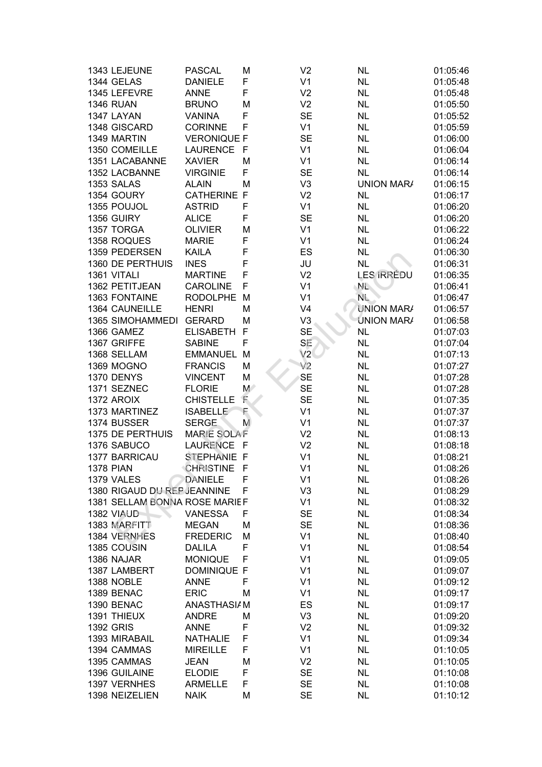| 1343 LEJEUNE                  | <b>PASCAL</b>      | М     | V <sub>2</sub> | <b>NL</b>         | 01:05:46 |
|-------------------------------|--------------------|-------|----------------|-------------------|----------|
| 1344 GELAS                    | <b>DANIELE</b>     | F     | V <sub>1</sub> | <b>NL</b>         | 01:05:48 |
| 1345 LEFEVRE                  | <b>ANNE</b>        | F     | V <sub>2</sub> | <b>NL</b>         | 01:05:48 |
| <b>1346 RUAN</b>              | <b>BRUNO</b>       | M     | V <sub>2</sub> | <b>NL</b>         | 01:05:50 |
| 1347 LAYAN                    | <b>VANINA</b>      | F     | <b>SE</b>      | <b>NL</b>         | 01:05:52 |
| 1348 GISCARD                  | <b>CORINNE</b>     | F     | V <sub>1</sub> | <b>NL</b>         | 01:05:59 |
| 1349 MARTIN                   | <b>VERONIQUE F</b> |       | <b>SE</b>      | <b>NL</b>         | 01:06:00 |
| 1350 COMEILLE                 | <b>LAURENCE</b>    | F     | V <sub>1</sub> | <b>NL</b>         | 01:06:04 |
| 1351 LACABANNE                | <b>XAVIER</b>      | М     | V <sub>1</sub> | <b>NL</b>         | 01:06:14 |
| 1352 LACBANNE                 | <b>VIRGINIE</b>    | F     | <b>SE</b>      | <b>NL</b>         | 01:06:14 |
| 1353 SALAS                    | <b>ALAIN</b>       | M     | V <sub>3</sub> | <b>UNION MARA</b> | 01:06:15 |
| 1354 GOURY                    | <b>CATHERINE F</b> |       | V <sub>2</sub> | <b>NL</b>         | 01:06:17 |
| 1355 POUJOL                   | <b>ASTRID</b>      | F     | V <sub>1</sub> | <b>NL</b>         | 01:06:20 |
| 1356 GUIRY                    | <b>ALICE</b>       | F     | <b>SE</b>      | <b>NL</b>         | 01:06:20 |
| 1357 TORGA                    | <b>OLIVIER</b>     | M     | V <sub>1</sub> | <b>NL</b>         | 01:06:22 |
| 1358 ROQUES                   | <b>MARIE</b>       | F     | V <sub>1</sub> | <b>NL</b>         | 01:06:24 |
| 1359 PEDERSEN                 | <b>KAILA</b>       | F     | ES             | <b>NL</b>         | 01:06:30 |
| 1360 DE PERTHUIS              | <b>INES</b>        | F     | JU             | <b>NL</b>         | 01:06:31 |
| 1361 VITALI                   | <b>MARTINE</b>     | F     | V <sub>2</sub> | <b>LES IRRÉDU</b> | 01:06:35 |
| 1362 PETITJEAN                | <b>CAROLINE</b>    | F     | V <sub>1</sub> | $N_{\rm L}$       | 01:06:41 |
| 1363 FONTAINE                 | <b>RODOLPHE</b>    | M     | V <sub>1</sub> | <b>NL</b>         | 01:06:47 |
| 1364 CAUNEILLE                | <b>HENRI</b>       | M     | V <sub>4</sub> | <b>UNION MAR/</b> | 01:06:57 |
| <b>1365 SIMOHAMMEDI</b>       | <b>GERARD</b>      | M     | V <sub>3</sub> | <b>UNION MARA</b> | 01:06:58 |
| 1366 GAMEZ                    | <b>ELISABETH</b>   | F     | <b>SE</b>      | <b>NL</b>         | 01:07:03 |
| 1367 GRIFFE                   | <b>SABINE</b>      | F     | SE             | <b>NL</b>         | 01:07:04 |
| 1368 SELLAM                   | <b>EMMANUEL</b>    | M     | V2             | <b>NL</b>         | 01:07:13 |
| <b>1369 MOGNO</b>             | <b>FRANCIS</b>     | М     | V <sub>2</sub> | <b>NL</b>         | 01:07:27 |
| 1370 DENYS                    | <b>VINCENT</b>     | M     | <b>SE</b>      | <b>NL</b>         | 01:07:28 |
| 1371 SEZNEC                   | <b>FLORIE</b>      | $M^*$ | <b>SE</b>      | <b>NL</b>         | 01:07:28 |
| 1372 AROIX                    | <b>CHISTELLE</b>   | F     | <b>SE</b>      | <b>NL</b>         | 01:07:35 |
| 1373 MARTINEZ                 | <b>ISABELLE</b>    | F     | V <sub>1</sub> | <b>NL</b>         | 01:07:37 |
| 1374 BUSSER                   | <b>SERGE</b>       | M     | V <sub>1</sub> | <b>NL</b>         | 01:07:37 |
| 1375 DE PERTHUIS              | <b>MARIE SOLAF</b> |       | V <sub>2</sub> | <b>NL</b>         | 01:08:13 |
| 1376 SABUCO                   | <b>LAURENCE</b>    | -F    | V <sub>2</sub> | <b>NL</b>         | 01:08:18 |
| 1377 BARRICAU                 | STEPHANIE F        |       | V <sub>1</sub> | <b>NL</b>         | 01:08:21 |
| <b>1378 PIAN</b>              | <b>CHRISTINE</b>   | F     | V <sub>1</sub> | <b>NL</b>         | 01:08:26 |
| 1379 VALES                    | <b>DANIELE</b>     | F     | V <sub>1</sub> | <b>NL</b>         | 01:08:26 |
| 1380 RIGAUD DU REP JEANNINE   |                    | F     | V <sub>3</sub> | <b>NL</b>         | 01:08:29 |
| 1381 SELLAM BONNA ROSE MARIEF |                    |       | V <sub>1</sub> | <b>NL</b>         | 01:08:32 |
| 1382 VIAUD                    | <b>VANESSA</b>     | F     | <b>SE</b>      | <b>NL</b>         | 01:08:34 |
| 1383 MARFITT                  | <b>MEGAN</b>       | M     | <b>SE</b>      | <b>NL</b>         | 01:08:36 |
| 1384 VERNHES                  | <b>FREDERIC</b>    | M     | V <sub>1</sub> | <b>NL</b>         | 01:08:40 |
| 1385 COUSIN                   | <b>DALILA</b>      | F     | V <sub>1</sub> | <b>NL</b>         | 01:08:54 |
| 1386 NAJAR                    | <b>MONIQUE</b>     | F     | V <sub>1</sub> | <b>NL</b>         | 01:09:05 |
| 1387 LAMBERT                  | <b>DOMINIQUE F</b> |       | V <sub>1</sub> | <b>NL</b>         | 01:09:07 |
| 1388 NOBLE                    | <b>ANNE</b>        | F     | V <sub>1</sub> | <b>NL</b>         | 01:09:12 |
| 1389 BENAC                    | <b>ERIC</b>        | М     | V <sub>1</sub> | <b>NL</b>         | 01:09:17 |
| 1390 BENAC                    | ANASTHASI/M        |       | ES             | <b>NL</b>         | 01:09:17 |
| 1391 THIEUX                   | <b>ANDRE</b>       | М     | V <sub>3</sub> | <b>NL</b>         | 01:09:20 |
| <b>1392 GRIS</b>              | <b>ANNE</b>        | F     | V <sub>2</sub> | <b>NL</b>         | 01:09:32 |
| 1393 MIRABAIL                 | <b>NATHALIE</b>    | F     | V <sub>1</sub> | <b>NL</b>         | 01:09:34 |
| 1394 CAMMAS                   | <b>MIREILLE</b>    | F     | V <sub>1</sub> | <b>NL</b>         | 01:10:05 |
| 1395 CAMMAS                   | <b>JEAN</b>        | M     | V <sub>2</sub> | <b>NL</b>         | 01:10:05 |
| 1396 GUILAINE                 | <b>ELODIE</b>      | F     | <b>SE</b>      | <b>NL</b>         | 01:10:08 |
| 1397 VERNHES                  | <b>ARMELLE</b>     | F     | <b>SE</b>      | <b>NL</b>         | 01:10:08 |
| 1398 NEIZELIEN                | <b>NAIK</b>        | M     | <b>SE</b>      | <b>NL</b>         | 01:10:12 |